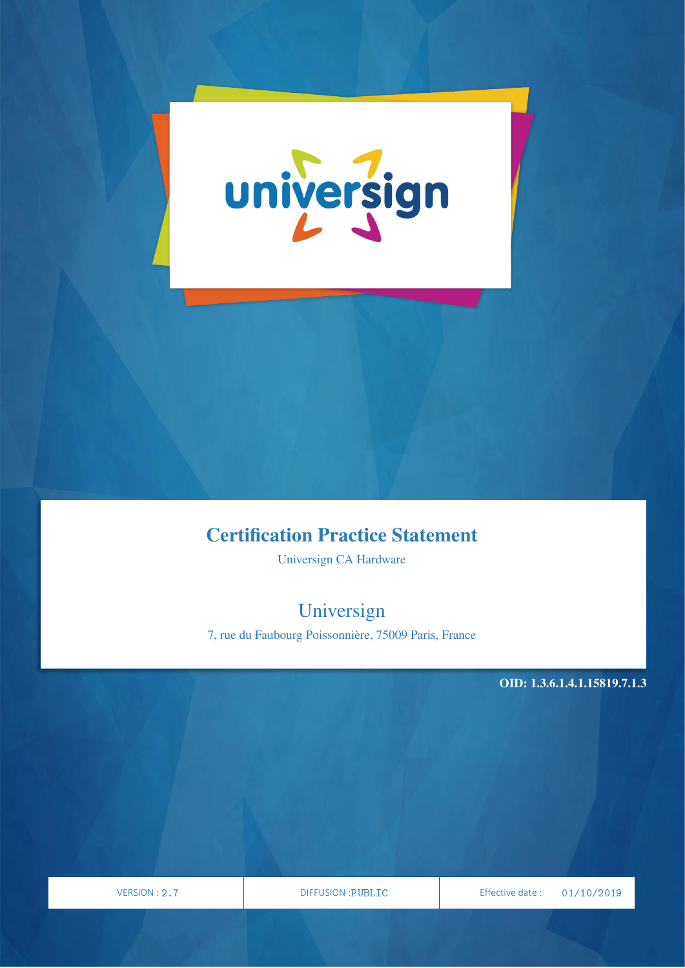

# Certification Practice Statement

Universign CA Hardware

# Universign

7, rue du Faubourg Poissonnière, 75009 Paris, France

OID: 1.3.6.1.4.1.15819.7.1.3

PAGE

VERSION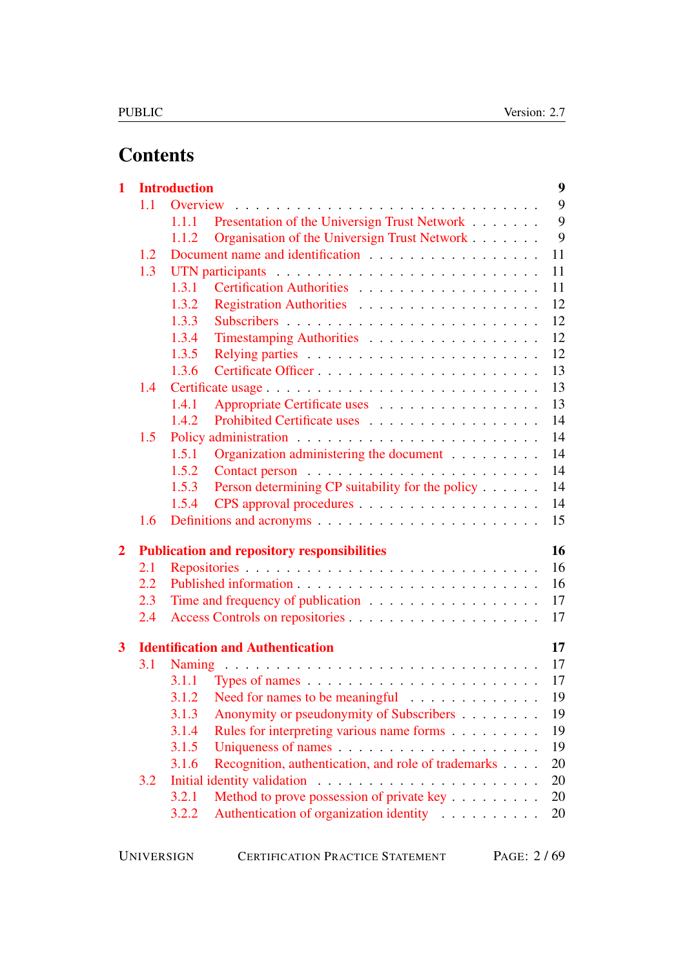# **Contents**

| 1                       |            | <b>Introduction</b>                                          | $\boldsymbol{9}$ |
|-------------------------|------------|--------------------------------------------------------------|------------------|
|                         | 1.1        | Overview                                                     | 9                |
|                         |            | Presentation of the Universign Trust Network<br>1.1.1        | 9                |
|                         |            | Organisation of the Universign Trust Network<br>1.1.2        | 9                |
|                         | 1.2        |                                                              | 11               |
|                         | 1.3        |                                                              | 11               |
|                         |            | 1.3.1                                                        | 11               |
|                         |            | 1.3.2                                                        | 12               |
|                         |            | 1.3.3                                                        | 12               |
|                         |            | 1.3.4<br>Timestamping Authorities                            | 12               |
|                         |            | 1.3.5                                                        | 12               |
|                         |            | 1.3.6                                                        | 13               |
|                         | 1.4        | Certificate usage                                            | 13               |
|                         |            | 1.4.1<br>Appropriate Certificate uses                        | 13               |
|                         |            | Prohibited Certificate uses<br>1.4.2                         | 14               |
|                         | 1.5        |                                                              | 14               |
|                         |            | Organization administering the document<br>1.5.1             | 14               |
|                         |            | 1.5.2                                                        | 14               |
|                         |            | Person determining CP suitability for the policy<br>1.5.3    | 14               |
|                         |            | 1.5.4                                                        | 14               |
|                         | 1.6        |                                                              | 15               |
| $\overline{2}$          |            | <b>Publication and repository responsibilities</b>           | 16               |
|                         | 2.1        |                                                              | 16               |
|                         | $2.2\,$    |                                                              | 16               |
|                         | 2.3        | Time and frequency of publication                            | 17               |
|                         | 2.4        |                                                              | 17               |
| $\overline{\mathbf{3}}$ |            | <b>Identification and Authentication</b>                     | 17               |
|                         | <b>3.1</b> |                                                              | 17               |
|                         |            |                                                              | 17               |
|                         |            | 3.1.2 Need for names to be meaningful                        | 19               |
|                         |            | Anonymity or pseudonymity of Subscribers<br>3.1.3            | 19               |
|                         |            | 3.1.4<br>Rules for interpreting various name forms           | 19               |
|                         |            | 3.1.5                                                        | 19               |
|                         |            | Recognition, authentication, and role of trademarks<br>3.1.6 | 20               |
|                         | 3.2        |                                                              | 20               |
|                         |            | Method to prove possession of private key<br>3.2.1           | 20               |
|                         |            | Authentication of organization identity<br>3.2.2             | 20               |
|                         |            |                                                              |                  |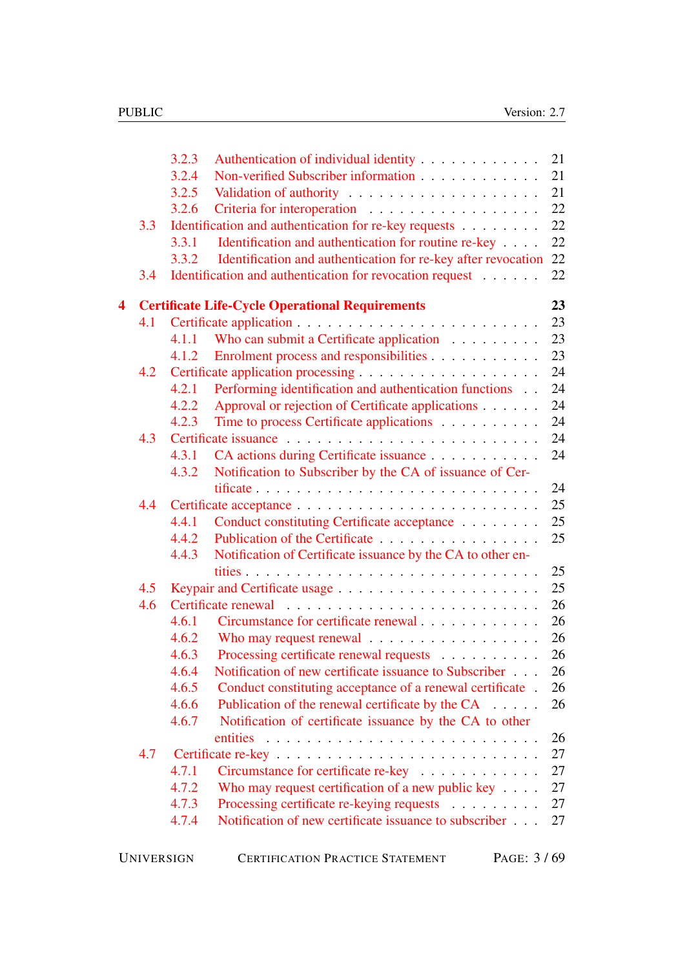|                  |     | 3.2.3<br>Authentication of individual identity                                                                       | 21       |
|------------------|-----|----------------------------------------------------------------------------------------------------------------------|----------|
|                  |     | Non-verified Subscriber information<br>3.2.4                                                                         | 21       |
|                  |     | 3.2.5                                                                                                                | 21       |
|                  |     | 3.2.6                                                                                                                | 22       |
|                  | 3.3 | Identification and authentication for re-key requests                                                                | 22       |
|                  |     | Identification and authentication for routine re-key<br>3.3.1                                                        | 22       |
|                  |     | Identification and authentication for re-key after revocation<br>3.3.2                                               | 22       |
|                  | 3.4 | Identification and authentication for revocation request                                                             | 22       |
| $\blacktriangle$ |     | <b>Certificate Life-Cycle Operational Requirements</b>                                                               | 23       |
|                  | 4.1 |                                                                                                                      | 23       |
|                  |     | Who can submit a Certificate application<br>4.1.1                                                                    | 23       |
|                  |     | Enrolment process and responsibilities<br>4.1.2                                                                      | 23       |
|                  | 4.2 |                                                                                                                      | 24       |
|                  |     | Performing identification and authentication functions<br>4.2.1                                                      | 24       |
|                  |     | 4.2.2<br>Approval or rejection of Certificate applications                                                           | 24       |
|                  |     | 4.2.3<br>Time to process Certificate applications                                                                    | 24       |
|                  | 4.3 |                                                                                                                      | 24       |
|                  |     | CA actions during Certificate issuance<br>4.3.1                                                                      | 24       |
|                  |     | Notification to Subscriber by the CA of issuance of Cer-<br>4.3.2                                                    |          |
|                  |     |                                                                                                                      | 24       |
|                  | 4.4 |                                                                                                                      | 25       |
|                  |     | Conduct constituting Certificate acceptance<br>4.4.1                                                                 | 25       |
|                  |     | Publication of the Certificate<br>4.4.2                                                                              | 25       |
|                  |     | Notification of Certificate issuance by the CA to other en-<br>4.4.3                                                 |          |
|                  |     |                                                                                                                      | 25       |
|                  | 4.5 |                                                                                                                      | 25       |
|                  | 4.6 |                                                                                                                      | 26       |
|                  |     | Circumstance for certificate renewal<br>4.6.1                                                                        | 26       |
|                  |     | Who may request renewal<br>4.6.2                                                                                     | 26       |
|                  |     | Processing certificate renewal requests<br>4.6.3<br>Notification of new certificate issuance to Subscriber           | 26<br>26 |
|                  |     | 4.6.4<br>4.6.5                                                                                                       |          |
|                  |     | Conduct constituting acceptance of a renewal certificate.<br>4.6.6                                                   | 26<br>26 |
|                  |     | Publication of the renewal certificate by the CA<br>4.6.7<br>Notification of certificate issuance by the CA to other |          |
|                  |     |                                                                                                                      | 26       |
|                  | 4.7 |                                                                                                                      | 27       |
|                  |     | Circumstance for certificate re-key<br>4.7.1                                                                         | 27       |
|                  |     | Who may request certification of a new public key $\dots$ .<br>4.7.2                                                 | 27       |
|                  |     | 4.7.3<br>Processing certificate re-keying requests                                                                   | 27       |
|                  |     | Notification of new certificate issuance to subscriber<br>4.7.4                                                      | 27       |
|                  |     |                                                                                                                      |          |
|                  |     |                                                                                                                      |          |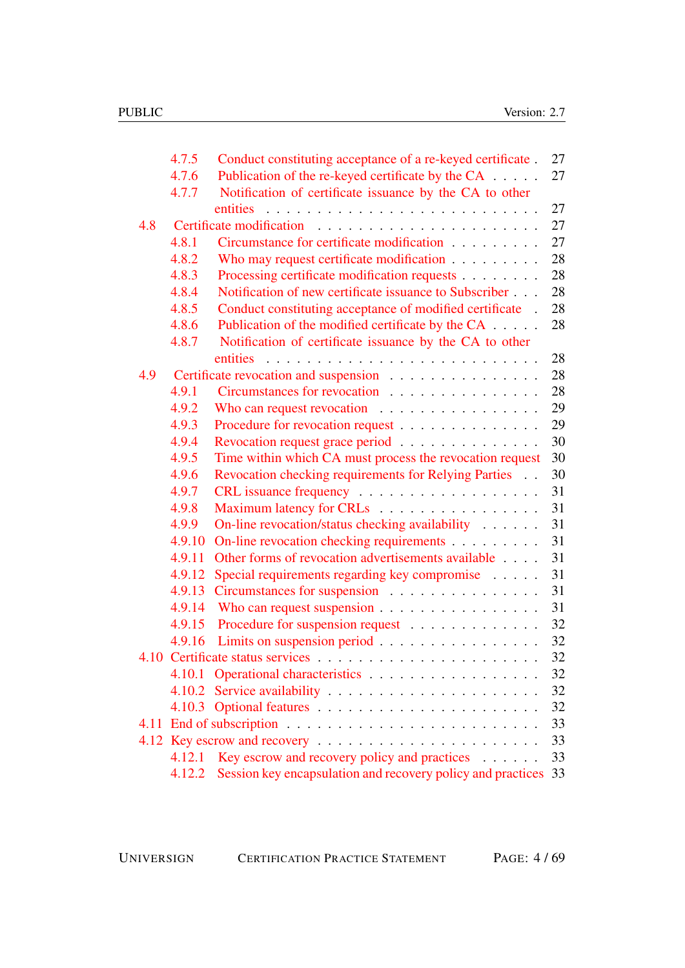|     | 4.7.5  | Conduct constituting acceptance of a re-keyed certificate.      | 27 |
|-----|--------|-----------------------------------------------------------------|----|
|     | 4.7.6  | Publication of the re-keyed certificate by the CA               | 27 |
|     | 4.7.7  | Notification of certificate issuance by the CA to other         |    |
|     |        | entities                                                        | 27 |
| 4.8 |        |                                                                 | 27 |
|     | 4.8.1  | Circumstance for certificate modification                       | 27 |
|     | 4.8.2  | Who may request certificate modification                        | 28 |
|     | 4.8.3  | Processing certificate modification requests                    | 28 |
|     | 4.8.4  | Notification of new certificate issuance to Subscriber          | 28 |
|     | 4.8.5  | Conduct constituting acceptance of modified certificate.        | 28 |
|     | 4.8.6  | Publication of the modified certificate by the CA               | 28 |
|     | 4.8.7  | Notification of certificate issuance by the CA to other         |    |
|     |        | entities                                                        | 28 |
| 4.9 |        | Certificate revocation and suspension                           | 28 |
|     | 4.9.1  | Circumstances for revocation                                    | 28 |
|     | 4.9.2  | Who can request revocation $\ldots \ldots \ldots \ldots \ldots$ | 29 |
|     | 4.9.3  | Procedure for revocation request                                | 29 |
|     | 4.9.4  | Revocation request grace period                                 | 30 |
|     | 4.9.5  | Time within which CA must process the revocation request        | 30 |
|     | 4.9.6  | Revocation checking requirements for Relying Parties            | 30 |
|     | 4.9.7  |                                                                 | 31 |
|     | 4.9.8  | Maximum latency for CRLs                                        | 31 |
|     | 4.9.9  | On-line revocation/status checking availability                 | 31 |
|     | 4.9.10 | On-line revocation checking requirements                        | 31 |
|     | 4.9.11 | Other forms of revocation advertisements available              | 31 |
|     | 4.9.12 | Special requirements regarding key compromise                   | 31 |
|     | 4.9.13 | Circumstances for suspension                                    | 31 |
|     | 4.9.14 |                                                                 | 31 |
|     | 4.9.15 | Procedure for suspension request                                | 32 |
|     | 4.9.16 | Limits on suspension period                                     | 32 |
|     |        |                                                                 | 32 |
|     | 4.10.1 |                                                                 | 32 |
|     | 4.10.2 |                                                                 | 32 |
|     |        |                                                                 | 32 |
|     |        |                                                                 | 33 |
|     |        | 4.12 Key escrow and recovery                                    | 33 |
|     | 4.12.1 | Key escrow and recovery policy and practices $\dots \dots$      | 33 |
|     |        |                                                                 |    |
|     | 4.12.2 | Session key encapsulation and recovery policy and practices 33  |    |

UNIVERSIGN CERTIFICATION PRACTICE STATEMENT PAGE: 4 / 69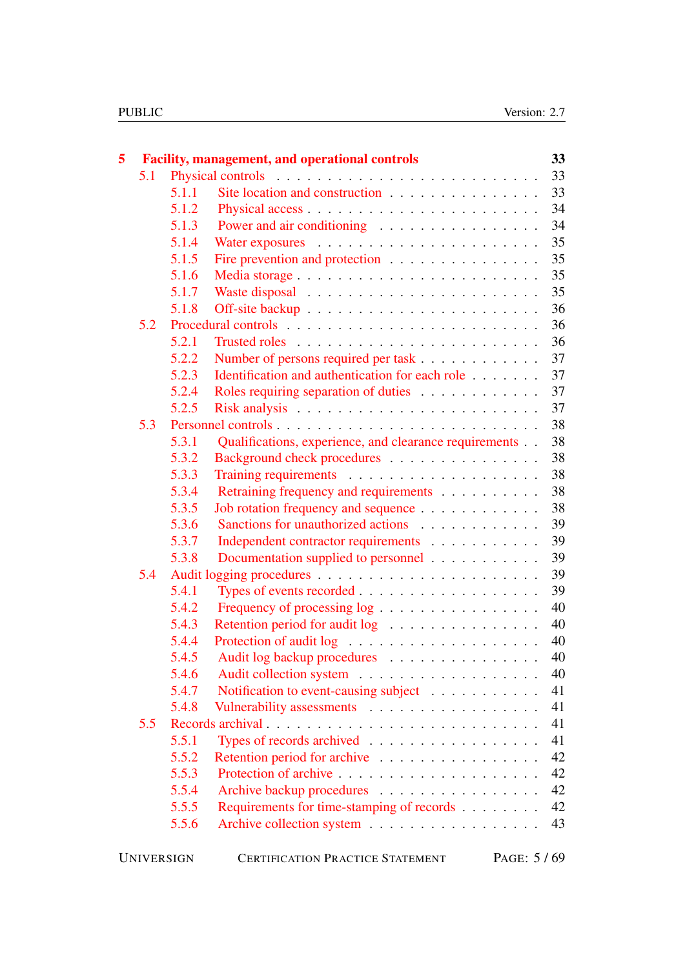| 5 |     |                   | <b>Facility, management, and operational controls</b>  |  |  | 33         |
|---|-----|-------------------|--------------------------------------------------------|--|--|------------|
|   | 5.1 |                   |                                                        |  |  | 33         |
|   |     | 5.1.1             | Site location and construction                         |  |  | 33         |
|   |     | 5.1.2             |                                                        |  |  | 34         |
|   |     | 5.1.3             | Power and air conditioning                             |  |  | 34         |
|   |     | 5.1.4             |                                                        |  |  | 35         |
|   |     | 5.1.5             | Fire prevention and protection                         |  |  | 35         |
|   |     | 5.1.6             |                                                        |  |  | 35         |
|   |     | 5.1.7             |                                                        |  |  | 35         |
|   |     | 5.1.8             |                                                        |  |  | 36         |
|   | 5.2 |                   |                                                        |  |  | 36         |
|   |     | 5.2.1             |                                                        |  |  | 36         |
|   |     | 5.2.2             | Number of persons required per task                    |  |  | 37         |
|   |     | 5.2.3             | Identification and authentication for each role        |  |  | 37         |
|   |     | 5.2.4             | Roles requiring separation of duties                   |  |  | 37         |
|   |     | 5.2.5             |                                                        |  |  | 37         |
|   | 5.3 |                   |                                                        |  |  | 38         |
|   |     | 5.3.1             | Qualifications, experience, and clearance requirements |  |  | 38         |
|   |     | 5.3.2             | Background check procedures                            |  |  | 38         |
|   |     | 5.3.3             |                                                        |  |  | 38         |
|   |     | 5.3.4             | Retraining frequency and requirements                  |  |  | 38         |
|   |     | 5.3.5             | Job rotation frequency and sequence                    |  |  | 38         |
|   |     | 5.3.6             | Sanctions for unauthorized actions                     |  |  | 39         |
|   |     | 5.3.7             | Independent contractor requirements                    |  |  | 39         |
|   |     | 5.3.8             | Documentation supplied to personnel                    |  |  | 39         |
|   | 5.4 |                   |                                                        |  |  | 39         |
|   |     | 5.4.1             |                                                        |  |  | 39         |
|   |     | 5.4.2             | Frequency of processing log                            |  |  | 40         |
|   |     | 5.4.3             | Retention period for audit log                         |  |  | 40         |
|   |     | 5.4.4             |                                                        |  |  | 40         |
|   |     | 5.4.5             | Audit log backup procedures                            |  |  | 40         |
|   |     | 5.4.6             |                                                        |  |  | 40         |
|   |     | 5.4.7             | Notification to event-causing subject                  |  |  | 41         |
|   |     | 5.4.8             | Vulnerability assessments                              |  |  | 41         |
|   | 5.5 |                   | Records archival                                       |  |  | 41         |
|   |     | 5.5.1             | Types of records archived $\ldots$ ,                   |  |  | 41         |
|   |     | 5.5.2             | Retention period for archive                           |  |  | 42         |
|   |     | 5.5.3             |                                                        |  |  | 42         |
|   |     | 5.5.4             | Archive backup procedures                              |  |  | 42         |
|   |     | 5.5.5             | Requirements for time-stamping of records              |  |  | 42         |
|   |     | 5.5.6             | Archive collection system                              |  |  | 43         |
|   |     | <b>UNIVERSIGN</b> | <b>CERTIFICATION PRACTICE STATEMENT</b>                |  |  | PAGE: 5/69 |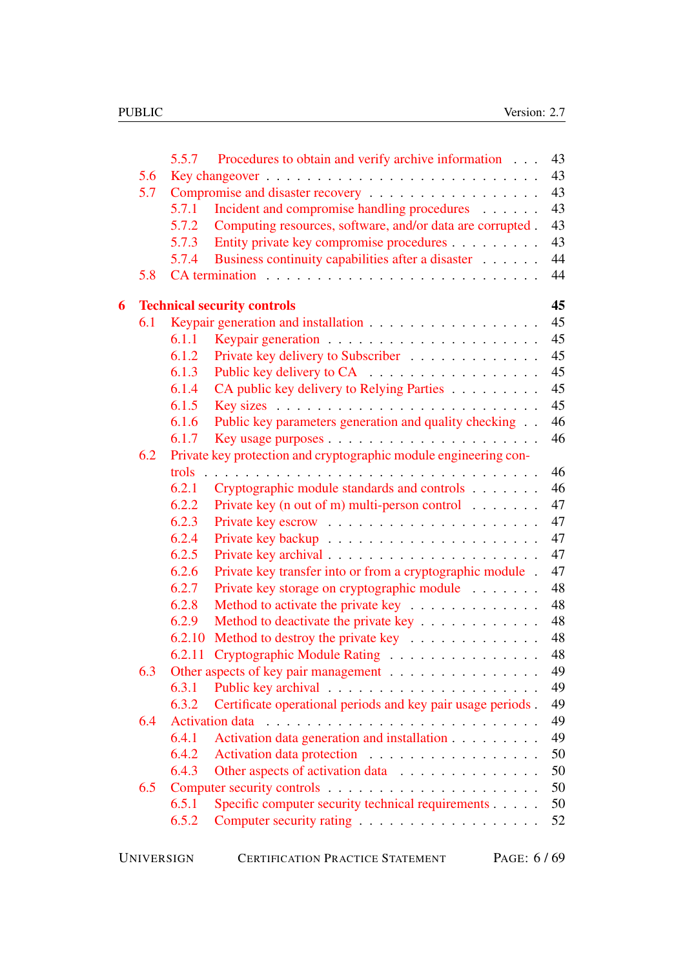| 5.6<br>5.7<br>Incident and compromise handling procedures<br>5.7.1<br>Computing resources, software, and/or data are corrupted.<br>5.7.2<br>Entity private key compromise procedures<br>5.7.3<br>Business continuity capabilities after a disaster<br>5.7.4<br>5.8<br><b>Technical security controls</b><br>6<br>6.1<br>6.1.1<br>Private key delivery to Subscriber<br>6.1.2<br>6.1.3<br>Public key delivery to CA<br>6.1.4<br>CA public key delivery to Relying Parties<br>6.1.5<br>Public key parameters generation and quality checking<br>6.1.6<br>6.1.7<br>6.2<br>Private key protection and cryptographic module engineering con-<br>trols.<br>6.2.1<br>Cryptographic module standards and controls<br>Private key (n out of m) multi-person control $\dots \dots$<br>6.2.2<br>6.2.3<br>6.2.4<br>6.2.5<br>Private key transfer into or from a cryptographic module.<br>6.2.6<br>6.2.7<br>Private key storage on cryptographic module<br>6.2.8<br>Method to activate the private key<br>6.2.9<br>Method to deactivate the private key<br>Method to destroy the private key<br>6.2.10<br>Cryptographic Module Rating<br>6.2.11<br>6.3<br>Other aspects of key pair management<br>6.3.1<br>Certificate operational periods and key pair usage periods.<br>6.3.2<br>6.4<br>Activation data generation and installation<br>6.4.1<br>6.4.2<br>Activation data protection<br>6.4.3<br>Other aspects of activation data<br>6.5<br>Specific computer security technical requirements<br>6.5.1<br>6.5.2 |  | 5.5.7 | Procedures to obtain and verify archive information | 43 |
|-----------------------------------------------------------------------------------------------------------------------------------------------------------------------------------------------------------------------------------------------------------------------------------------------------------------------------------------------------------------------------------------------------------------------------------------------------------------------------------------------------------------------------------------------------------------------------------------------------------------------------------------------------------------------------------------------------------------------------------------------------------------------------------------------------------------------------------------------------------------------------------------------------------------------------------------------------------------------------------------------------------------------------------------------------------------------------------------------------------------------------------------------------------------------------------------------------------------------------------------------------------------------------------------------------------------------------------------------------------------------------------------------------------------------------------------------------------------------------------------------------|--|-------|-----------------------------------------------------|----|
|                                                                                                                                                                                                                                                                                                                                                                                                                                                                                                                                                                                                                                                                                                                                                                                                                                                                                                                                                                                                                                                                                                                                                                                                                                                                                                                                                                                                                                                                                                     |  |       |                                                     | 43 |
|                                                                                                                                                                                                                                                                                                                                                                                                                                                                                                                                                                                                                                                                                                                                                                                                                                                                                                                                                                                                                                                                                                                                                                                                                                                                                                                                                                                                                                                                                                     |  |       |                                                     | 43 |
|                                                                                                                                                                                                                                                                                                                                                                                                                                                                                                                                                                                                                                                                                                                                                                                                                                                                                                                                                                                                                                                                                                                                                                                                                                                                                                                                                                                                                                                                                                     |  |       |                                                     | 43 |
|                                                                                                                                                                                                                                                                                                                                                                                                                                                                                                                                                                                                                                                                                                                                                                                                                                                                                                                                                                                                                                                                                                                                                                                                                                                                                                                                                                                                                                                                                                     |  |       |                                                     | 43 |
|                                                                                                                                                                                                                                                                                                                                                                                                                                                                                                                                                                                                                                                                                                                                                                                                                                                                                                                                                                                                                                                                                                                                                                                                                                                                                                                                                                                                                                                                                                     |  |       |                                                     | 43 |
|                                                                                                                                                                                                                                                                                                                                                                                                                                                                                                                                                                                                                                                                                                                                                                                                                                                                                                                                                                                                                                                                                                                                                                                                                                                                                                                                                                                                                                                                                                     |  |       |                                                     | 44 |
|                                                                                                                                                                                                                                                                                                                                                                                                                                                                                                                                                                                                                                                                                                                                                                                                                                                                                                                                                                                                                                                                                                                                                                                                                                                                                                                                                                                                                                                                                                     |  |       |                                                     | 44 |
|                                                                                                                                                                                                                                                                                                                                                                                                                                                                                                                                                                                                                                                                                                                                                                                                                                                                                                                                                                                                                                                                                                                                                                                                                                                                                                                                                                                                                                                                                                     |  |       |                                                     | 45 |
|                                                                                                                                                                                                                                                                                                                                                                                                                                                                                                                                                                                                                                                                                                                                                                                                                                                                                                                                                                                                                                                                                                                                                                                                                                                                                                                                                                                                                                                                                                     |  |       |                                                     | 45 |
|                                                                                                                                                                                                                                                                                                                                                                                                                                                                                                                                                                                                                                                                                                                                                                                                                                                                                                                                                                                                                                                                                                                                                                                                                                                                                                                                                                                                                                                                                                     |  |       |                                                     | 45 |
|                                                                                                                                                                                                                                                                                                                                                                                                                                                                                                                                                                                                                                                                                                                                                                                                                                                                                                                                                                                                                                                                                                                                                                                                                                                                                                                                                                                                                                                                                                     |  |       |                                                     | 45 |
|                                                                                                                                                                                                                                                                                                                                                                                                                                                                                                                                                                                                                                                                                                                                                                                                                                                                                                                                                                                                                                                                                                                                                                                                                                                                                                                                                                                                                                                                                                     |  |       |                                                     | 45 |
|                                                                                                                                                                                                                                                                                                                                                                                                                                                                                                                                                                                                                                                                                                                                                                                                                                                                                                                                                                                                                                                                                                                                                                                                                                                                                                                                                                                                                                                                                                     |  |       |                                                     | 45 |
|                                                                                                                                                                                                                                                                                                                                                                                                                                                                                                                                                                                                                                                                                                                                                                                                                                                                                                                                                                                                                                                                                                                                                                                                                                                                                                                                                                                                                                                                                                     |  |       |                                                     | 45 |
|                                                                                                                                                                                                                                                                                                                                                                                                                                                                                                                                                                                                                                                                                                                                                                                                                                                                                                                                                                                                                                                                                                                                                                                                                                                                                                                                                                                                                                                                                                     |  |       |                                                     | 46 |
|                                                                                                                                                                                                                                                                                                                                                                                                                                                                                                                                                                                                                                                                                                                                                                                                                                                                                                                                                                                                                                                                                                                                                                                                                                                                                                                                                                                                                                                                                                     |  |       |                                                     | 46 |
|                                                                                                                                                                                                                                                                                                                                                                                                                                                                                                                                                                                                                                                                                                                                                                                                                                                                                                                                                                                                                                                                                                                                                                                                                                                                                                                                                                                                                                                                                                     |  |       |                                                     |    |
|                                                                                                                                                                                                                                                                                                                                                                                                                                                                                                                                                                                                                                                                                                                                                                                                                                                                                                                                                                                                                                                                                                                                                                                                                                                                                                                                                                                                                                                                                                     |  |       |                                                     | 46 |
|                                                                                                                                                                                                                                                                                                                                                                                                                                                                                                                                                                                                                                                                                                                                                                                                                                                                                                                                                                                                                                                                                                                                                                                                                                                                                                                                                                                                                                                                                                     |  |       |                                                     | 46 |
|                                                                                                                                                                                                                                                                                                                                                                                                                                                                                                                                                                                                                                                                                                                                                                                                                                                                                                                                                                                                                                                                                                                                                                                                                                                                                                                                                                                                                                                                                                     |  |       |                                                     | 47 |
|                                                                                                                                                                                                                                                                                                                                                                                                                                                                                                                                                                                                                                                                                                                                                                                                                                                                                                                                                                                                                                                                                                                                                                                                                                                                                                                                                                                                                                                                                                     |  |       |                                                     | 47 |
|                                                                                                                                                                                                                                                                                                                                                                                                                                                                                                                                                                                                                                                                                                                                                                                                                                                                                                                                                                                                                                                                                                                                                                                                                                                                                                                                                                                                                                                                                                     |  |       |                                                     | 47 |
|                                                                                                                                                                                                                                                                                                                                                                                                                                                                                                                                                                                                                                                                                                                                                                                                                                                                                                                                                                                                                                                                                                                                                                                                                                                                                                                                                                                                                                                                                                     |  |       |                                                     | 47 |
|                                                                                                                                                                                                                                                                                                                                                                                                                                                                                                                                                                                                                                                                                                                                                                                                                                                                                                                                                                                                                                                                                                                                                                                                                                                                                                                                                                                                                                                                                                     |  |       |                                                     | 47 |
|                                                                                                                                                                                                                                                                                                                                                                                                                                                                                                                                                                                                                                                                                                                                                                                                                                                                                                                                                                                                                                                                                                                                                                                                                                                                                                                                                                                                                                                                                                     |  |       |                                                     | 48 |
|                                                                                                                                                                                                                                                                                                                                                                                                                                                                                                                                                                                                                                                                                                                                                                                                                                                                                                                                                                                                                                                                                                                                                                                                                                                                                                                                                                                                                                                                                                     |  |       |                                                     | 48 |
|                                                                                                                                                                                                                                                                                                                                                                                                                                                                                                                                                                                                                                                                                                                                                                                                                                                                                                                                                                                                                                                                                                                                                                                                                                                                                                                                                                                                                                                                                                     |  |       |                                                     | 48 |
|                                                                                                                                                                                                                                                                                                                                                                                                                                                                                                                                                                                                                                                                                                                                                                                                                                                                                                                                                                                                                                                                                                                                                                                                                                                                                                                                                                                                                                                                                                     |  |       |                                                     | 48 |
|                                                                                                                                                                                                                                                                                                                                                                                                                                                                                                                                                                                                                                                                                                                                                                                                                                                                                                                                                                                                                                                                                                                                                                                                                                                                                                                                                                                                                                                                                                     |  |       |                                                     | 48 |
|                                                                                                                                                                                                                                                                                                                                                                                                                                                                                                                                                                                                                                                                                                                                                                                                                                                                                                                                                                                                                                                                                                                                                                                                                                                                                                                                                                                                                                                                                                     |  |       |                                                     | 49 |
|                                                                                                                                                                                                                                                                                                                                                                                                                                                                                                                                                                                                                                                                                                                                                                                                                                                                                                                                                                                                                                                                                                                                                                                                                                                                                                                                                                                                                                                                                                     |  |       |                                                     | 49 |
|                                                                                                                                                                                                                                                                                                                                                                                                                                                                                                                                                                                                                                                                                                                                                                                                                                                                                                                                                                                                                                                                                                                                                                                                                                                                                                                                                                                                                                                                                                     |  |       |                                                     | 49 |
|                                                                                                                                                                                                                                                                                                                                                                                                                                                                                                                                                                                                                                                                                                                                                                                                                                                                                                                                                                                                                                                                                                                                                                                                                                                                                                                                                                                                                                                                                                     |  |       |                                                     | 49 |
|                                                                                                                                                                                                                                                                                                                                                                                                                                                                                                                                                                                                                                                                                                                                                                                                                                                                                                                                                                                                                                                                                                                                                                                                                                                                                                                                                                                                                                                                                                     |  |       |                                                     | 49 |
|                                                                                                                                                                                                                                                                                                                                                                                                                                                                                                                                                                                                                                                                                                                                                                                                                                                                                                                                                                                                                                                                                                                                                                                                                                                                                                                                                                                                                                                                                                     |  |       |                                                     | 50 |
|                                                                                                                                                                                                                                                                                                                                                                                                                                                                                                                                                                                                                                                                                                                                                                                                                                                                                                                                                                                                                                                                                                                                                                                                                                                                                                                                                                                                                                                                                                     |  |       |                                                     | 50 |
|                                                                                                                                                                                                                                                                                                                                                                                                                                                                                                                                                                                                                                                                                                                                                                                                                                                                                                                                                                                                                                                                                                                                                                                                                                                                                                                                                                                                                                                                                                     |  |       |                                                     | 50 |
|                                                                                                                                                                                                                                                                                                                                                                                                                                                                                                                                                                                                                                                                                                                                                                                                                                                                                                                                                                                                                                                                                                                                                                                                                                                                                                                                                                                                                                                                                                     |  |       |                                                     | 50 |
|                                                                                                                                                                                                                                                                                                                                                                                                                                                                                                                                                                                                                                                                                                                                                                                                                                                                                                                                                                                                                                                                                                                                                                                                                                                                                                                                                                                                                                                                                                     |  |       |                                                     | 52 |
|                                                                                                                                                                                                                                                                                                                                                                                                                                                                                                                                                                                                                                                                                                                                                                                                                                                                                                                                                                                                                                                                                                                                                                                                                                                                                                                                                                                                                                                                                                     |  |       |                                                     |    |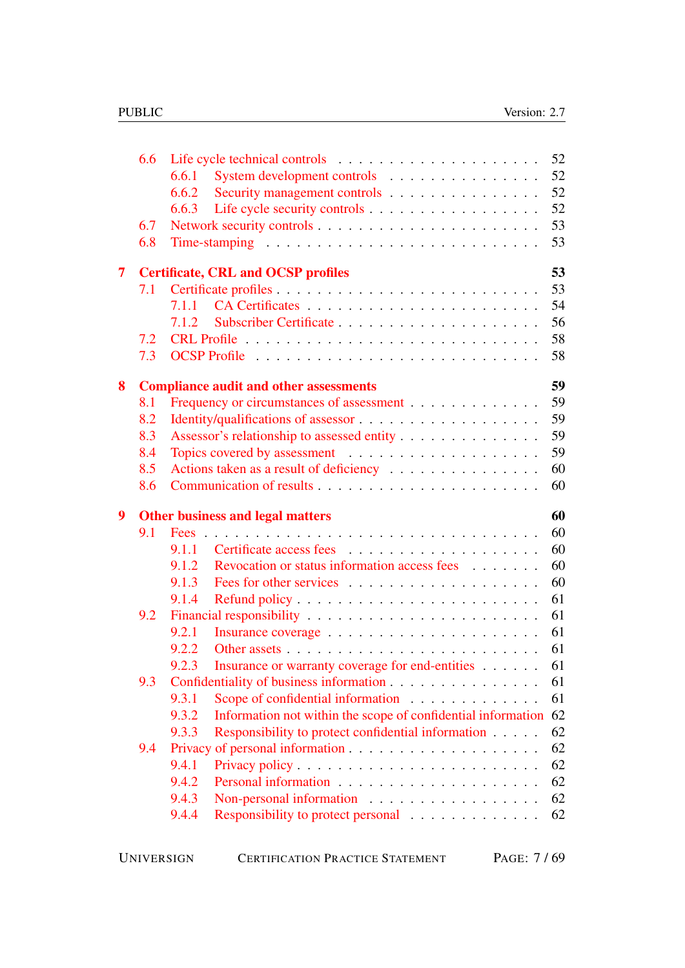|                         | 6.6 | 52                                                                          |
|-------------------------|-----|-----------------------------------------------------------------------------|
|                         |     | System development controls<br>52<br>6.6.1                                  |
|                         |     | 52<br>Security management controls<br>6.6.2                                 |
|                         |     | 52<br>6.6.3                                                                 |
|                         | 6.7 | 53                                                                          |
|                         | 6.8 | 53                                                                          |
| $\overline{\mathbf{7}}$ |     | 53<br><b>Certificate, CRL and OCSP profiles</b>                             |
|                         | 7.1 | 53                                                                          |
|                         |     | 54<br>7.1.1                                                                 |
|                         |     | 56<br>7.1.2                                                                 |
|                         | 7.2 | 58                                                                          |
|                         | 7.3 | 58                                                                          |
| 8                       |     | 59<br><b>Compliance audit and other assessments</b>                         |
|                         | 8.1 | 59<br>Frequency or circumstances of assessment                              |
|                         | 8.2 | 59                                                                          |
|                         | 8.3 | 59<br>Assessor's relationship to assessed entity                            |
|                         | 8.4 | 59                                                                          |
|                         | 8.5 | Actions taken as a result of deficiency<br>60                               |
|                         | 8.6 | 60                                                                          |
| $\boldsymbol{9}$        |     | 60<br><b>Other business and legal matters</b>                               |
|                         | 9.1 | 60                                                                          |
|                         |     | 60                                                                          |
|                         |     |                                                                             |
|                         |     | 60<br>Revocation or status information access fees<br>9.1.2                 |
|                         |     | 60<br>9.1.3                                                                 |
|                         |     | 61<br>9.1.4                                                                 |
|                         | 9.2 | 61                                                                          |
|                         |     | 61<br>9.2.1                                                                 |
|                         |     | 61<br>9.2.2                                                                 |
|                         |     | 61<br>Insurance or warranty coverage for end-entities<br>9.2.3              |
|                         | 9.3 | Confidentiality of business information<br>61                               |
|                         |     | Scope of confidential information<br>61<br>9.3.1                            |
|                         |     | Information not within the scope of confidential information<br>62<br>9.3.2 |
|                         |     | 62<br>Responsibility to protect confidential information<br>9.3.3           |
|                         | 9.4 | 62                                                                          |
|                         |     | 9.4.1<br>62                                                                 |
|                         |     | 62<br>9.4.2                                                                 |
|                         |     | 9.4.3<br>Non-personal information<br>62                                     |
|                         |     | 62<br>9.4.4<br>Responsibility to protect personal                           |

| PAGE: 7/69<br><b>UNIVERSIGN</b><br><b>CERTIFICATION PRACTICE STATEMENT</b> |  |
|----------------------------------------------------------------------------|--|
|----------------------------------------------------------------------------|--|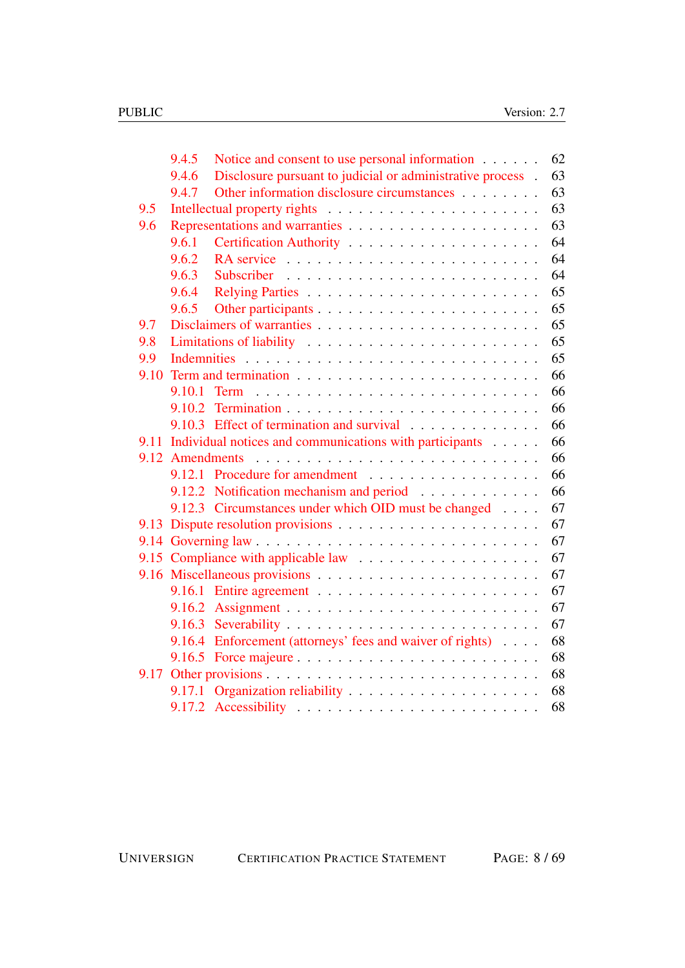|      | 9.4.5           | Notice and consent to use personal information             | 62 |
|------|-----------------|------------------------------------------------------------|----|
|      | 9.4.6           | Disclosure pursuant to judicial or administrative process. | 63 |
|      | 9.4.7           | Other information disclosure circumstances                 | 63 |
| 9.5  |                 |                                                            | 63 |
| 9.6  |                 |                                                            | 63 |
|      | 9.6.1           |                                                            | 64 |
|      | 9.6.2           |                                                            | 64 |
|      | 9.6.3           |                                                            | 64 |
|      | 9.6.4           |                                                            | 65 |
|      | 9.6.5           |                                                            | 65 |
| 9.7  |                 |                                                            | 65 |
| 9.8  |                 |                                                            | 65 |
| 9.9  |                 |                                                            | 65 |
| 9.10 |                 |                                                            | 66 |
|      |                 |                                                            | 66 |
|      | 9.10.2          |                                                            | 66 |
|      |                 | 9.10.3 Effect of termination and survival                  | 66 |
| 9.11 |                 | Individual notices and communications with participants    | 66 |
|      | 9.12 Amendments |                                                            | 66 |
|      |                 | 9.12.1 Procedure for amendment                             | 66 |
|      |                 | 9.12.2 Notification mechanism and period                   | 66 |
|      |                 | 9.12.3 Circumstances under which OID must be changed       | 67 |
| 9.13 |                 |                                                            | 67 |
|      |                 |                                                            | 67 |
|      |                 |                                                            | 67 |
|      |                 |                                                            | 67 |
|      | 9.16.1          |                                                            | 67 |
|      |                 |                                                            | 67 |
|      |                 |                                                            | 67 |
|      |                 | 9.16.4 Enforcement (attorneys' fees and waiver of rights)  | 68 |
|      |                 |                                                            | 68 |
| 9.17 |                 |                                                            | 68 |
|      | 9.17.1          |                                                            | 68 |
|      |                 |                                                            | 68 |

UNIVERSIGN CERTIFICATION PRACTICE STATEMENT PAGE: 8 / 69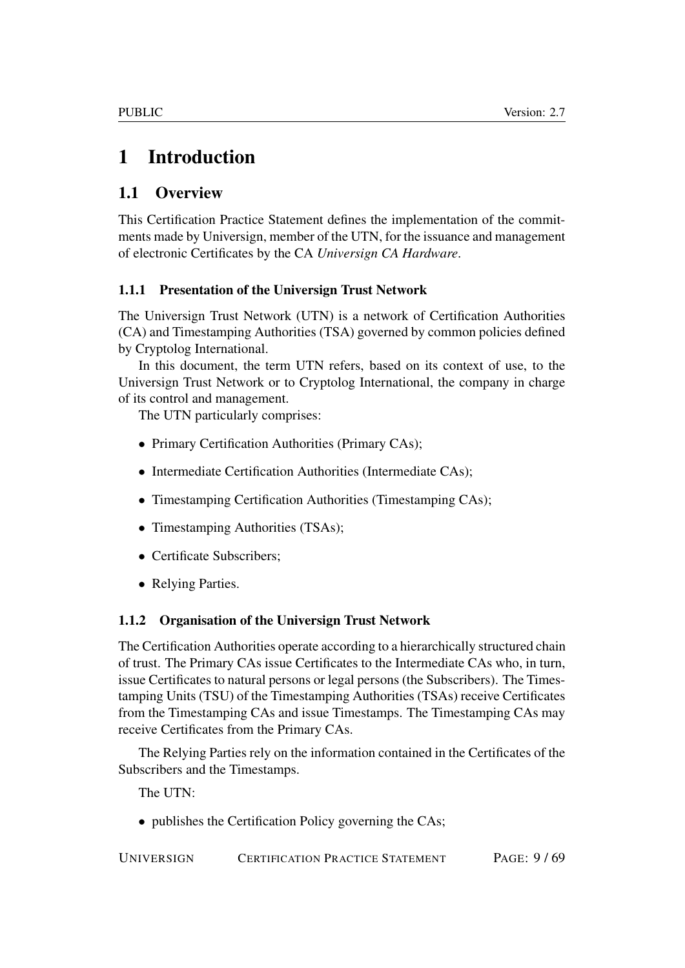# <span id="page-8-0"></span>1 Introduction

## <span id="page-8-1"></span>1.1 Overview

This Certification Practice Statement defines the implementation of the commitments made by Universign, member of the UTN, for the issuance and management of electronic Certificates by the CA *Universign CA Hardware*.

## <span id="page-8-2"></span>1.1.1 Presentation of the Universign Trust Network

The Universign Trust Network (UTN) is a network of Certification Authorities (CA) and Timestamping Authorities (TSA) governed by common policies defined by Cryptolog International.

In this document, the term UTN refers, based on its context of use, to the Universign Trust Network or to Cryptolog International, the company in charge of its control and management.

The UTN particularly comprises:

- Primary Certification Authorities (Primary CAs);
- Intermediate Certification Authorities (Intermediate CAs);
- Timestamping Certification Authorities (Timestamping CAs);
- Timestamping Authorities (TSAs);
- Certificate Subscribers;
- Relying Parties.

### <span id="page-8-3"></span>1.1.2 Organisation of the Universign Trust Network

The Certification Authorities operate according to a hierarchically structured chain of trust. The Primary CAs issue Certificates to the Intermediate CAs who, in turn, issue Certificates to natural persons or legal persons (the Subscribers). The Timestamping Units (TSU) of the Timestamping Authorities (TSAs) receive Certificates from the Timestamping CAs and issue Timestamps. The Timestamping CAs may receive Certificates from the Primary CAs.

The Relying Parties rely on the information contained in the Certificates of the Subscribers and the Timestamps.

The UTN:

• publishes the Certification Policy governing the CAs;

UNIVERSIGN CERTIFICATION PRACTICE STATEMENT PAGE: 9 / 69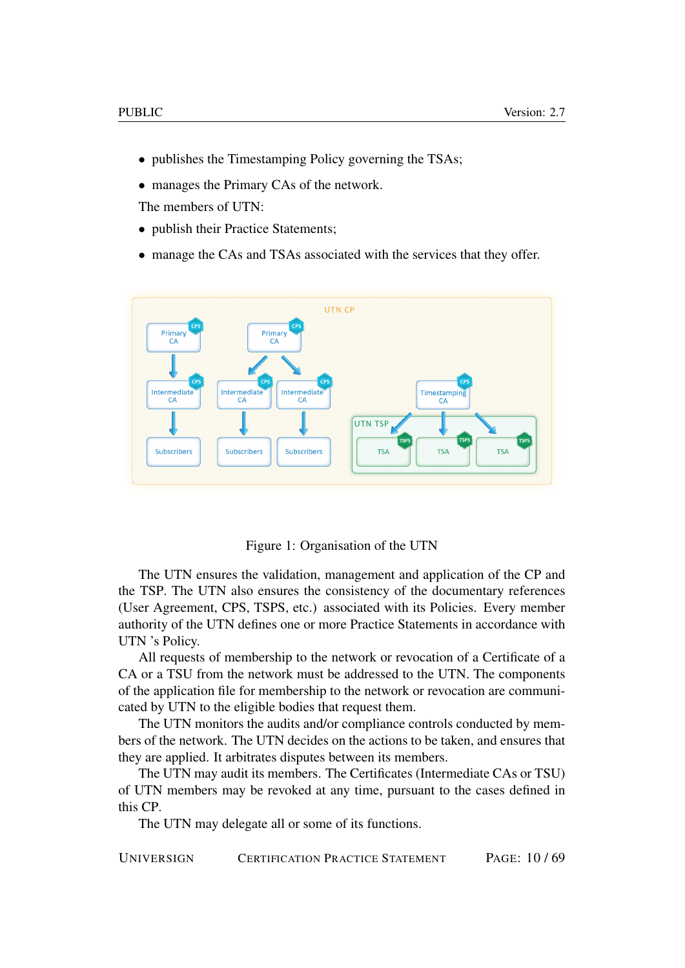- publishes the Timestamping Policy governing the TSAs;
- manages the Primary CAs of the network.

The members of UTN:

- publish their Practice Statements:
- manage the CAs and TSAs associated with the services that they offer.



Figure 1: Organisation of the UTN

The UTN ensures the validation, management and application of the CP and the TSP. The UTN also ensures the consistency of the documentary references (User Agreement, CPS, TSPS, etc.) associated with its Policies. Every member authority of the UTN defines one or more Practice Statements in accordance with UTN 's Policy.

All requests of membership to the network or revocation of a Certificate of a CA or a TSU from the network must be addressed to the UTN. The components of the application file for membership to the network or revocation are communicated by UTN to the eligible bodies that request them.

The UTN monitors the audits and/or compliance controls conducted by members of the network. The UTN decides on the actions to be taken, and ensures that they are applied. It arbitrates disputes between its members.

The UTN may audit its members. The Certificates (Intermediate CAs or TSU) of UTN members may be revoked at any time, pursuant to the cases defined in this CP.

The UTN may delegate all or some of its functions.

UNIVERSIGN CERTIFICATION PRACTICE STATEMENT PAGE: 10 / 69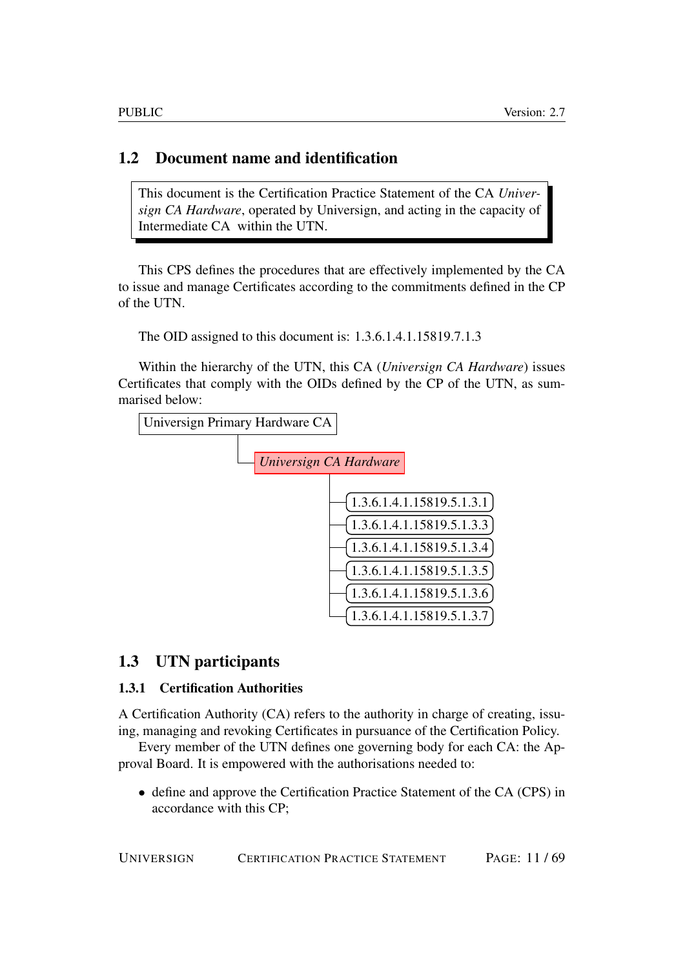## <span id="page-10-0"></span>1.2 Document name and identification

This document is the Certification Practice Statement of the CA *Universign CA Hardware*, operated by Universign, and acting in the capacity of Intermediate CA within the UTN.

This CPS defines the procedures that are effectively implemented by the CA to issue and manage Certificates according to the commitments defined in the CP of the UTN.

The OID assigned to this document is: 1.3.6.1.4.1.15819.7.1.3

Within the hierarchy of the UTN, this CA (*Universign CA Hardware*) issues Certificates that comply with the OIDs defined by the CP of the UTN, as summarised below:



## <span id="page-10-1"></span>1.3 UTN participants

## <span id="page-10-2"></span>1.3.1 Certification Authorities

A Certification Authority (CA) refers to the authority in charge of creating, issuing, managing and revoking Certificates in pursuance of the Certification Policy.

Every member of the UTN defines one governing body for each CA: the Approval Board. It is empowered with the authorisations needed to:

• define and approve the Certification Practice Statement of the CA (CPS) in accordance with this CP;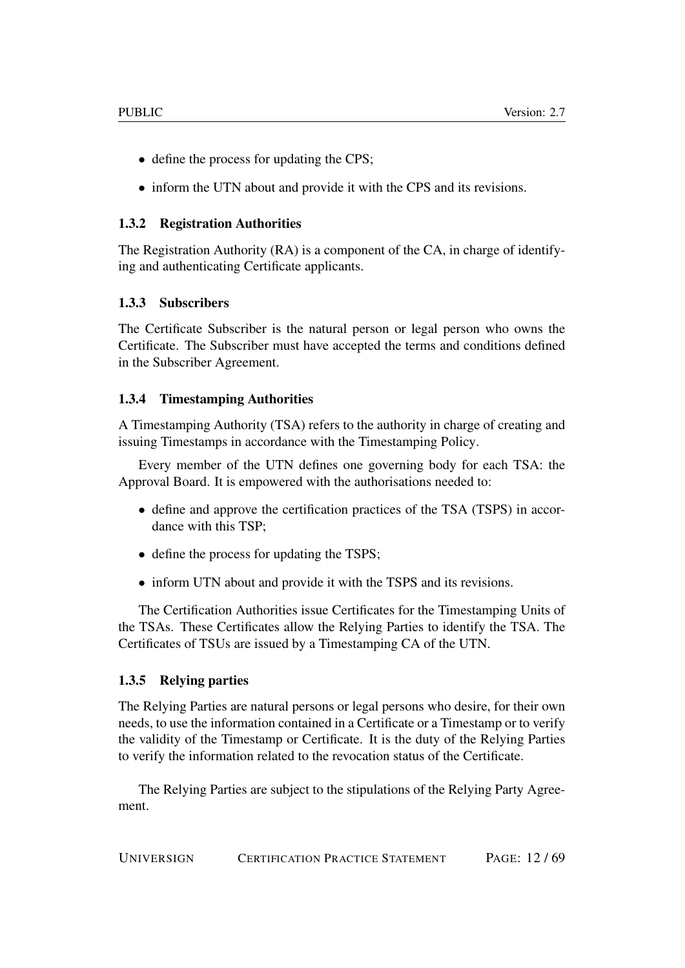- define the process for updating the CPS;
- inform the UTN about and provide it with the CPS and its revisions.

### <span id="page-11-0"></span>1.3.2 Registration Authorities

The Registration Authority (RA) is a component of the CA, in charge of identifying and authenticating Certificate applicants.

## <span id="page-11-1"></span>1.3.3 Subscribers

The Certificate Subscriber is the natural person or legal person who owns the Certificate. The Subscriber must have accepted the terms and conditions defined in the Subscriber Agreement.

## <span id="page-11-2"></span>1.3.4 Timestamping Authorities

A Timestamping Authority (TSA) refers to the authority in charge of creating and issuing Timestamps in accordance with the Timestamping Policy.

Every member of the UTN defines one governing body for each TSA: the Approval Board. It is empowered with the authorisations needed to:

- define and approve the certification practices of the TSA (TSPS) in accordance with this TSP;
- define the process for updating the TSPS;
- inform UTN about and provide it with the TSPS and its revisions.

The Certification Authorities issue Certificates for the Timestamping Units of the TSAs. These Certificates allow the Relying Parties to identify the TSA. The Certificates of TSUs are issued by a Timestamping CA of the UTN.

## <span id="page-11-3"></span>1.3.5 Relying parties

The Relying Parties are natural persons or legal persons who desire, for their own needs, to use the information contained in a Certificate or a Timestamp or to verify the validity of the Timestamp or Certificate. It is the duty of the Relying Parties to verify the information related to the revocation status of the Certificate.

The Relying Parties are subject to the stipulations of the Relying Party Agreement.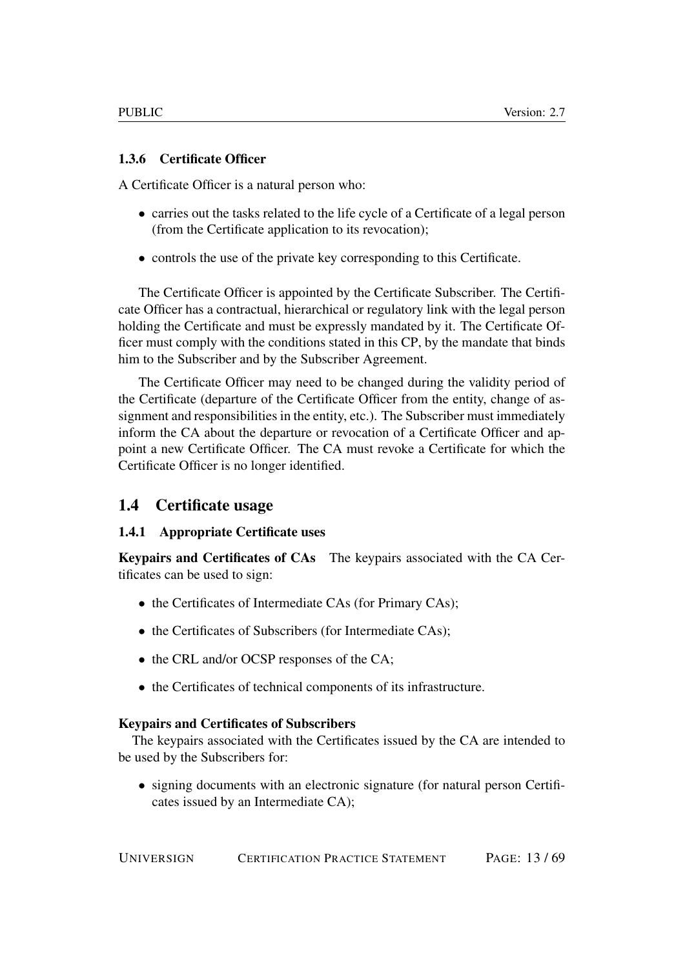## <span id="page-12-0"></span>1.3.6 Certificate Officer

A Certificate Officer is a natural person who:

- carries out the tasks related to the life cycle of a Certificate of a legal person (from the Certificate application to its revocation);
- controls the use of the private key corresponding to this Certificate.

The Certificate Officer is appointed by the Certificate Subscriber. The Certificate Officer has a contractual, hierarchical or regulatory link with the legal person holding the Certificate and must be expressly mandated by it. The Certificate Officer must comply with the conditions stated in this CP, by the mandate that binds him to the Subscriber and by the Subscriber Agreement.

The Certificate Officer may need to be changed during the validity period of the Certificate (departure of the Certificate Officer from the entity, change of assignment and responsibilities in the entity, etc.). The Subscriber must immediately inform the CA about the departure or revocation of a Certificate Officer and appoint a new Certificate Officer. The CA must revoke a Certificate for which the Certificate Officer is no longer identified.

## <span id="page-12-1"></span>1.4 Certificate usage

## <span id="page-12-2"></span>1.4.1 Appropriate Certificate uses

Keypairs and Certificates of CAs The keypairs associated with the CA Certificates can be used to sign:

- the Certificates of Intermediate CAs (for Primary CAs);
- the Certificates of Subscribers (for Intermediate CAs);
- the CRL and/or OCSP responses of the CA;
- the Certificates of technical components of its infrastructure.

### Keypairs and Certificates of Subscribers

The keypairs associated with the Certificates issued by the CA are intended to be used by the Subscribers for:

• signing documents with an electronic signature (for natural person Certificates issued by an Intermediate CA);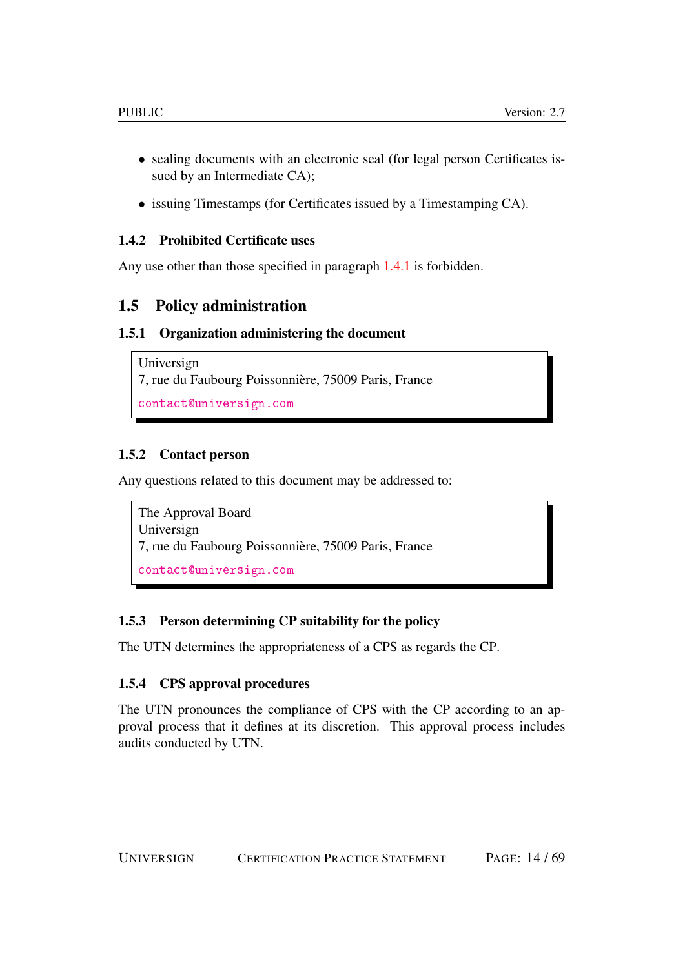- sealing documents with an electronic seal (for legal person Certificates issued by an Intermediate CA);
- issuing Timestamps (for Certificates issued by a Timestamping CA).

## <span id="page-13-0"></span>1.4.2 Prohibited Certificate uses

Any use other than those specified in paragraph [1.4.1](#page-12-2) is forbidden.

## <span id="page-13-1"></span>1.5 Policy administration

## <span id="page-13-2"></span>1.5.1 Organization administering the document

```
Universign
7, rue du Faubourg Poissonnière, 75009 Paris, France
contact@universign.com
```
## <span id="page-13-3"></span>1.5.2 Contact person

Any questions related to this document may be addressed to:

```
The Approval Board
Universign
7, rue du Faubourg Poissonnière, 75009 Paris, France
contact@universign.com
```
## <span id="page-13-4"></span>1.5.3 Person determining CP suitability for the policy

The UTN determines the appropriateness of a CPS as regards the CP.

## <span id="page-13-5"></span>1.5.4 CPS approval procedures

The UTN pronounces the compliance of CPS with the CP according to an approval process that it defines at its discretion. This approval process includes audits conducted by UTN.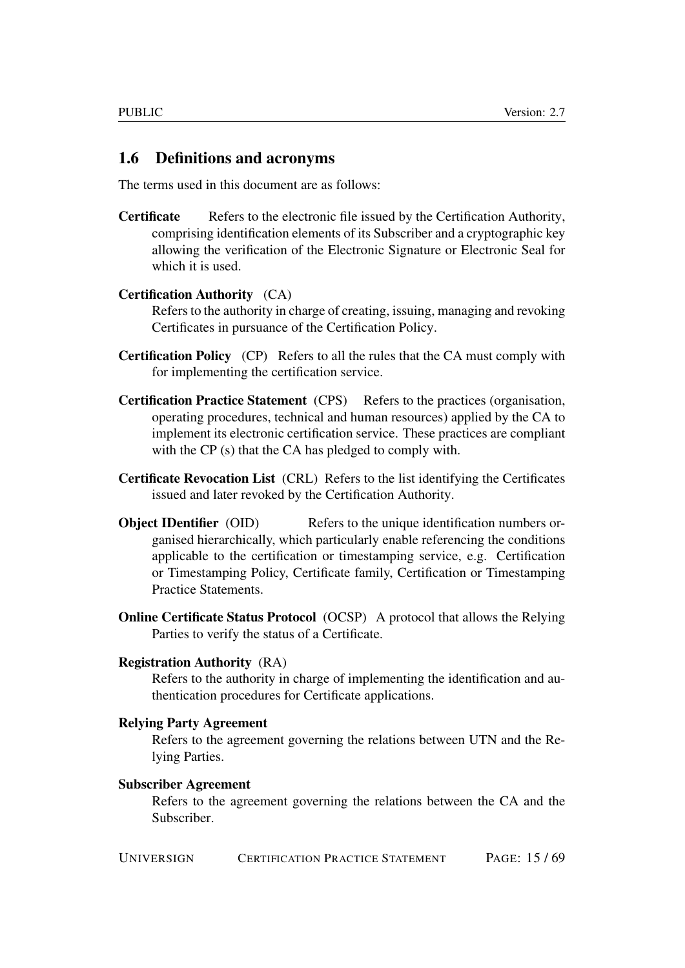## <span id="page-14-0"></span>1.6 Definitions and acronyms

The terms used in this document are as follows:

Certificate Refers to the electronic file issued by the Certification Authority, comprising identification elements of its Subscriber and a cryptographic key allowing the verification of the Electronic Signature or Electronic Seal for which it is used.

#### Certification Authority (CA)

Refers to the authority in charge of creating, issuing, managing and revoking Certificates in pursuance of the Certification Policy.

- Certification Policy (CP) Refers to all the rules that the CA must comply with for implementing the certification service.
- Certification Practice Statement (CPS) Refers to the practices (organisation, operating procedures, technical and human resources) applied by the CA to implement its electronic certification service. These practices are compliant with the CP (s) that the CA has pledged to comply with.
- Certificate Revocation List (CRL) Refers to the list identifying the Certificates issued and later revoked by the Certification Authority.
- **Object IDentifier** (OID) Refers to the unique identification numbers organised hierarchically, which particularly enable referencing the conditions applicable to the certification or timestamping service, e.g. Certification or Timestamping Policy, Certificate family, Certification or Timestamping Practice Statements.
- Online Certificate Status Protocol (OCSP) A protocol that allows the Relying Parties to verify the status of a Certificate.

#### Registration Authority (RA)

Refers to the authority in charge of implementing the identification and authentication procedures for Certificate applications.

#### Relying Party Agreement

Refers to the agreement governing the relations between UTN and the Relying Parties.

#### Subscriber Agreement

Refers to the agreement governing the relations between the CA and the Subscriber.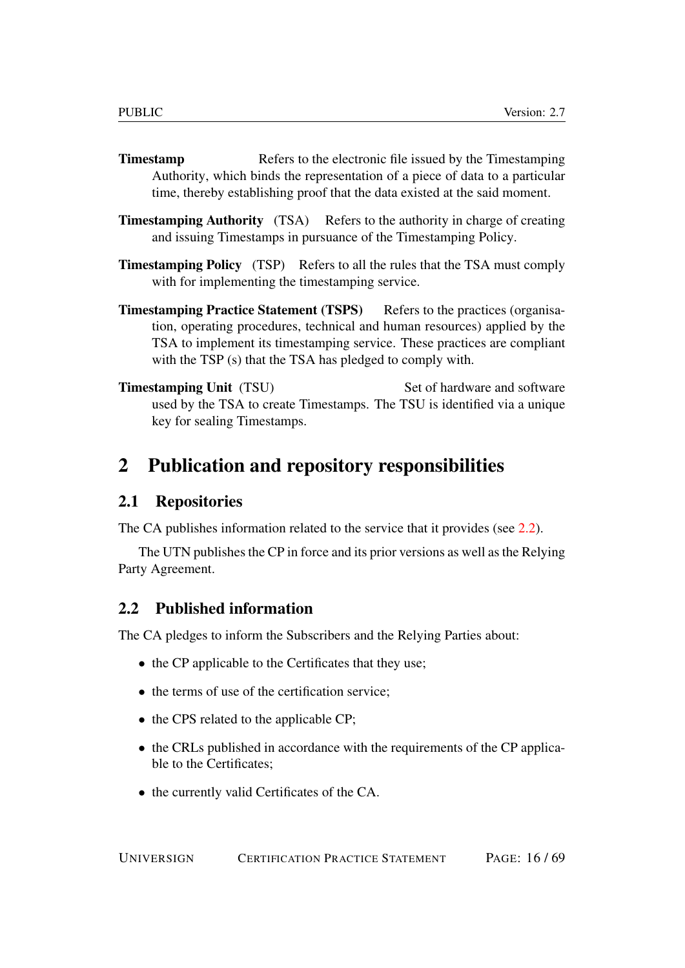- **Timestamp** Refers to the electronic file issued by the Timestamping Authority, which binds the representation of a piece of data to a particular time, thereby establishing proof that the data existed at the said moment.
- **Timestamping Authority** (TSA) Refers to the authority in charge of creating and issuing Timestamps in pursuance of the Timestamping Policy.
- Timestamping Policy (TSP) Refers to all the rules that the TSA must comply with for implementing the timestamping service.
- Timestamping Practice Statement (TSPS) Refers to the practices (organisation, operating procedures, technical and human resources) applied by the TSA to implement its timestamping service. These practices are compliant with the TSP (s) that the TSA has pledged to comply with.
- **Timestamping Unit** (TSU) Set of hardware and software used by the TSA to create Timestamps. The TSU is identified via a unique key for sealing Timestamps.

# <span id="page-15-0"></span>2 Publication and repository responsibilities

## <span id="page-15-1"></span>2.1 Repositories

The CA publishes information related to the service that it provides (see [2.2\)](#page-15-2).

The UTN publishes the CP in force and its prior versions as well as the Relying Party Agreement.

## <span id="page-15-2"></span>2.2 Published information

The CA pledges to inform the Subscribers and the Relying Parties about:

- the CP applicable to the Certificates that they use;
- the terms of use of the certification service:
- the CPS related to the applicable CP;
- the CRLs published in accordance with the requirements of the CP applicable to the Certificates;
- the currently valid Certificates of the CA.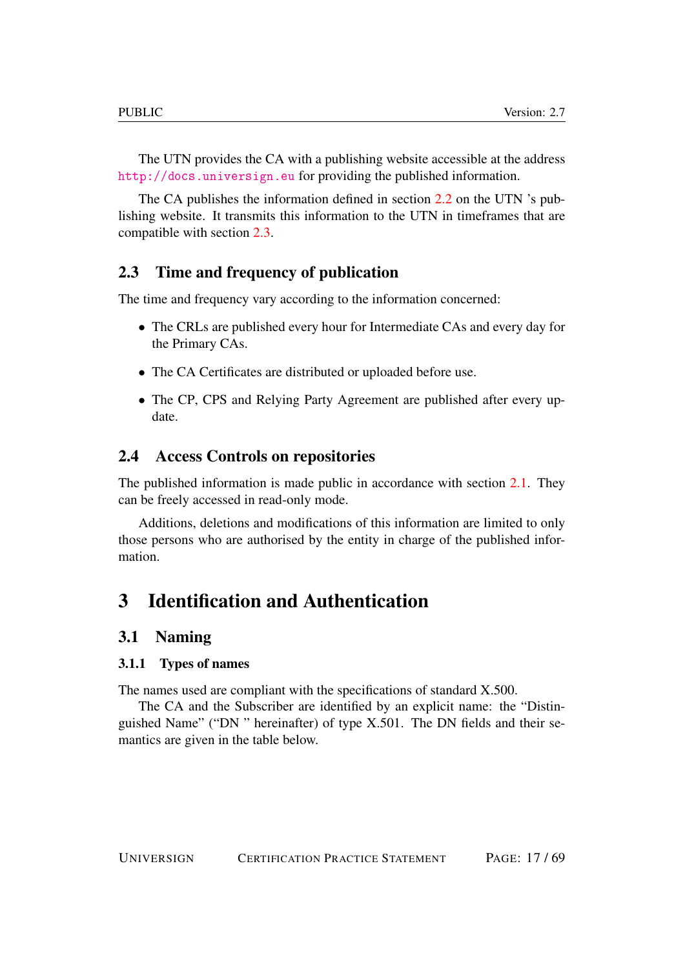The UTN provides the CA with a publishing website accessible at the address <http://docs.universign.eu> for providing the published information.

The CA publishes the information defined in section [2.2](#page-15-2) on the UTN 's publishing website. It transmits this information to the UTN in timeframes that are compatible with section [2.3.](#page-16-0)

## <span id="page-16-0"></span>2.3 Time and frequency of publication

The time and frequency vary according to the information concerned:

- The CRLs are published every hour for Intermediate CAs and every day for the Primary CAs.
- The CA Certificates are distributed or uploaded before use.
- The CP, CPS and Relying Party Agreement are published after every update.

## <span id="page-16-1"></span>2.4 Access Controls on repositories

The published information is made public in accordance with section [2.1.](#page-15-1) They can be freely accessed in read-only mode.

Additions, deletions and modifications of this information are limited to only those persons who are authorised by the entity in charge of the published information.

# <span id="page-16-2"></span>3 Identification and Authentication

## <span id="page-16-3"></span>3.1 Naming

## <span id="page-16-4"></span>3.1.1 Types of names

The names used are compliant with the specifications of standard X.500.

The CA and the Subscriber are identified by an explicit name: the "Distinguished Name" ("DN " hereinafter) of type X.501. The DN fields and their semantics are given in the table below.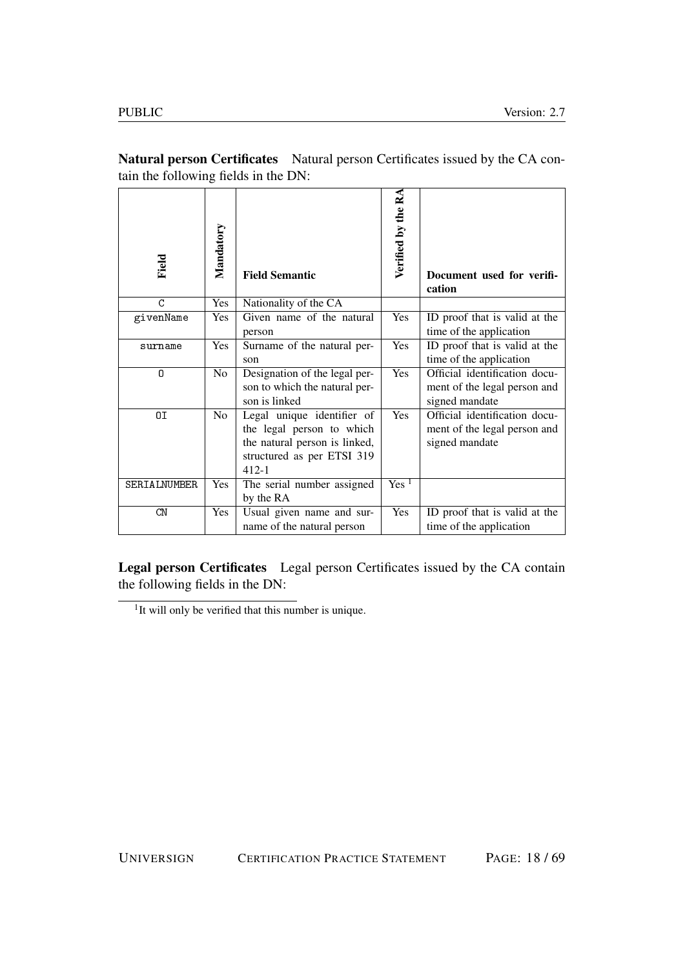| Field        | Mandatory      | <b>Field Semantic</b>                                                                                                               | Verified by the RA | Document used for verifi-<br>cation                                             |
|--------------|----------------|-------------------------------------------------------------------------------------------------------------------------------------|--------------------|---------------------------------------------------------------------------------|
| C            | Yes            | Nationality of the CA                                                                                                               |                    |                                                                                 |
| givenName    | Yes            | Given name of the natural<br>person                                                                                                 | Yes                | ID proof that is valid at the<br>time of the application                        |
| surname      | Yes            | Surname of the natural per-<br>son                                                                                                  | Yes                | ID proof that is valid at the<br>time of the application                        |
| 0            | N <sub>o</sub> | Designation of the legal per-<br>son to which the natural per-<br>son is linked                                                     | Yes                | Official identification docu-<br>ment of the legal person and<br>signed mandate |
| 0I           | N <sub>o</sub> | Legal unique identifier of<br>the legal person to which<br>the natural person is linked,<br>structured as per ETSI 319<br>$412 - 1$ | Yes                | Official identification docu-<br>ment of the legal person and<br>signed mandate |
| SERIALNUMBER | Yes            | The serial number assigned<br>by the RA                                                                                             | Yes <sup>1</sup>   |                                                                                 |
| CN           | <b>Yes</b>     | Usual given name and sur-<br>name of the natural person                                                                             | Yes                | ID proof that is valid at the<br>time of the application                        |

Natural person Certificates Natural person Certificates issued by the CA contain the following fields in the DN:

Legal person Certificates Legal person Certificates issued by the CA contain the following fields in the DN:

<sup>&</sup>lt;sup>1</sup>It will only be verified that this number is unique.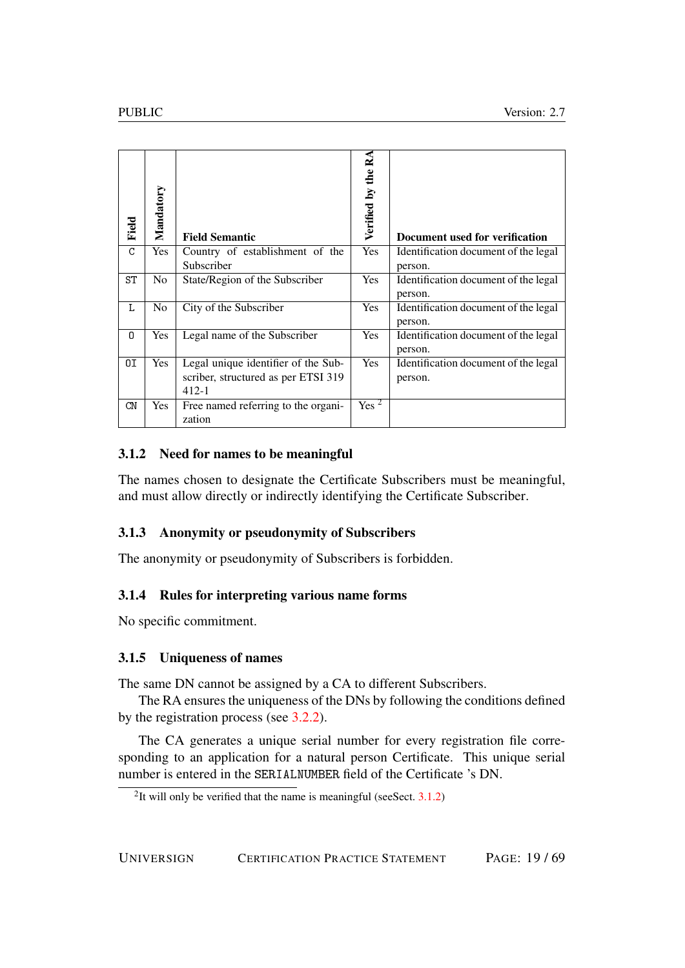| Field | Mandatory      | <b>Field Semantic</b>                                                                   | Verified by the RA | Document used for verification                  |
|-------|----------------|-----------------------------------------------------------------------------------------|--------------------|-------------------------------------------------|
| C     | <b>Yes</b>     | Country of establishment of the<br>Subscriber                                           | Yes                | Identification document of the legal<br>person. |
| ST    | N <sub>0</sub> | State/Region of the Subscriber                                                          | Yes                | Identification document of the legal<br>person. |
| L     | N <sub>0</sub> | City of the Subscriber                                                                  | Yes                | Identification document of the legal<br>person. |
| 0     | Yes            | Legal name of the Subscriber                                                            | Yes                | Identification document of the legal<br>person. |
| ΟI    | <b>Yes</b>     | Legal unique identifier of the Sub-<br>scriber, structured as per ETSI 319<br>$412 - 1$ | Yes                | Identification document of the legal<br>person. |
| CN    | Yes            | Free named referring to the organi-<br>zation                                           | Yes <sup>2</sup>   |                                                 |

## <span id="page-18-0"></span>3.1.2 Need for names to be meaningful

The names chosen to designate the Certificate Subscribers must be meaningful, and must allow directly or indirectly identifying the Certificate Subscriber.

## <span id="page-18-1"></span>3.1.3 Anonymity or pseudonymity of Subscribers

The anonymity or pseudonymity of Subscribers is forbidden.

### <span id="page-18-2"></span>3.1.4 Rules for interpreting various name forms

No specific commitment.

### <span id="page-18-3"></span>3.1.5 Uniqueness of names

The same DN cannot be assigned by a CA to different Subscribers.

The RA ensures the uniqueness of the DNs by following the conditions defined by the registration process (see [3.2.2\)](#page-19-3).

The CA generates a unique serial number for every registration file corresponding to an application for a natural person Certificate. This unique serial number is entered in the SERIALNUMBER field of the Certificate 's DN.

<sup>&</sup>lt;sup>2</sup>It will only be verified that the name is meaningful (see Sect.  $3.1.2$ )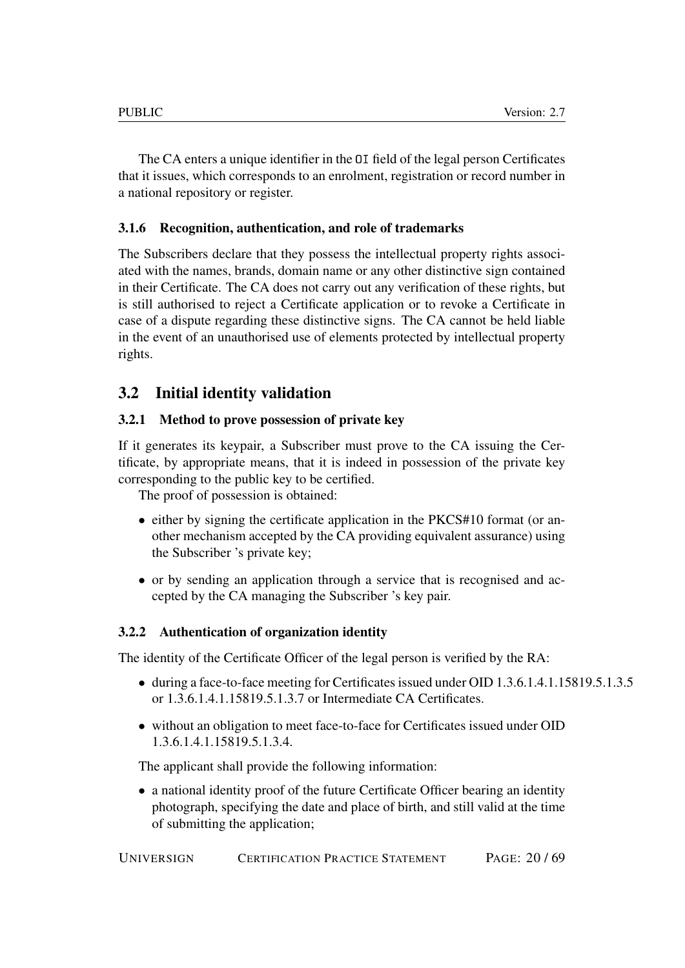The CA enters a unique identifier in the OI field of the legal person Certificates that it issues, which corresponds to an enrolment, registration or record number in a national repository or register.

## <span id="page-19-0"></span>3.1.6 Recognition, authentication, and role of trademarks

The Subscribers declare that they possess the intellectual property rights associated with the names, brands, domain name or any other distinctive sign contained in their Certificate. The CA does not carry out any verification of these rights, but is still authorised to reject a Certificate application or to revoke a Certificate in case of a dispute regarding these distinctive signs. The CA cannot be held liable in the event of an unauthorised use of elements protected by intellectual property rights.

## <span id="page-19-1"></span>3.2 Initial identity validation

### <span id="page-19-2"></span>3.2.1 Method to prove possession of private key

If it generates its keypair, a Subscriber must prove to the CA issuing the Certificate, by appropriate means, that it is indeed in possession of the private key corresponding to the public key to be certified.

The proof of possession is obtained:

- either by signing the certificate application in the PKCS#10 format (or another mechanism accepted by the CA providing equivalent assurance) using the Subscriber 's private key;
- or by sending an application through a service that is recognised and accepted by the CA managing the Subscriber 's key pair.

### <span id="page-19-3"></span>3.2.2 Authentication of organization identity

The identity of the Certificate Officer of the legal person is verified by the RA:

- during a face-to-face meeting for Certificates issued under OID 1.3.6.1.4.1.15819.5.1.3.5 or 1.3.6.1.4.1.15819.5.1.3.7 or Intermediate CA Certificates.
- without an obligation to meet face-to-face for Certificates issued under OID 1.3.6.1.4.1.15819.5.1.3.4.

The applicant shall provide the following information:

• a national identity proof of the future Certificate Officer bearing an identity photograph, specifying the date and place of birth, and still valid at the time of submitting the application;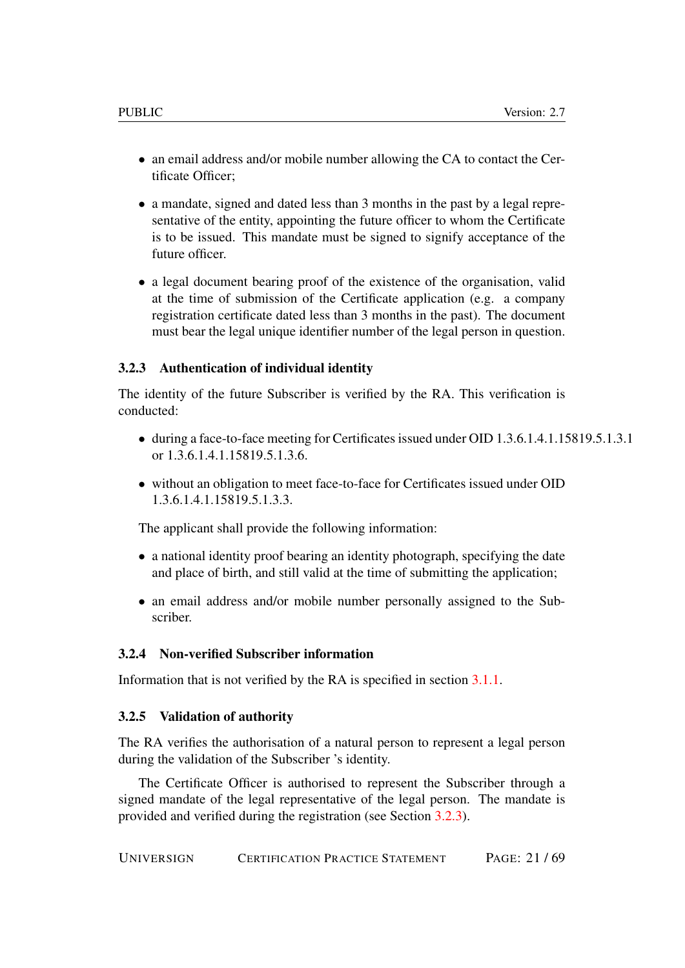- an email address and/or mobile number allowing the CA to contact the Certificate Officer;
- a mandate, signed and dated less than 3 months in the past by a legal representative of the entity, appointing the future officer to whom the Certificate is to be issued. This mandate must be signed to signify acceptance of the future officer.
- a legal document bearing proof of the existence of the organisation, valid at the time of submission of the Certificate application (e.g. a company registration certificate dated less than 3 months in the past). The document must bear the legal unique identifier number of the legal person in question.

#### <span id="page-20-0"></span>3.2.3 Authentication of individual identity

The identity of the future Subscriber is verified by the RA. This verification is conducted:

- during a face-to-face meeting for Certificates issued under OID 1.3.6.1.4.1.15819.5.1.3.1 or 1.3.6.1.4.1.15819.5.1.3.6.
- without an obligation to meet face-to-face for Certificates issued under OID 1.3.6.1.4.1.15819.5.1.3.3.

The applicant shall provide the following information:

- a national identity proof bearing an identity photograph, specifying the date and place of birth, and still valid at the time of submitting the application;
- an email address and/or mobile number personally assigned to the Subscriber.

## <span id="page-20-1"></span>3.2.4 Non-verified Subscriber information

Information that is not verified by the RA is specified in section [3.1.1.](#page-16-4)

#### <span id="page-20-2"></span>3.2.5 Validation of authority

The RA verifies the authorisation of a natural person to represent a legal person during the validation of the Subscriber 's identity.

The Certificate Officer is authorised to represent the Subscriber through a signed mandate of the legal representative of the legal person. The mandate is provided and verified during the registration (see Section [3.2.3\)](#page-20-0).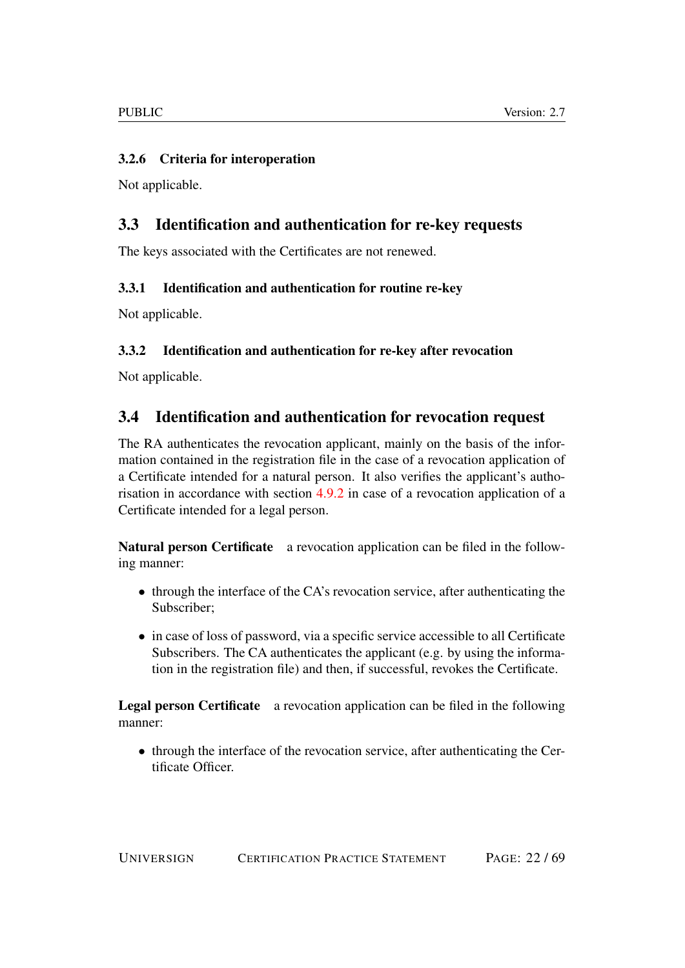## <span id="page-21-0"></span>3.2.6 Criteria for interoperation

Not applicable.

## <span id="page-21-1"></span>3.3 Identification and authentication for re-key requests

The keys associated with the Certificates are not renewed.

## <span id="page-21-2"></span>3.3.1 Identification and authentication for routine re-key

Not applicable.

## <span id="page-21-3"></span>3.3.2 Identification and authentication for re-key after revocation

Not applicable.

## <span id="page-21-4"></span>3.4 Identification and authentication for revocation request

The RA authenticates the revocation applicant, mainly on the basis of the information contained in the registration file in the case of a revocation application of a Certificate intended for a natural person. It also verifies the applicant's authorisation in accordance with section [4.9.2](#page-28-0) in case of a revocation application of a Certificate intended for a legal person.

Natural person Certificate a revocation application can be filed in the following manner:

- through the interface of the CA's revocation service, after authenticating the Subscriber;
- in case of loss of password, via a specific service accessible to all Certificate Subscribers. The CA authenticates the applicant (e.g. by using the information in the registration file) and then, if successful, revokes the Certificate.

Legal person Certificate a revocation application can be filed in the following manner:

• through the interface of the revocation service, after authenticating the Certificate Officer.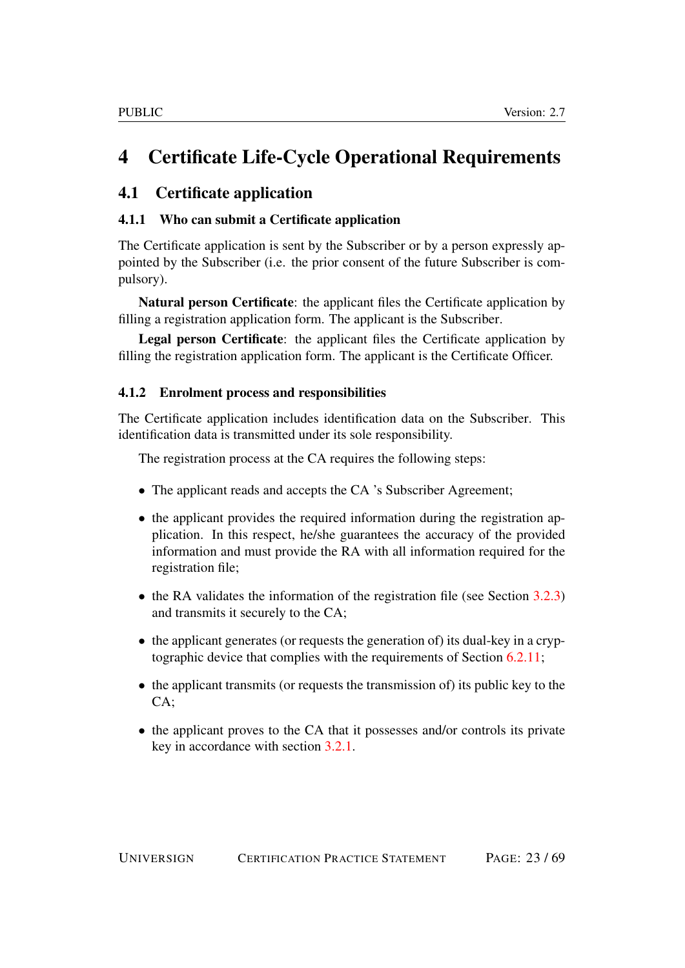# <span id="page-22-0"></span>4 Certificate Life-Cycle Operational Requirements

## <span id="page-22-1"></span>4.1 Certificate application

## <span id="page-22-2"></span>4.1.1 Who can submit a Certificate application

The Certificate application is sent by the Subscriber or by a person expressly appointed by the Subscriber (i.e. the prior consent of the future Subscriber is compulsory).

Natural person Certificate: the applicant files the Certificate application by filling a registration application form. The applicant is the Subscriber.

Legal person Certificate: the applicant files the Certificate application by filling the registration application form. The applicant is the Certificate Officer.

### <span id="page-22-3"></span>4.1.2 Enrolment process and responsibilities

The Certificate application includes identification data on the Subscriber. This identification data is transmitted under its sole responsibility.

The registration process at the CA requires the following steps:

- The applicant reads and accepts the CA 's Subscriber Agreement;
- the applicant provides the required information during the registration application. In this respect, he/she guarantees the accuracy of the provided information and must provide the RA with all information required for the registration file;
- the RA validates the information of the registration file (see Section [3.2.3\)](#page-20-0) and transmits it securely to the CA;
- the applicant generates (or requests the generation of) its dual-key in a cryptographic device that complies with the requirements of Section [6.2.11;](#page-47-4)
- the applicant transmits (or requests the transmission of) its public key to the  $CA:$
- the applicant proves to the CA that it possesses and/or controls its private key in accordance with section [3.2.1.](#page-19-2)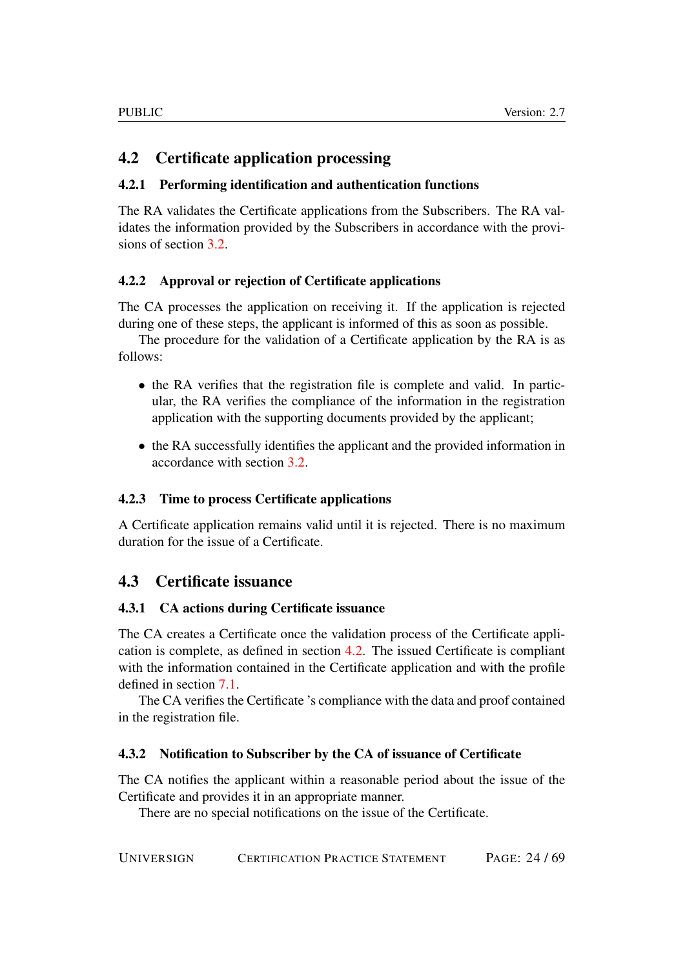## <span id="page-23-0"></span>4.2 Certificate application processing

## <span id="page-23-1"></span>4.2.1 Performing identification and authentication functions

The RA validates the Certificate applications from the Subscribers. The RA validates the information provided by the Subscribers in accordance with the provisions of section [3.2.](#page-19-1)

## <span id="page-23-2"></span>4.2.2 Approval or rejection of Certificate applications

The CA processes the application on receiving it. If the application is rejected during one of these steps, the applicant is informed of this as soon as possible.

The procedure for the validation of a Certificate application by the RA is as follows:

- the RA verifies that the registration file is complete and valid. In particular, the RA verifies the compliance of the information in the registration application with the supporting documents provided by the applicant;
- the RA successfully identifies the applicant and the provided information in accordance with section [3.2.](#page-19-1)

### <span id="page-23-3"></span>4.2.3 Time to process Certificate applications

A Certificate application remains valid until it is rejected. There is no maximum duration for the issue of a Certificate.

## <span id="page-23-4"></span>4.3 Certificate issuance

### <span id="page-23-5"></span>4.3.1 CA actions during Certificate issuance

The CA creates a Certificate once the validation process of the Certificate application is complete, as defined in section [4.2.](#page-23-0) The issued Certificate is compliant with the information contained in the Certificate application and with the profile defined in section [7.1.](#page-52-3)

The CA verifies the Certificate 's compliance with the data and proof contained in the registration file.

### <span id="page-23-6"></span>4.3.2 Notification to Subscriber by the CA of issuance of Certificate

The CA notifies the applicant within a reasonable period about the issue of the Certificate and provides it in an appropriate manner.

There are no special notifications on the issue of the Certificate.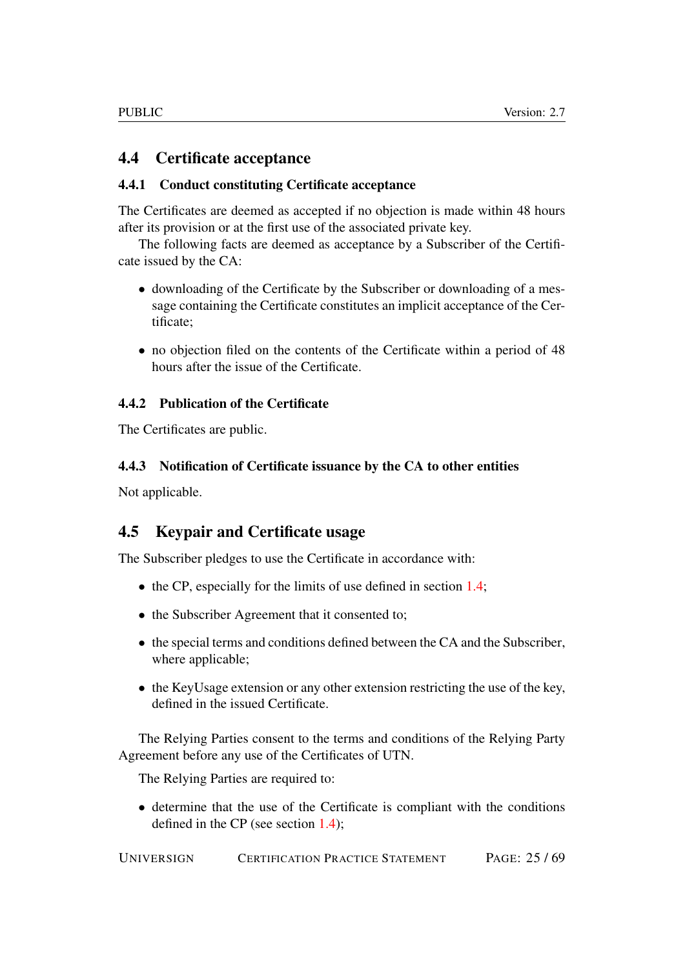## <span id="page-24-0"></span>4.4 Certificate acceptance

## <span id="page-24-1"></span>4.4.1 Conduct constituting Certificate acceptance

The Certificates are deemed as accepted if no objection is made within 48 hours after its provision or at the first use of the associated private key.

The following facts are deemed as acceptance by a Subscriber of the Certificate issued by the CA:

- downloading of the Certificate by the Subscriber or downloading of a message containing the Certificate constitutes an implicit acceptance of the Certificate;
- no objection filed on the contents of the Certificate within a period of 48 hours after the issue of the Certificate.

### <span id="page-24-2"></span>4.4.2 Publication of the Certificate

The Certificates are public.

## <span id="page-24-3"></span>4.4.3 Notification of Certificate issuance by the CA to other entities

Not applicable.

## <span id="page-24-4"></span>4.5 Keypair and Certificate usage

The Subscriber pledges to use the Certificate in accordance with:

- the CP, especially for the limits of use defined in section [1.4;](#page-12-1)
- the Subscriber Agreement that it consented to;
- the special terms and conditions defined between the CA and the Subscriber, where applicable;
- the KeyUsage extension or any other extension restricting the use of the key, defined in the issued Certificate.

The Relying Parties consent to the terms and conditions of the Relying Party Agreement before any use of the Certificates of UTN.

The Relying Parties are required to:

• determine that the use of the Certificate is compliant with the conditions defined in the CP (see section [1.4\)](#page-12-1);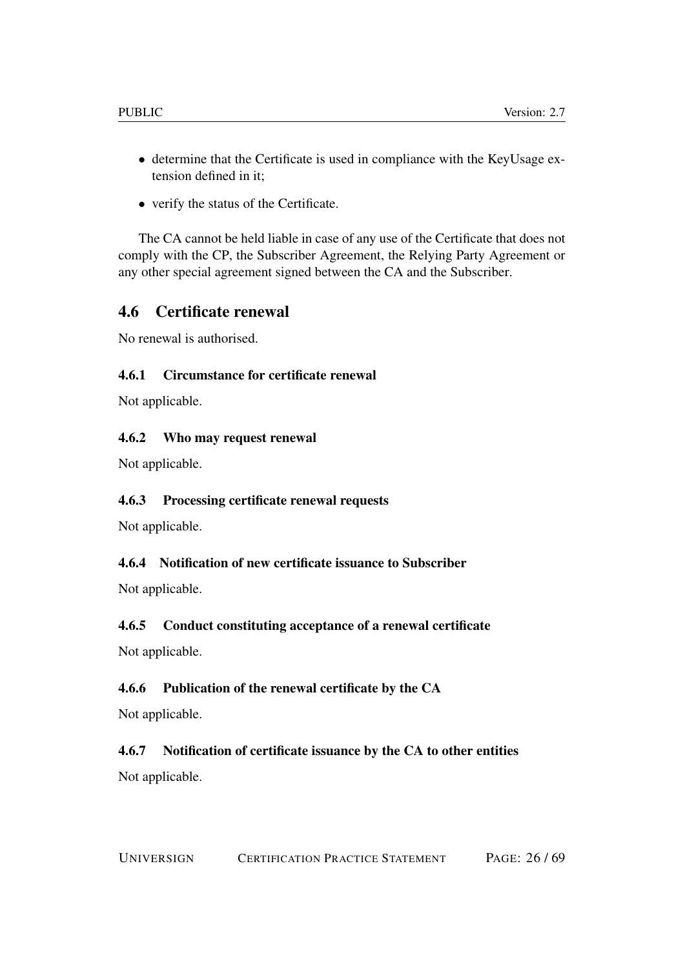- determine that the Certificate is used in compliance with the KeyUsage extension defined in it;
- verify the status of the Certificate.

The CA cannot be held liable in case of any use of the Certificate that does not comply with the CP, the Subscriber Agreement, the Relying Party Agreement or any other special agreement signed between the CA and the Subscriber.

## <span id="page-25-0"></span>4.6 Certificate renewal

No renewal is authorised.

## <span id="page-25-1"></span>4.6.1 Circumstance for certificate renewal

Not applicable.

### <span id="page-25-2"></span>4.6.2 Who may request renewal

Not applicable.

### <span id="page-25-3"></span>4.6.3 Processing certificate renewal requests

Not applicable.

### <span id="page-25-4"></span>4.6.4 Notification of new certificate issuance to Subscriber

Not applicable.

## <span id="page-25-5"></span>4.6.5 Conduct constituting acceptance of a renewal certificate

Not applicable.

### <span id="page-25-6"></span>4.6.6 Publication of the renewal certificate by the CA

Not applicable.

# <span id="page-25-7"></span>4.6.7 Notification of certificate issuance by the CA to other entities

Not applicable.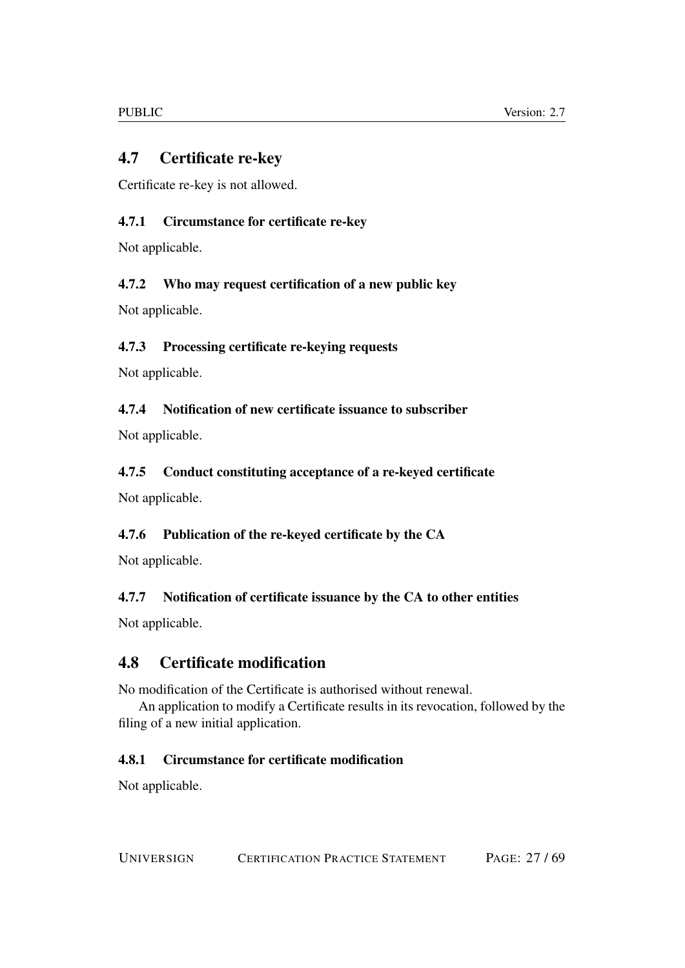## <span id="page-26-0"></span>4.7 Certificate re-key

Certificate re-key is not allowed.

## <span id="page-26-1"></span>4.7.1 Circumstance for certificate re-key

Not applicable.

## <span id="page-26-2"></span>4.7.2 Who may request certification of a new public key

Not applicable.

## <span id="page-26-3"></span>4.7.3 Processing certificate re-keying requests

Not applicable.

## <span id="page-26-4"></span>4.7.4 Notification of new certificate issuance to subscriber

Not applicable.

## <span id="page-26-5"></span>4.7.5 Conduct constituting acceptance of a re-keyed certificate

Not applicable.

## <span id="page-26-6"></span>4.7.6 Publication of the re-keyed certificate by the CA

Not applicable.

## <span id="page-26-7"></span>4.7.7 Notification of certificate issuance by the CA to other entities

Not applicable.

## <span id="page-26-8"></span>4.8 Certificate modification

No modification of the Certificate is authorised without renewal.

An application to modify a Certificate results in its revocation, followed by the filing of a new initial application.

## <span id="page-26-9"></span>4.8.1 Circumstance for certificate modification

Not applicable.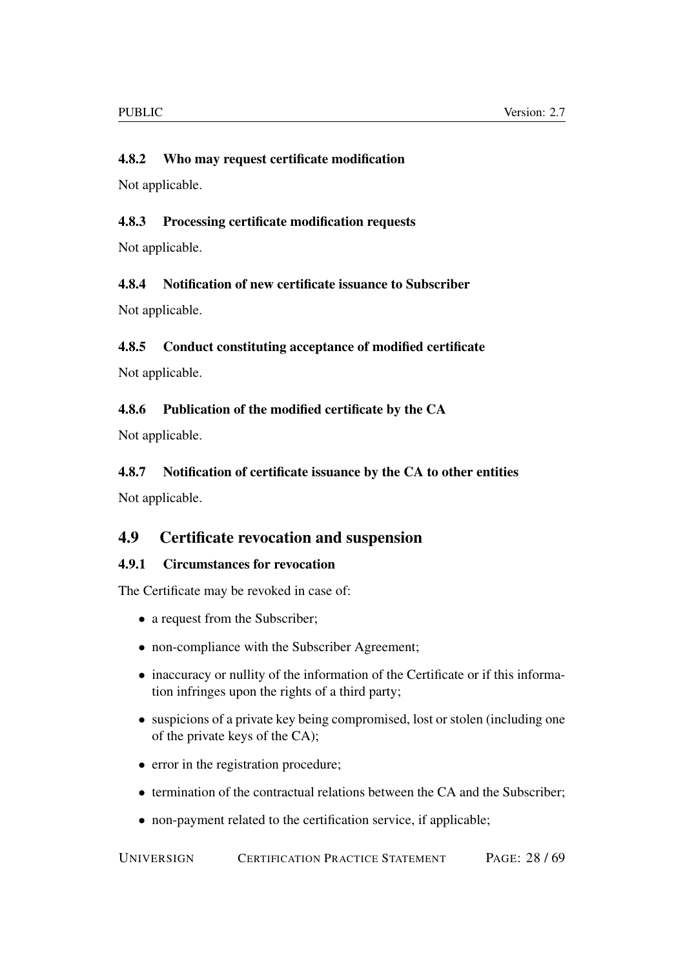## <span id="page-27-0"></span>4.8.2 Who may request certificate modification

Not applicable.

## <span id="page-27-1"></span>4.8.3 Processing certificate modification requests

Not applicable.

### <span id="page-27-2"></span>4.8.4 Notification of new certificate issuance to Subscriber

Not applicable.

### <span id="page-27-3"></span>4.8.5 Conduct constituting acceptance of modified certificate

Not applicable.

### <span id="page-27-4"></span>4.8.6 Publication of the modified certificate by the CA

Not applicable.

### <span id="page-27-5"></span>4.8.7 Notification of certificate issuance by the CA to other entities

Not applicable.

## <span id="page-27-6"></span>4.9 Certificate revocation and suspension

### <span id="page-27-7"></span>4.9.1 Circumstances for revocation

The Certificate may be revoked in case of:

- a request from the Subscriber;
- non-compliance with the Subscriber Agreement;
- inaccuracy or nullity of the information of the Certificate or if this information infringes upon the rights of a third party;
- suspicions of a private key being compromised, lost or stolen (including one of the private keys of the CA);
- error in the registration procedure;
- termination of the contractual relations between the CA and the Subscriber;
- non-payment related to the certification service, if applicable;

UNIVERSIGN CERTIFICATION PRACTICE STATEMENT PAGE: 28 / 69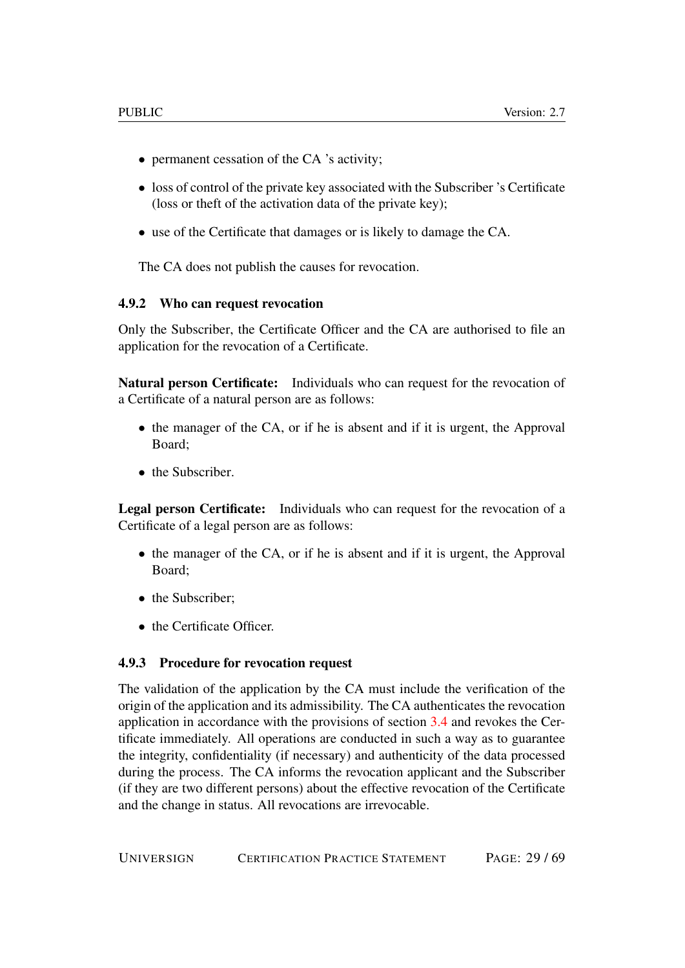- permanent cessation of the CA 's activity;
- loss of control of the private key associated with the Subscriber 's Certificate (loss or theft of the activation data of the private key);
- use of the Certificate that damages or is likely to damage the CA.

The CA does not publish the causes for revocation.

#### <span id="page-28-0"></span>4.9.2 Who can request revocation

Only the Subscriber, the Certificate Officer and the CA are authorised to file an application for the revocation of a Certificate.

Natural person Certificate: Individuals who can request for the revocation of a Certificate of a natural person are as follows:

- the manager of the CA, or if he is absent and if it is urgent, the Approval Board;
- the Subscriber.

Legal person Certificate: Individuals who can request for the revocation of a Certificate of a legal person are as follows:

- the manager of the CA, or if he is absent and if it is urgent, the Approval Board;
- the Subscriber:
- the Certificate Officer.

#### <span id="page-28-1"></span>4.9.3 Procedure for revocation request

The validation of the application by the CA must include the verification of the origin of the application and its admissibility. The CA authenticates the revocation application in accordance with the provisions of section [3.4](#page-21-4) and revokes the Certificate immediately. All operations are conducted in such a way as to guarantee the integrity, confidentiality (if necessary) and authenticity of the data processed during the process. The CA informs the revocation applicant and the Subscriber (if they are two different persons) about the effective revocation of the Certificate and the change in status. All revocations are irrevocable.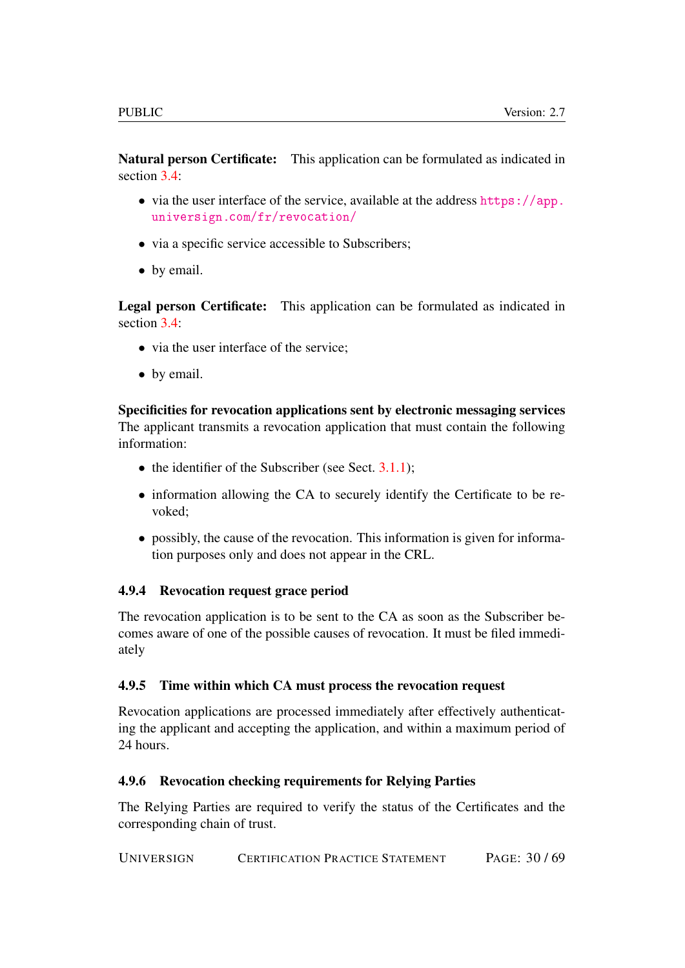Natural person Certificate: This application can be formulated as indicated in section  $3.4$ :

- via the user interface of the service, available at the address [https://app.](https://app.universign.com/fr/revocation/) [universign.com/fr/revocation/](https://app.universign.com/fr/revocation/)
- via a specific service accessible to Subscribers;
- by email.

Legal person Certificate: This application can be formulated as indicated in section [3.4:](#page-21-4)

- via the user interface of the service:
- by email.

Specificities for revocation applications sent by electronic messaging services The applicant transmits a revocation application that must contain the following information:

- the identifier of the Subscriber (see Sect.  $3.1.1$ );
- information allowing the CA to securely identify the Certificate to be revoked;
- possibly, the cause of the revocation. This information is given for information purposes only and does not appear in the CRL.

### <span id="page-29-0"></span>4.9.4 Revocation request grace period

The revocation application is to be sent to the CA as soon as the Subscriber becomes aware of one of the possible causes of revocation. It must be filed immediately

### <span id="page-29-1"></span>4.9.5 Time within which CA must process the revocation request

Revocation applications are processed immediately after effectively authenticating the applicant and accepting the application, and within a maximum period of 24 hours.

### <span id="page-29-2"></span>4.9.6 Revocation checking requirements for Relying Parties

The Relying Parties are required to verify the status of the Certificates and the corresponding chain of trust.

UNIVERSIGN CERTIFICATION PRACTICE STATEMENT PAGE: 30 / 69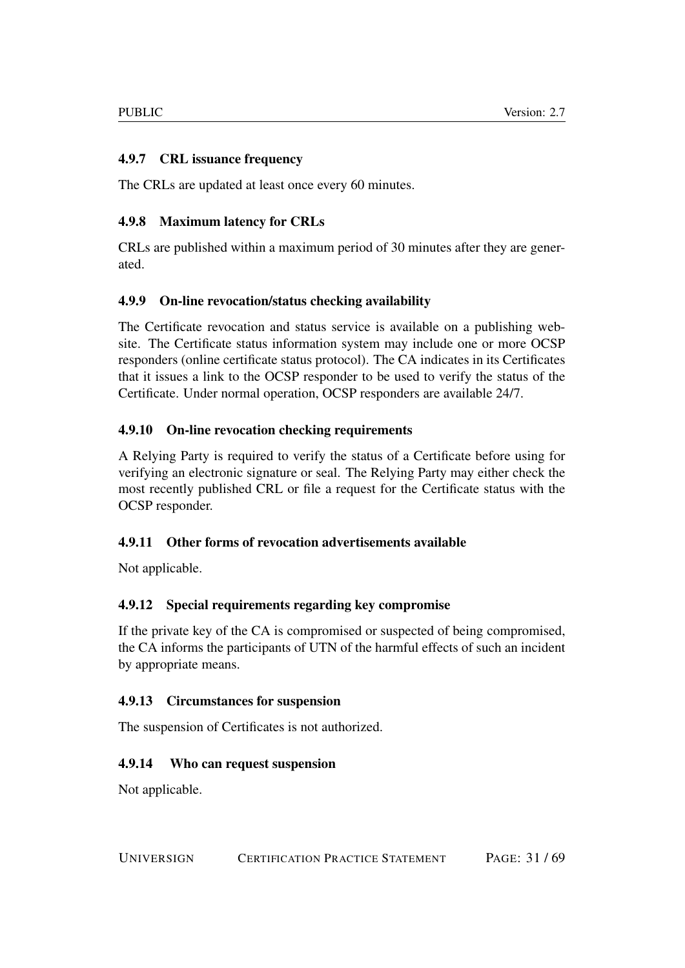## <span id="page-30-0"></span>4.9.7 CRL issuance frequency

The CRLs are updated at least once every 60 minutes.

## <span id="page-30-1"></span>4.9.8 Maximum latency for CRLs

CRLs are published within a maximum period of 30 minutes after they are generated.

## <span id="page-30-2"></span>4.9.9 On-line revocation/status checking availability

The Certificate revocation and status service is available on a publishing website. The Certificate status information system may include one or more OCSP responders (online certificate status protocol). The CA indicates in its Certificates that it issues a link to the OCSP responder to be used to verify the status of the Certificate. Under normal operation, OCSP responders are available 24/7.

## <span id="page-30-3"></span>4.9.10 On-line revocation checking requirements

A Relying Party is required to verify the status of a Certificate before using for verifying an electronic signature or seal. The Relying Party may either check the most recently published CRL or file a request for the Certificate status with the OCSP responder.

## <span id="page-30-4"></span>4.9.11 Other forms of revocation advertisements available

Not applicable.

## <span id="page-30-5"></span>4.9.12 Special requirements regarding key compromise

If the private key of the CA is compromised or suspected of being compromised, the CA informs the participants of UTN of the harmful effects of such an incident by appropriate means.

### <span id="page-30-6"></span>4.9.13 Circumstances for suspension

The suspension of Certificates is not authorized.

### <span id="page-30-7"></span>4.9.14 Who can request suspension

Not applicable.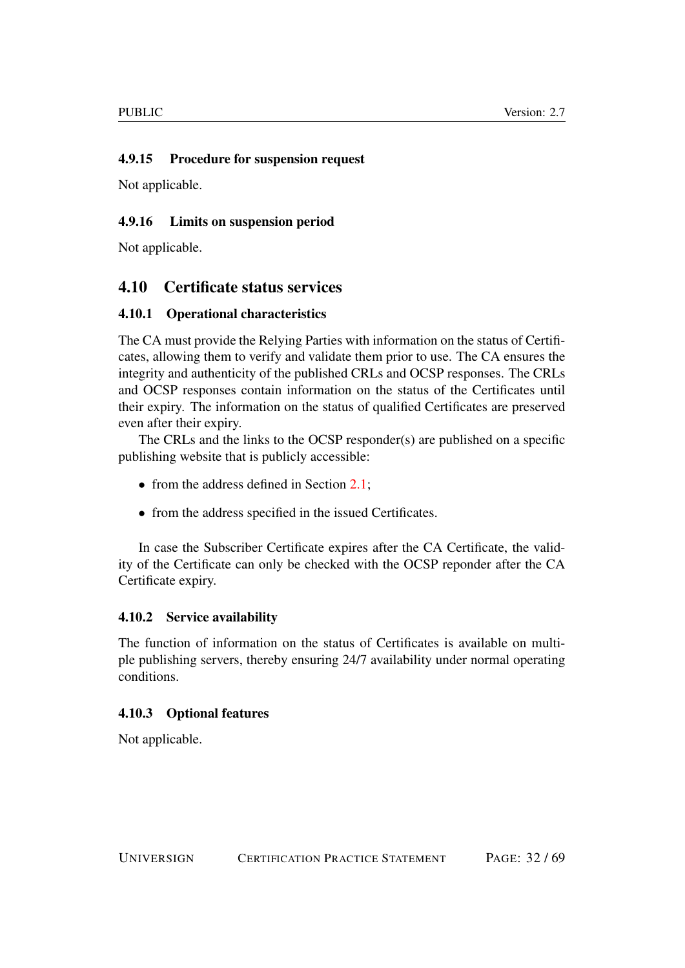## <span id="page-31-0"></span>4.9.15 Procedure for suspension request

Not applicable.

## <span id="page-31-1"></span>4.9.16 Limits on suspension period

Not applicable.

## <span id="page-31-2"></span>4.10 Certificate status services

## <span id="page-31-3"></span>4.10.1 Operational characteristics

The CA must provide the Relying Parties with information on the status of Certificates, allowing them to verify and validate them prior to use. The CA ensures the integrity and authenticity of the published CRLs and OCSP responses. The CRLs and OCSP responses contain information on the status of the Certificates until their expiry. The information on the status of qualified Certificates are preserved even after their expiry.

The CRLs and the links to the OCSP responder(s) are published on a specific publishing website that is publicly accessible:

- from the address defined in Section [2.1;](#page-15-1)
- from the address specified in the issued Certificates.

In case the Subscriber Certificate expires after the CA Certificate, the validity of the Certificate can only be checked with the OCSP reponder after the CA Certificate expiry.

### <span id="page-31-4"></span>4.10.2 Service availability

The function of information on the status of Certificates is available on multiple publishing servers, thereby ensuring 24/7 availability under normal operating conditions.

## <span id="page-31-5"></span>4.10.3 Optional features

Not applicable.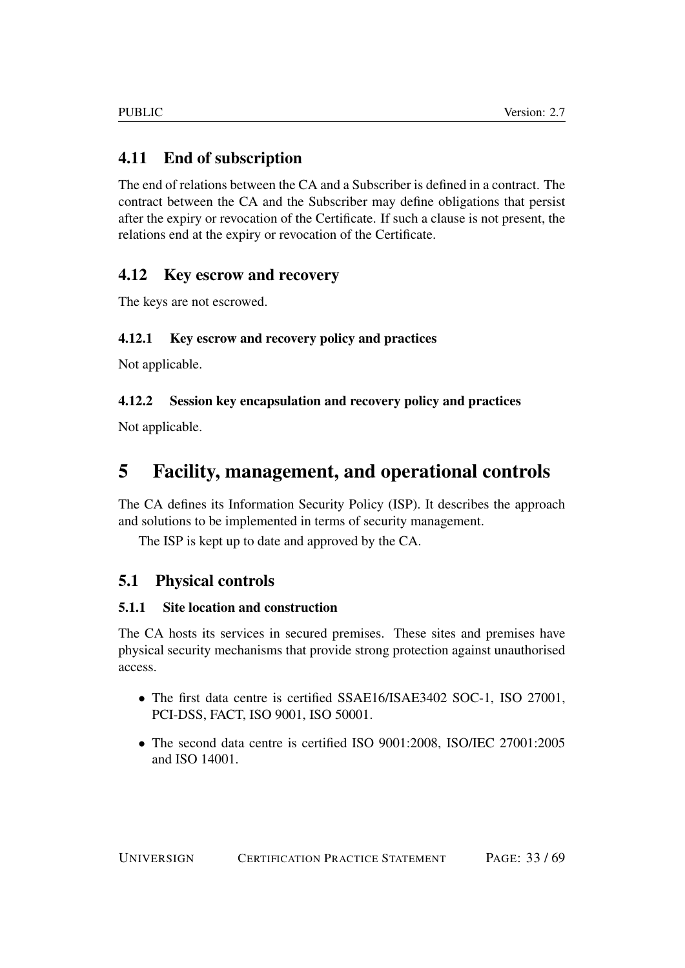## <span id="page-32-0"></span>4.11 End of subscription

The end of relations between the CA and a Subscriber is defined in a contract. The contract between the CA and the Subscriber may define obligations that persist after the expiry or revocation of the Certificate. If such a clause is not present, the relations end at the expiry or revocation of the Certificate.

## <span id="page-32-1"></span>4.12 Key escrow and recovery

The keys are not escrowed.

## <span id="page-32-2"></span>4.12.1 Key escrow and recovery policy and practices

Not applicable.

## <span id="page-32-3"></span>4.12.2 Session key encapsulation and recovery policy and practices

Not applicable.

# <span id="page-32-4"></span>5 Facility, management, and operational controls

The CA defines its Information Security Policy (ISP). It describes the approach and solutions to be implemented in terms of security management.

The ISP is kept up to date and approved by the CA.

## <span id="page-32-5"></span>5.1 Physical controls

## <span id="page-32-6"></span>5.1.1 Site location and construction

The CA hosts its services in secured premises. These sites and premises have physical security mechanisms that provide strong protection against unauthorised access.

- The first data centre is certified SSAE16/ISAE3402 SOC-1, ISO 27001, PCI-DSS, FACT, ISO 9001, ISO 50001.
- The second data centre is certified ISO 9001:2008, ISO/IEC 27001:2005 and ISO 14001.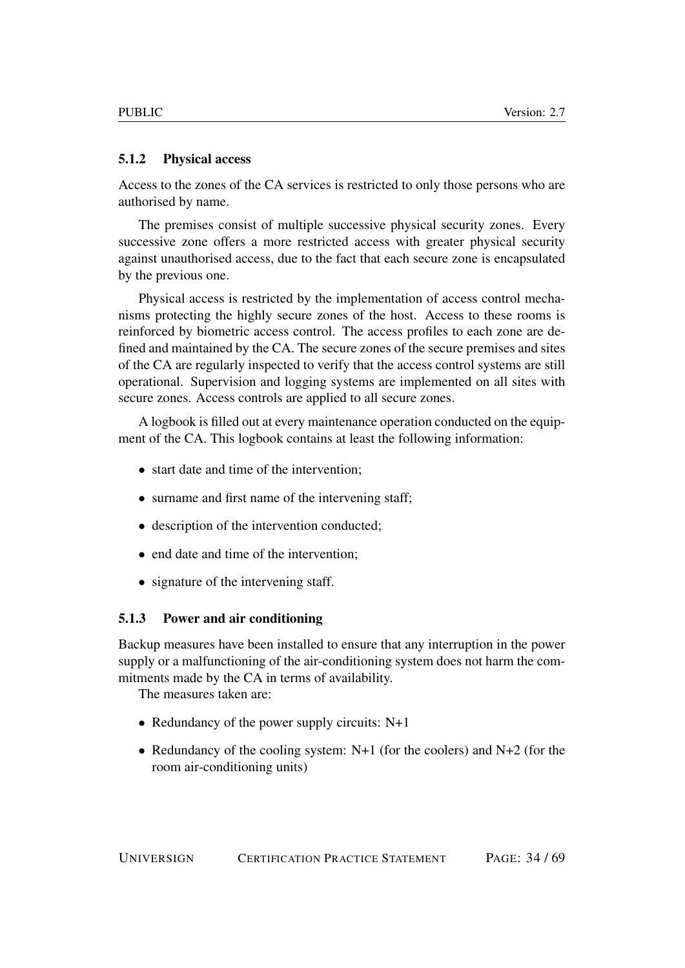#### <span id="page-33-0"></span>5.1.2 Physical access

Access to the zones of the CA services is restricted to only those persons who are authorised by name.

The premises consist of multiple successive physical security zones. Every successive zone offers a more restricted access with greater physical security against unauthorised access, due to the fact that each secure zone is encapsulated by the previous one.

Physical access is restricted by the implementation of access control mechanisms protecting the highly secure zones of the host. Access to these rooms is reinforced by biometric access control. The access profiles to each zone are defined and maintained by the CA. The secure zones of the secure premises and sites of the CA are regularly inspected to verify that the access control systems are still operational. Supervision and logging systems are implemented on all sites with secure zones. Access controls are applied to all secure zones.

A logbook is filled out at every maintenance operation conducted on the equipment of the CA. This logbook contains at least the following information:

- start date and time of the intervention;
- surname and first name of the intervening staff;
- description of the intervention conducted:
- end date and time of the intervention;
- signature of the intervening staff.

#### <span id="page-33-1"></span>5.1.3 Power and air conditioning

Backup measures have been installed to ensure that any interruption in the power supply or a malfunctioning of the air-conditioning system does not harm the commitments made by the CA in terms of availability.

The measures taken are:

- Redundancy of the power supply circuits: N+1
- Redundancy of the cooling system:  $N+1$  (for the coolers) and  $N+2$  (for the room air-conditioning units)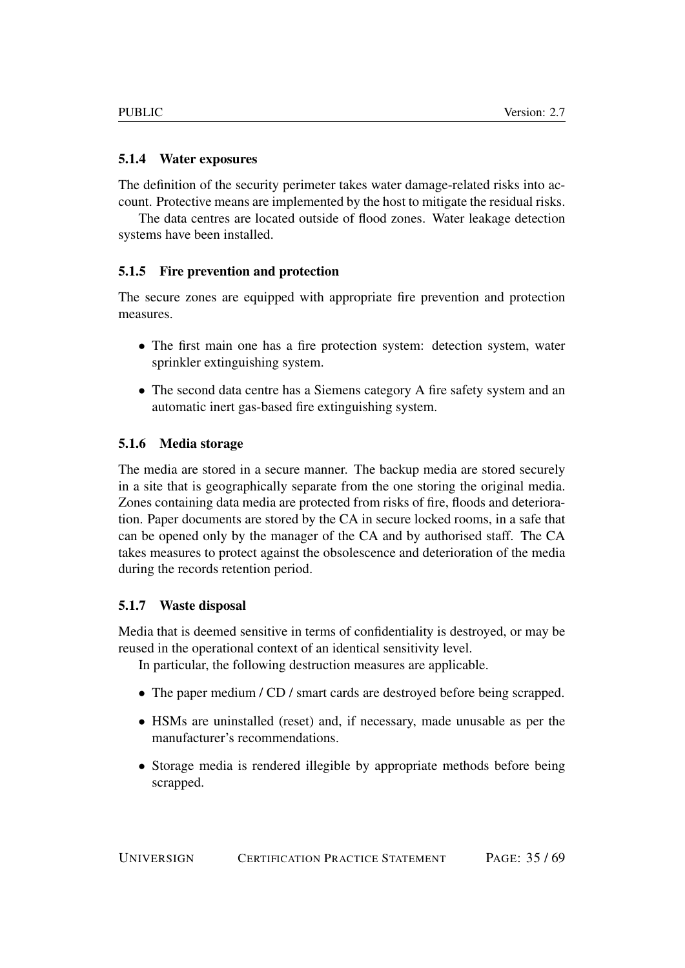## <span id="page-34-0"></span>5.1.4 Water exposures

The definition of the security perimeter takes water damage-related risks into account. Protective means are implemented by the host to mitigate the residual risks.

The data centres are located outside of flood zones. Water leakage detection systems have been installed.

## <span id="page-34-1"></span>5.1.5 Fire prevention and protection

The secure zones are equipped with appropriate fire prevention and protection measures.

- The first main one has a fire protection system: detection system, water sprinkler extinguishing system.
- The second data centre has a Siemens category A fire safety system and an automatic inert gas-based fire extinguishing system.

## <span id="page-34-2"></span>5.1.6 Media storage

The media are stored in a secure manner. The backup media are stored securely in a site that is geographically separate from the one storing the original media. Zones containing data media are protected from risks of fire, floods and deterioration. Paper documents are stored by the CA in secure locked rooms, in a safe that can be opened only by the manager of the CA and by authorised staff. The CA takes measures to protect against the obsolescence and deterioration of the media during the records retention period.

### <span id="page-34-3"></span>5.1.7 Waste disposal

Media that is deemed sensitive in terms of confidentiality is destroyed, or may be reused in the operational context of an identical sensitivity level.

In particular, the following destruction measures are applicable.

- The paper medium / CD / smart cards are destroyed before being scrapped.
- HSMs are uninstalled (reset) and, if necessary, made unusable as per the manufacturer's recommendations.
- Storage media is rendered illegible by appropriate methods before being scrapped.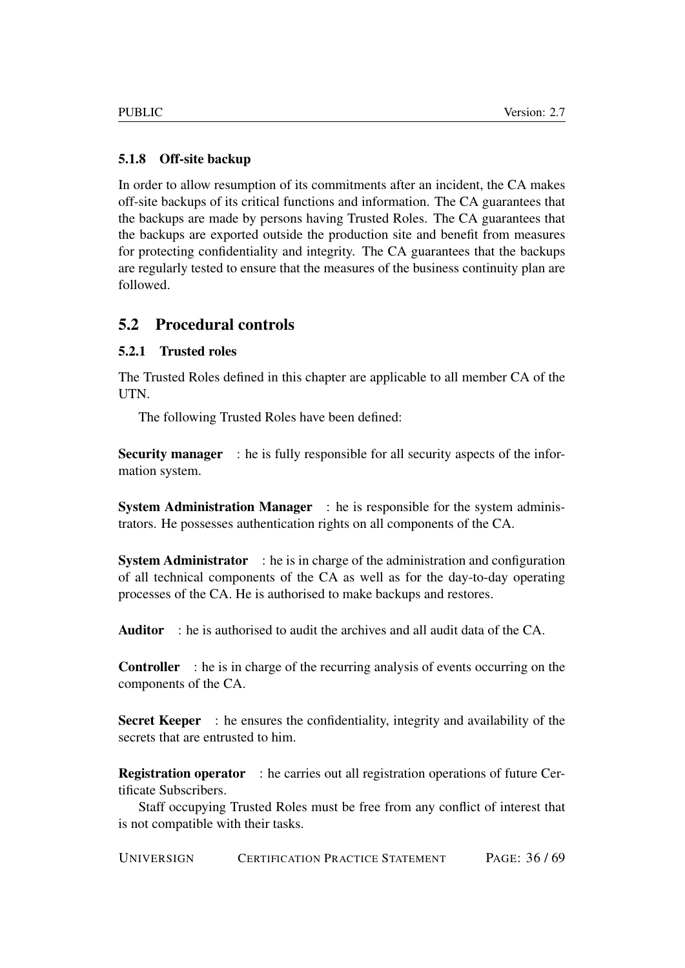## <span id="page-35-0"></span>5.1.8 Off-site backup

In order to allow resumption of its commitments after an incident, the CA makes off-site backups of its critical functions and information. The CA guarantees that the backups are made by persons having Trusted Roles. The CA guarantees that the backups are exported outside the production site and benefit from measures for protecting confidentiality and integrity. The CA guarantees that the backups are regularly tested to ensure that the measures of the business continuity plan are followed.

## <span id="page-35-1"></span>5.2 Procedural controls

## <span id="page-35-2"></span>5.2.1 Trusted roles

The Trusted Roles defined in this chapter are applicable to all member CA of the UTN.

The following Trusted Roles have been defined:

Security manager : he is fully responsible for all security aspects of the information system.

System Administration Manager : he is responsible for the system administrators. He possesses authentication rights on all components of the CA.

System Administrator : he is in charge of the administration and configuration of all technical components of the CA as well as for the day-to-day operating processes of the CA. He is authorised to make backups and restores.

Auditor : he is authorised to audit the archives and all audit data of the CA.

Controller : he is in charge of the recurring analysis of events occurring on the components of the CA.

Secret Keeper : he ensures the confidentiality, integrity and availability of the secrets that are entrusted to him.

Registration operator : he carries out all registration operations of future Certificate Subscribers.

Staff occupying Trusted Roles must be free from any conflict of interest that is not compatible with their tasks.

UNIVERSIGN CERTIFICATION PRACTICE STATEMENT PAGE: 36 / 69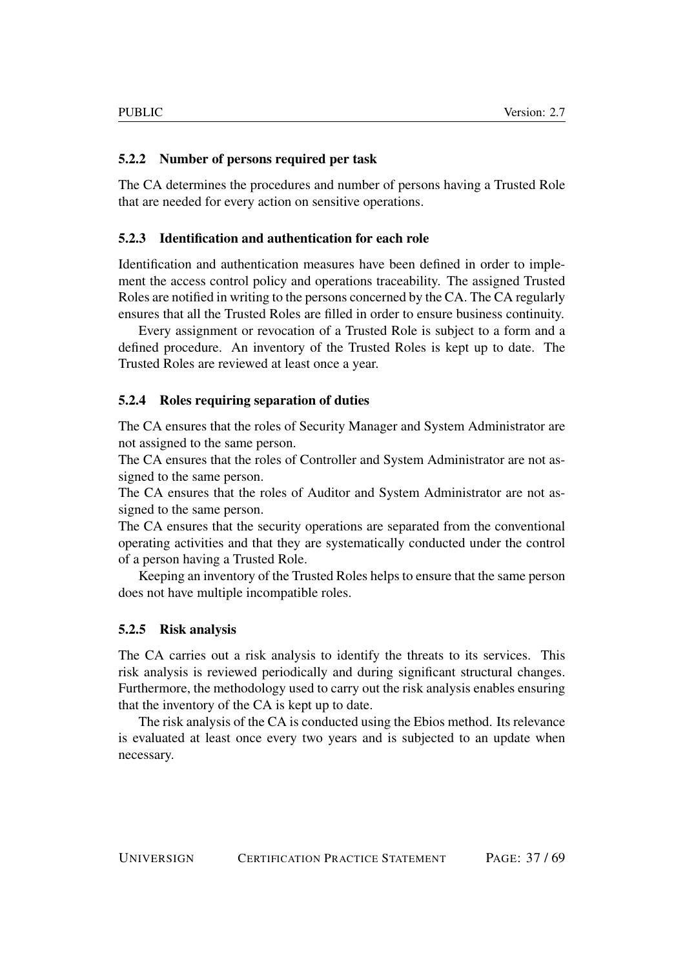## <span id="page-36-0"></span>5.2.2 Number of persons required per task

The CA determines the procedures and number of persons having a Trusted Role that are needed for every action on sensitive operations.

## <span id="page-36-1"></span>5.2.3 Identification and authentication for each role

Identification and authentication measures have been defined in order to implement the access control policy and operations traceability. The assigned Trusted Roles are notified in writing to the persons concerned by the CA. The CA regularly ensures that all the Trusted Roles are filled in order to ensure business continuity.

Every assignment or revocation of a Trusted Role is subject to a form and a defined procedure. An inventory of the Trusted Roles is kept up to date. The Trusted Roles are reviewed at least once a year.

### <span id="page-36-2"></span>5.2.4 Roles requiring separation of duties

The CA ensures that the roles of Security Manager and System Administrator are not assigned to the same person.

The CA ensures that the roles of Controller and System Administrator are not assigned to the same person.

The CA ensures that the roles of Auditor and System Administrator are not assigned to the same person.

The CA ensures that the security operations are separated from the conventional operating activities and that they are systematically conducted under the control of a person having a Trusted Role.

Keeping an inventory of the Trusted Roles helps to ensure that the same person does not have multiple incompatible roles.

### <span id="page-36-3"></span>5.2.5 Risk analysis

The CA carries out a risk analysis to identify the threats to its services. This risk analysis is reviewed periodically and during significant structural changes. Furthermore, the methodology used to carry out the risk analysis enables ensuring that the inventory of the CA is kept up to date.

The risk analysis of the CA is conducted using the Ebios method. Its relevance is evaluated at least once every two years and is subjected to an update when necessary.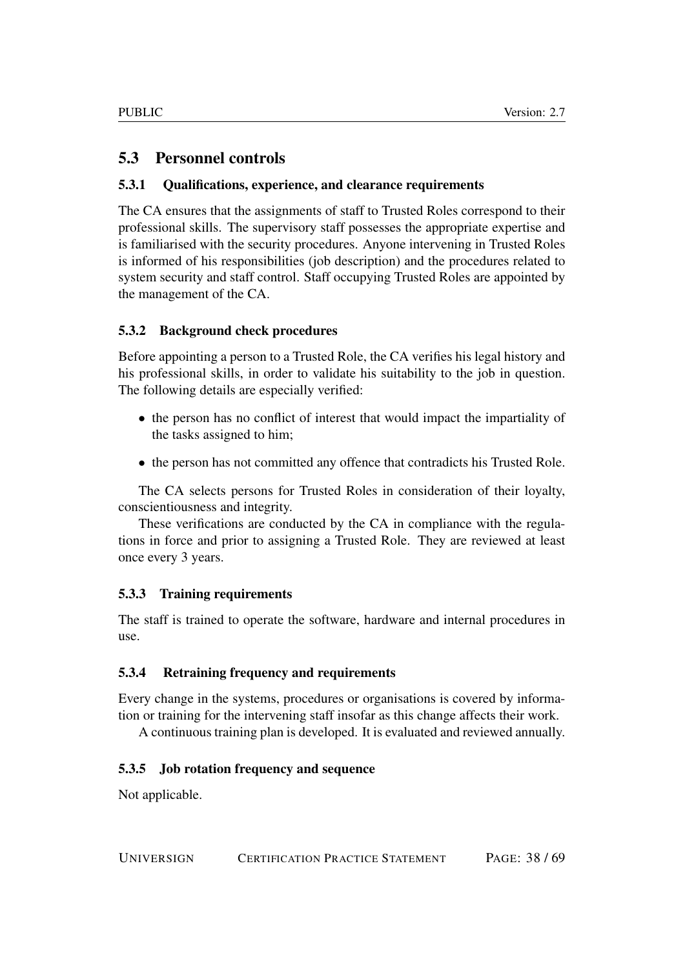## <span id="page-37-0"></span>5.3 Personnel controls

## <span id="page-37-1"></span>5.3.1 Qualifications, experience, and clearance requirements

The CA ensures that the assignments of staff to Trusted Roles correspond to their professional skills. The supervisory staff possesses the appropriate expertise and is familiarised with the security procedures. Anyone intervening in Trusted Roles is informed of his responsibilities (job description) and the procedures related to system security and staff control. Staff occupying Trusted Roles are appointed by the management of the CA.

## <span id="page-37-2"></span>5.3.2 Background check procedures

Before appointing a person to a Trusted Role, the CA verifies his legal history and his professional skills, in order to validate his suitability to the job in question. The following details are especially verified:

- the person has no conflict of interest that would impact the impartiality of the tasks assigned to him;
- the person has not committed any offence that contradicts his Trusted Role.

The CA selects persons for Trusted Roles in consideration of their loyalty, conscientiousness and integrity.

These verifications are conducted by the CA in compliance with the regulations in force and prior to assigning a Trusted Role. They are reviewed at least once every 3 years.

## <span id="page-37-3"></span>5.3.3 Training requirements

The staff is trained to operate the software, hardware and internal procedures in use.

## <span id="page-37-4"></span>5.3.4 Retraining frequency and requirements

Every change in the systems, procedures or organisations is covered by information or training for the intervening staff insofar as this change affects their work.

A continuous training plan is developed. It is evaluated and reviewed annually.

### <span id="page-37-5"></span>5.3.5 Job rotation frequency and sequence

Not applicable.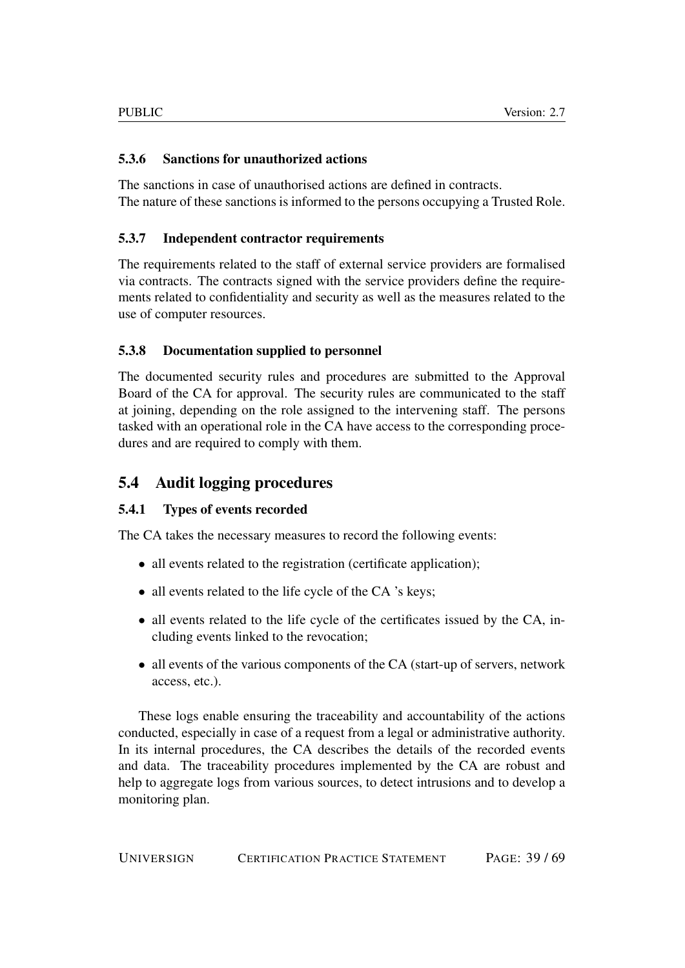## <span id="page-38-0"></span>5.3.6 Sanctions for unauthorized actions

The sanctions in case of unauthorised actions are defined in contracts. The nature of these sanctions is informed to the persons occupying a Trusted Role.

## <span id="page-38-1"></span>5.3.7 Independent contractor requirements

The requirements related to the staff of external service providers are formalised via contracts. The contracts signed with the service providers define the requirements related to confidentiality and security as well as the measures related to the use of computer resources.

## <span id="page-38-2"></span>5.3.8 Documentation supplied to personnel

The documented security rules and procedures are submitted to the Approval Board of the CA for approval. The security rules are communicated to the staff at joining, depending on the role assigned to the intervening staff. The persons tasked with an operational role in the CA have access to the corresponding procedures and are required to comply with them.

## <span id="page-38-3"></span>5.4 Audit logging procedures

## <span id="page-38-4"></span>5.4.1 Types of events recorded

The CA takes the necessary measures to record the following events:

- all events related to the registration (certificate application);
- all events related to the life cycle of the CA 's keys;
- all events related to the life cycle of the certificates issued by the CA, including events linked to the revocation;
- all events of the various components of the CA (start-up of servers, network access, etc.).

These logs enable ensuring the traceability and accountability of the actions conducted, especially in case of a request from a legal or administrative authority. In its internal procedures, the CA describes the details of the recorded events and data. The traceability procedures implemented by the CA are robust and help to aggregate logs from various sources, to detect intrusions and to develop a monitoring plan.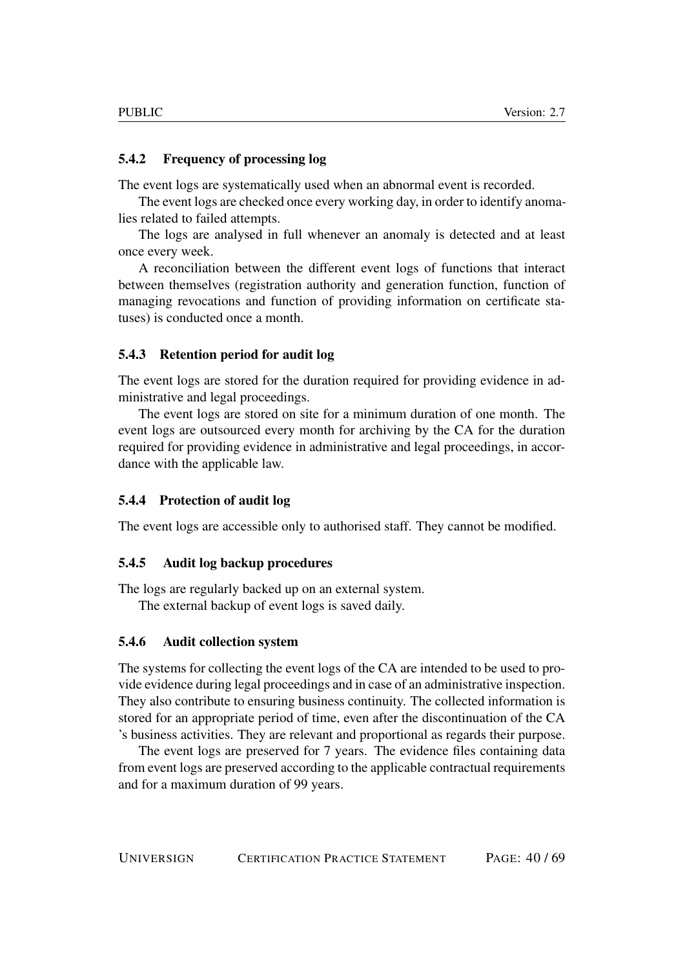#### <span id="page-39-0"></span>5.4.2 Frequency of processing log

The event logs are systematically used when an abnormal event is recorded.

The event logs are checked once every working day, in order to identify anomalies related to failed attempts.

The logs are analysed in full whenever an anomaly is detected and at least once every week.

A reconciliation between the different event logs of functions that interact between themselves (registration authority and generation function, function of managing revocations and function of providing information on certificate statuses) is conducted once a month.

#### <span id="page-39-1"></span>5.4.3 Retention period for audit log

The event logs are stored for the duration required for providing evidence in administrative and legal proceedings.

The event logs are stored on site for a minimum duration of one month. The event logs are outsourced every month for archiving by the CA for the duration required for providing evidence in administrative and legal proceedings, in accordance with the applicable law.

#### <span id="page-39-2"></span>5.4.4 Protection of audit log

The event logs are accessible only to authorised staff. They cannot be modified.

#### <span id="page-39-3"></span>5.4.5 Audit log backup procedures

The logs are regularly backed up on an external system.

The external backup of event logs is saved daily.

## <span id="page-39-4"></span>5.4.6 Audit collection system

The systems for collecting the event logs of the CA are intended to be used to provide evidence during legal proceedings and in case of an administrative inspection. They also contribute to ensuring business continuity. The collected information is stored for an appropriate period of time, even after the discontinuation of the CA 's business activities. They are relevant and proportional as regards their purpose.

The event logs are preserved for 7 years. The evidence files containing data from event logs are preserved according to the applicable contractual requirements and for a maximum duration of 99 years.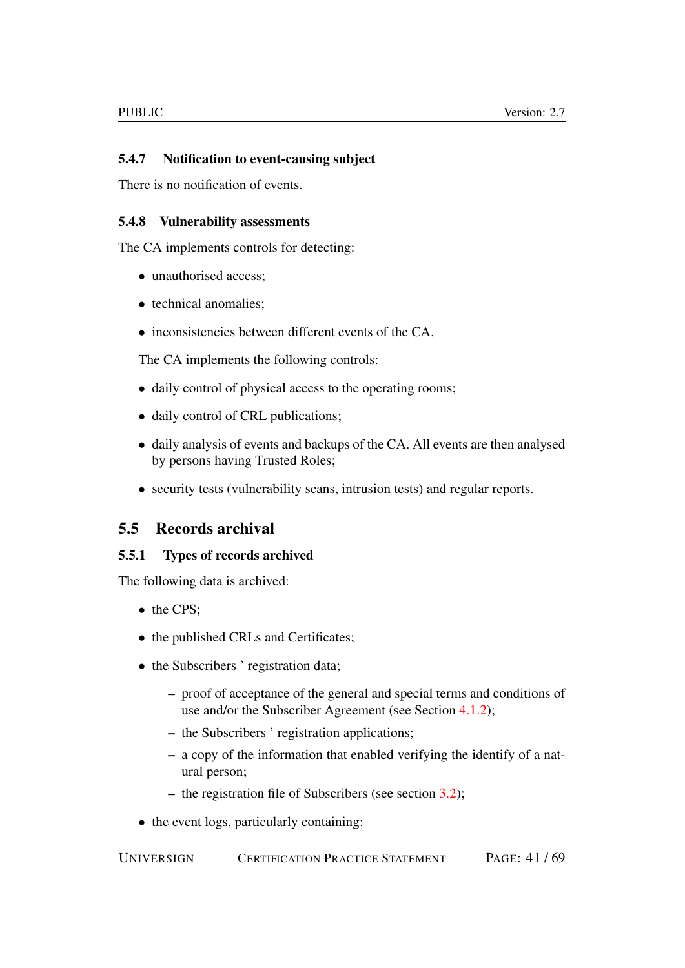## <span id="page-40-0"></span>5.4.7 Notification to event-causing subject

There is no notification of events.

#### <span id="page-40-1"></span>5.4.8 Vulnerability assessments

The CA implements controls for detecting:

- unauthorised access;
- technical anomalies:
- inconsistencies between different events of the CA.

The CA implements the following controls:

- daily control of physical access to the operating rooms;
- daily control of CRL publications;
- daily analysis of events and backups of the CA. All events are then analysed by persons having Trusted Roles;
- security tests (vulnerability scans, intrusion tests) and regular reports.

## <span id="page-40-2"></span>5.5 Records archival

### <span id="page-40-3"></span>5.5.1 Types of records archived

The following data is archived:

- the CPS;
- the published CRLs and Certificates;
- the Subscribers ' registration data;
	- proof of acceptance of the general and special terms and conditions of use and/or the Subscriber Agreement (see Section [4.1.2\)](#page-22-3);
	- the Subscribers ' registration applications;
	- a copy of the information that enabled verifying the identify of a natural person;
	- the registration file of Subscribers (see section [3.2\)](#page-19-1);
- the event logs, particularly containing: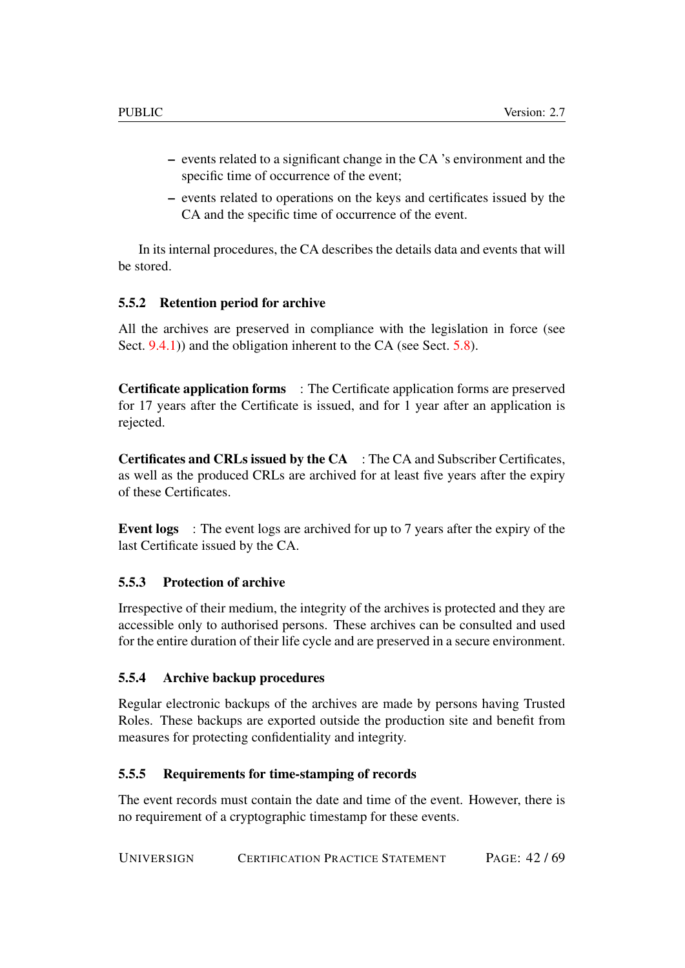- events related to a significant change in the CA 's environment and the specific time of occurrence of the event;
- events related to operations on the keys and certificates issued by the CA and the specific time of occurrence of the event.

In its internal procedures, the CA describes the details data and events that will be stored.

## <span id="page-41-0"></span>5.5.2 Retention period for archive

All the archives are preserved in compliance with the legislation in force (see Sect. [9.4.1\)](#page-61-3)) and the obligation inherent to the CA (see Sect. [5.8\)](#page-43-1).

Certificate application forms : The Certificate application forms are preserved for 17 years after the Certificate is issued, and for 1 year after an application is rejected.

Certificates and CRLs issued by the CA : The CA and Subscriber Certificates, as well as the produced CRLs are archived for at least five years after the expiry of these Certificates.

Event logs : The event logs are archived for up to 7 years after the expiry of the last Certificate issued by the CA.

## <span id="page-41-1"></span>5.5.3 Protection of archive

Irrespective of their medium, the integrity of the archives is protected and they are accessible only to authorised persons. These archives can be consulted and used for the entire duration of their life cycle and are preserved in a secure environment.

## <span id="page-41-2"></span>5.5.4 Archive backup procedures

Regular electronic backups of the archives are made by persons having Trusted Roles. These backups are exported outside the production site and benefit from measures for protecting confidentiality and integrity.

### <span id="page-41-3"></span>5.5.5 Requirements for time-stamping of records

The event records must contain the date and time of the event. However, there is no requirement of a cryptographic timestamp for these events.

UNIVERSIGN CERTIFICATION PRACTICE STATEMENT PAGE: 42 / 69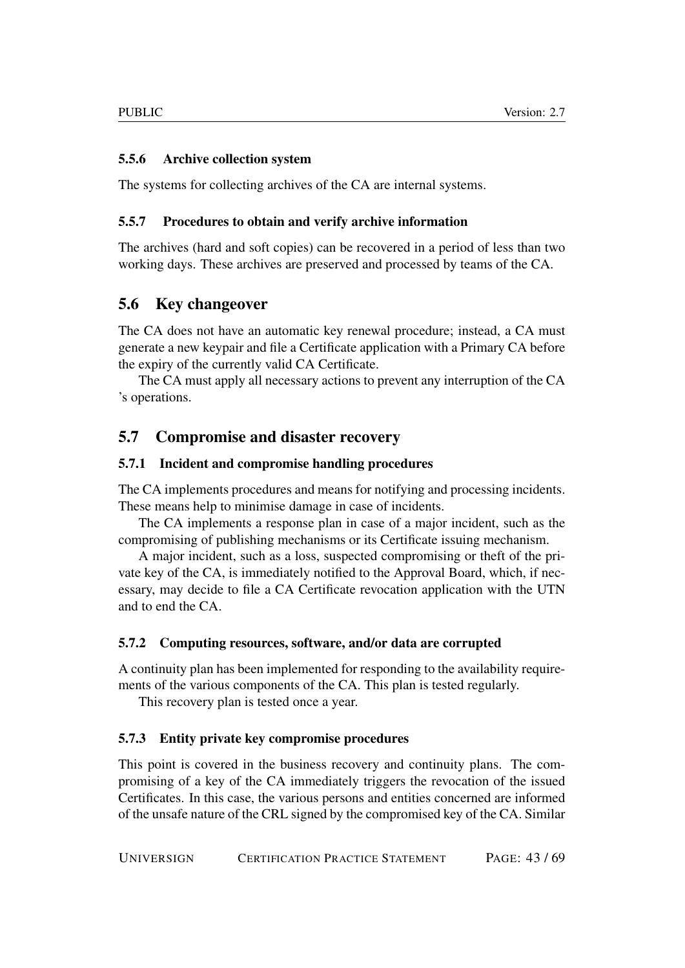## <span id="page-42-0"></span>5.5.6 Archive collection system

The systems for collecting archives of the CA are internal systems.

## <span id="page-42-1"></span>5.5.7 Procedures to obtain and verify archive information

The archives (hard and soft copies) can be recovered in a period of less than two working days. These archives are preserved and processed by teams of the CA.

## <span id="page-42-2"></span>5.6 Key changeover

The CA does not have an automatic key renewal procedure; instead, a CA must generate a new keypair and file a Certificate application with a Primary CA before the expiry of the currently valid CA Certificate.

The CA must apply all necessary actions to prevent any interruption of the CA 's operations.

## <span id="page-42-3"></span>5.7 Compromise and disaster recovery

## <span id="page-42-4"></span>5.7.1 Incident and compromise handling procedures

The CA implements procedures and means for notifying and processing incidents. These means help to minimise damage in case of incidents.

The CA implements a response plan in case of a major incident, such as the compromising of publishing mechanisms or its Certificate issuing mechanism.

A major incident, such as a loss, suspected compromising or theft of the private key of the CA, is immediately notified to the Approval Board, which, if necessary, may decide to file a CA Certificate revocation application with the UTN and to end the CA.

## <span id="page-42-5"></span>5.7.2 Computing resources, software, and/or data are corrupted

A continuity plan has been implemented for responding to the availability requirements of the various components of the CA. This plan is tested regularly.

This recovery plan is tested once a year.

## <span id="page-42-6"></span>5.7.3 Entity private key compromise procedures

This point is covered in the business recovery and continuity plans. The compromising of a key of the CA immediately triggers the revocation of the issued Certificates. In this case, the various persons and entities concerned are informed of the unsafe nature of the CRL signed by the compromised key of the CA. Similar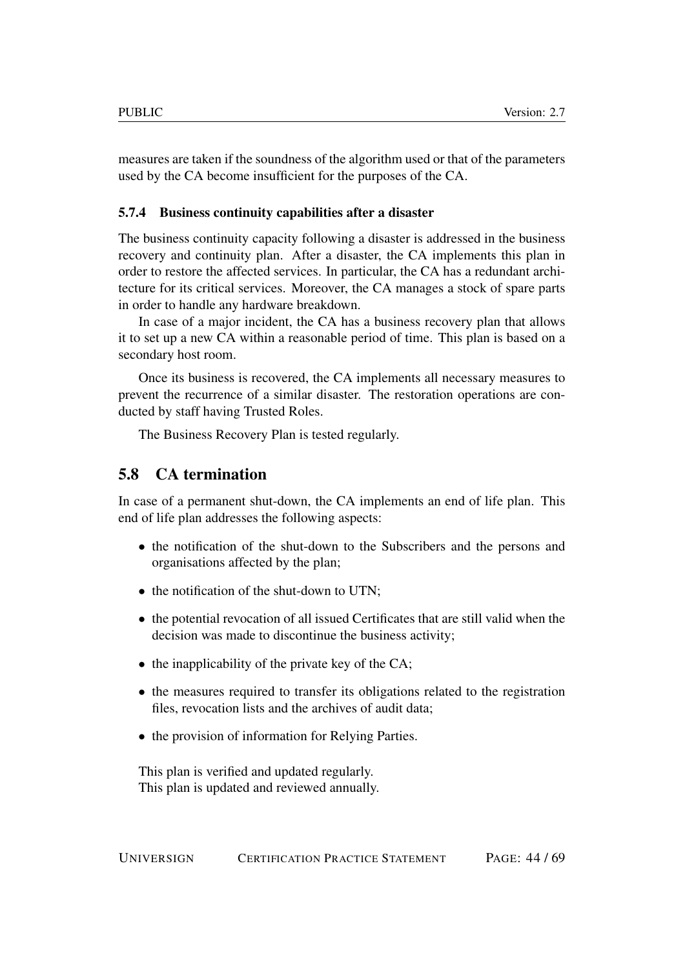measures are taken if the soundness of the algorithm used or that of the parameters used by the CA become insufficient for the purposes of the CA.

#### <span id="page-43-0"></span>5.7.4 Business continuity capabilities after a disaster

The business continuity capacity following a disaster is addressed in the business recovery and continuity plan. After a disaster, the CA implements this plan in order to restore the affected services. In particular, the CA has a redundant architecture for its critical services. Moreover, the CA manages a stock of spare parts in order to handle any hardware breakdown.

In case of a major incident, the CA has a business recovery plan that allows it to set up a new CA within a reasonable period of time. This plan is based on a secondary host room.

Once its business is recovered, the CA implements all necessary measures to prevent the recurrence of a similar disaster. The restoration operations are conducted by staff having Trusted Roles.

The Business Recovery Plan is tested regularly.

## <span id="page-43-1"></span>5.8 CA termination

In case of a permanent shut-down, the CA implements an end of life plan. This end of life plan addresses the following aspects:

- the notification of the shut-down to the Subscribers and the persons and organisations affected by the plan;
- the notification of the shut-down to UTN;
- the potential revocation of all issued Certificates that are still valid when the decision was made to discontinue the business activity;
- the inapplicability of the private key of the CA;
- the measures required to transfer its obligations related to the registration files, revocation lists and the archives of audit data;
- the provision of information for Relying Parties.

This plan is verified and updated regularly. This plan is updated and reviewed annually.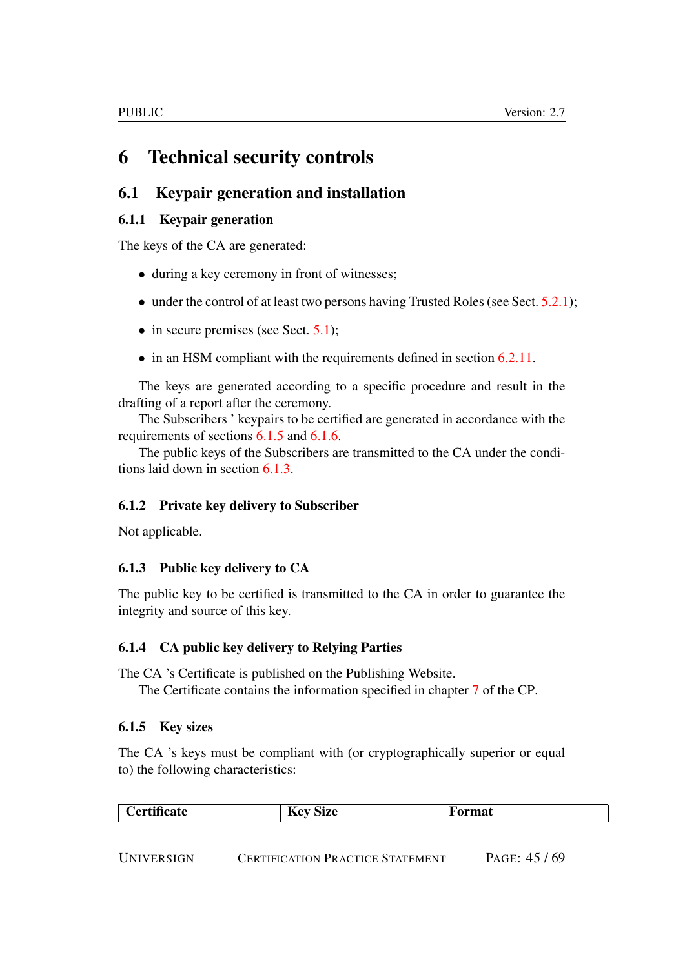# <span id="page-44-0"></span>6 Technical security controls

## <span id="page-44-1"></span>6.1 Keypair generation and installation

## <span id="page-44-2"></span>6.1.1 Keypair generation

The keys of the CA are generated:

- during a key ceremony in front of witnesses;
- under the control of at least two persons having Trusted Roles (see Sect.  $5.2.1$ );
- in secure premises (see Sect. [5.1\)](#page-32-5);
- in an HSM compliant with the requirements defined in section [6.2.11.](#page-47-4)

The keys are generated according to a specific procedure and result in the drafting of a report after the ceremony.

The Subscribers ' keypairs to be certified are generated in accordance with the requirements of sections [6.1.5](#page-44-6) and [6.1.6.](#page-45-0)

The public keys of the Subscribers are transmitted to the CA under the conditions laid down in section [6.1.3.](#page-44-4)

## <span id="page-44-3"></span>6.1.2 Private key delivery to Subscriber

Not applicable.

## <span id="page-44-4"></span>6.1.3 Public key delivery to CA

The public key to be certified is transmitted to the CA in order to guarantee the integrity and source of this key.

## <span id="page-44-5"></span>6.1.4 CA public key delivery to Relying Parties

The CA 's Certificate is published on the Publishing Website.

The Certificate contains the information specified in chapter [7](#page-52-2) of the CP.

## <span id="page-44-6"></span>6.1.5 Key sizes

The CA 's keys must be compliant with (or cryptographically superior or equal to) the following characteristics:

| 'ertificate<br><b>ormat</b><br>SIZE<br><b>Izc</b> y |
|-----------------------------------------------------|
|-----------------------------------------------------|

UNIVERSIGN CERTIFICATION PRACTICE STATEMENT PAGE: 45 / 69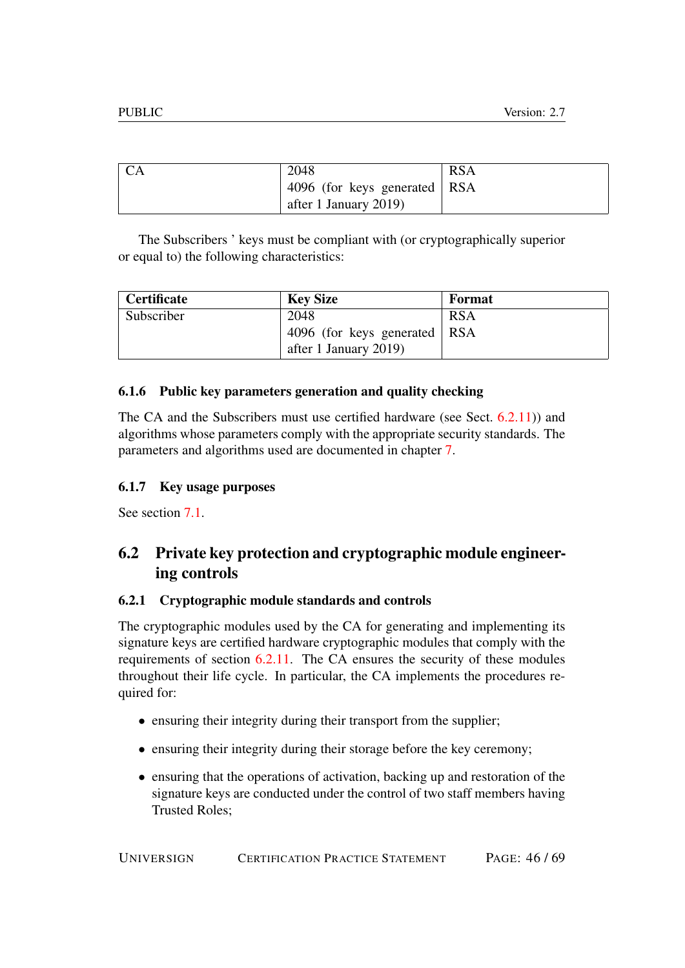| <b>CA</b> | 2048                         | <b>RSA</b> |
|-----------|------------------------------|------------|
|           | 4096 (for keys generated RSA |            |
|           | after 1 January 2019)        |            |

The Subscribers ' keys must be compliant with (or cryptographically superior or equal to) the following characteristics:

| <b>Certificate</b> | <b>Key Size</b>                  | <b>Format</b> |
|--------------------|----------------------------------|---------------|
| Subscriber         | 2048                             | <b>RSA</b>    |
|                    | 4096 (for keys generated $ $ RSA |               |
|                    | after 1 January 2019)            |               |

## <span id="page-45-0"></span>6.1.6 Public key parameters generation and quality checking

The CA and the Subscribers must use certified hardware (see Sect. [6.2.11\)](#page-47-4)) and algorithms whose parameters comply with the appropriate security standards. The parameters and algorithms used are documented in chapter [7.](#page-52-2)

## <span id="page-45-1"></span>6.1.7 Key usage purposes

See section  $7.1$ .

## <span id="page-45-2"></span>6.2 Private key protection and cryptographic module engineering controls

## <span id="page-45-3"></span>6.2.1 Cryptographic module standards and controls

The cryptographic modules used by the CA for generating and implementing its signature keys are certified hardware cryptographic modules that comply with the requirements of section [6.2.11.](#page-47-4) The CA ensures the security of these modules throughout their life cycle. In particular, the CA implements the procedures required for:

- ensuring their integrity during their transport from the supplier;
- ensuring their integrity during their storage before the key ceremony;
- ensuring that the operations of activation, backing up and restoration of the signature keys are conducted under the control of two staff members having Trusted Roles;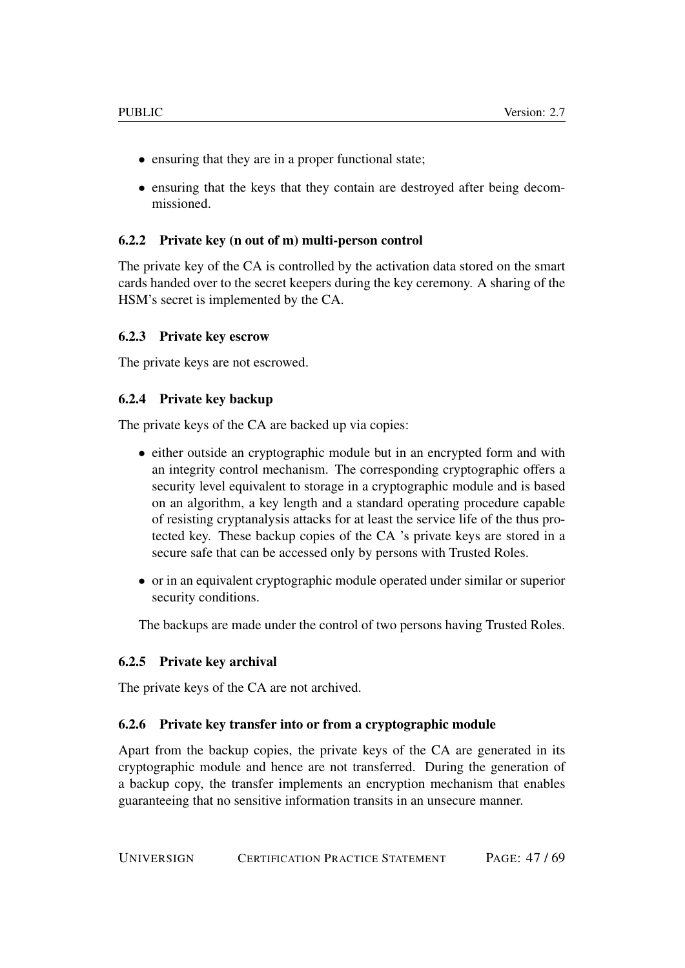- ensuring that they are in a proper functional state;
- ensuring that the keys that they contain are destroyed after being decommissioned.

### <span id="page-46-0"></span>6.2.2 Private key (n out of m) multi-person control

The private key of the CA is controlled by the activation data stored on the smart cards handed over to the secret keepers during the key ceremony. A sharing of the HSM's secret is implemented by the CA.

#### <span id="page-46-1"></span>6.2.3 Private key escrow

The private keys are not escrowed.

#### <span id="page-46-2"></span>6.2.4 Private key backup

The private keys of the CA are backed up via copies:

- either outside an cryptographic module but in an encrypted form and with an integrity control mechanism. The corresponding cryptographic offers a security level equivalent to storage in a cryptographic module and is based on an algorithm, a key length and a standard operating procedure capable of resisting cryptanalysis attacks for at least the service life of the thus protected key. These backup copies of the CA 's private keys are stored in a secure safe that can be accessed only by persons with Trusted Roles.
- or in an equivalent cryptographic module operated under similar or superior security conditions.

The backups are made under the control of two persons having Trusted Roles.

### <span id="page-46-3"></span>6.2.5 Private key archival

The private keys of the CA are not archived.

### <span id="page-46-4"></span>6.2.6 Private key transfer into or from a cryptographic module

Apart from the backup copies, the private keys of the CA are generated in its cryptographic module and hence are not transferred. During the generation of a backup copy, the transfer implements an encryption mechanism that enables guaranteeing that no sensitive information transits in an unsecure manner.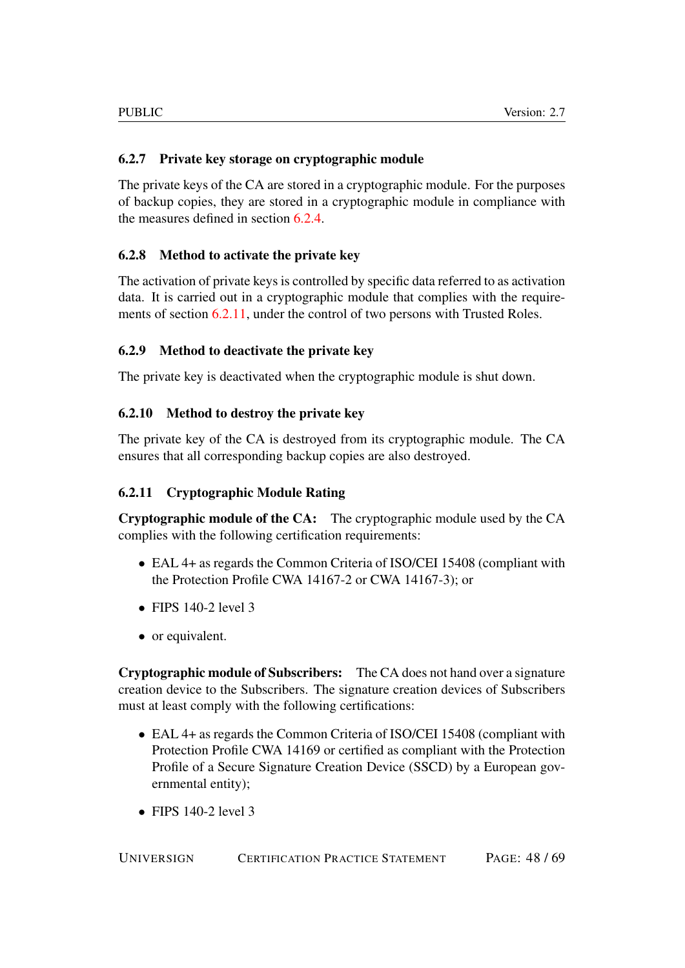## <span id="page-47-0"></span>6.2.7 Private key storage on cryptographic module

The private keys of the CA are stored in a cryptographic module. For the purposes of backup copies, they are stored in a cryptographic module in compliance with the measures defined in section [6.2.4.](#page-46-2)

## <span id="page-47-1"></span>6.2.8 Method to activate the private key

The activation of private keys is controlled by specific data referred to as activation data. It is carried out in a cryptographic module that complies with the requirements of section [6.2.11,](#page-47-4) under the control of two persons with Trusted Roles.

## <span id="page-47-2"></span>6.2.9 Method to deactivate the private key

The private key is deactivated when the cryptographic module is shut down.

## <span id="page-47-3"></span>6.2.10 Method to destroy the private key

The private key of the CA is destroyed from its cryptographic module. The CA ensures that all corresponding backup copies are also destroyed.

## <span id="page-47-4"></span>6.2.11 Cryptographic Module Rating

Cryptographic module of the CA: The cryptographic module used by the CA complies with the following certification requirements:

- EAL 4+ as regards the Common Criteria of ISO/CEI 15408 (compliant with the Protection Profile CWA 14167-2 or CWA 14167-3); or
- FIPS  $140-2$  level 3
- or equivalent.

Cryptographic module of Subscribers: The CA does not hand over a signature creation device to the Subscribers. The signature creation devices of Subscribers must at least comply with the following certifications:

- EAL 4+ as regards the Common Criteria of ISO/CEI 15408 (compliant with Protection Profile CWA 14169 or certified as compliant with the Protection Profile of a Secure Signature Creation Device (SSCD) by a European governmental entity);
- FIPS  $140-2$  level 3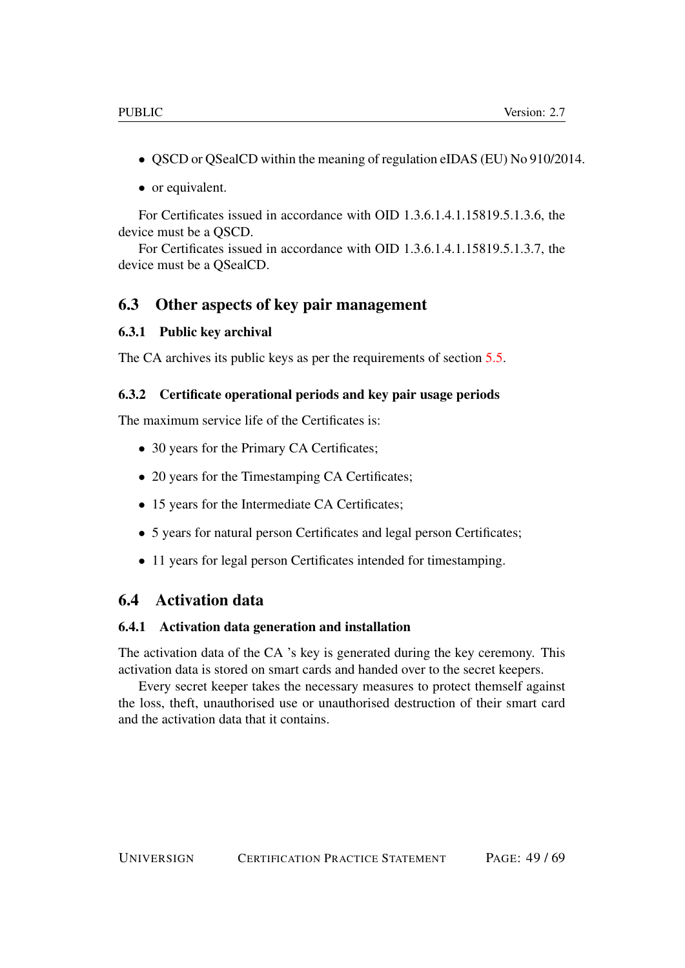- QSCD or QSealCD within the meaning of regulation eIDAS (EU) No 910/2014.
- or equivalent.

For Certificates issued in accordance with OID 1.3.6.1.4.1.15819.5.1.3.6, the device must be a QSCD.

For Certificates issued in accordance with OID 1.3.6.1.4.1.15819.5.1.3.7, the device must be a QSealCD.

## <span id="page-48-0"></span>6.3 Other aspects of key pair management

#### <span id="page-48-1"></span>6.3.1 Public key archival

The CA archives its public keys as per the requirements of section [5.5.](#page-40-2)

#### <span id="page-48-2"></span>6.3.2 Certificate operational periods and key pair usage periods

The maximum service life of the Certificates is:

- 30 years for the Primary CA Certificates;
- 20 years for the Timestamping CA Certificates;
- 15 years for the Intermediate CA Certificates;
- 5 years for natural person Certificates and legal person Certificates;
- 11 years for legal person Certificates intended for timestamping.

## <span id="page-48-3"></span>6.4 Activation data

#### <span id="page-48-4"></span>6.4.1 Activation data generation and installation

The activation data of the CA 's key is generated during the key ceremony. This activation data is stored on smart cards and handed over to the secret keepers.

Every secret keeper takes the necessary measures to protect themself against the loss, theft, unauthorised use or unauthorised destruction of their smart card and the activation data that it contains.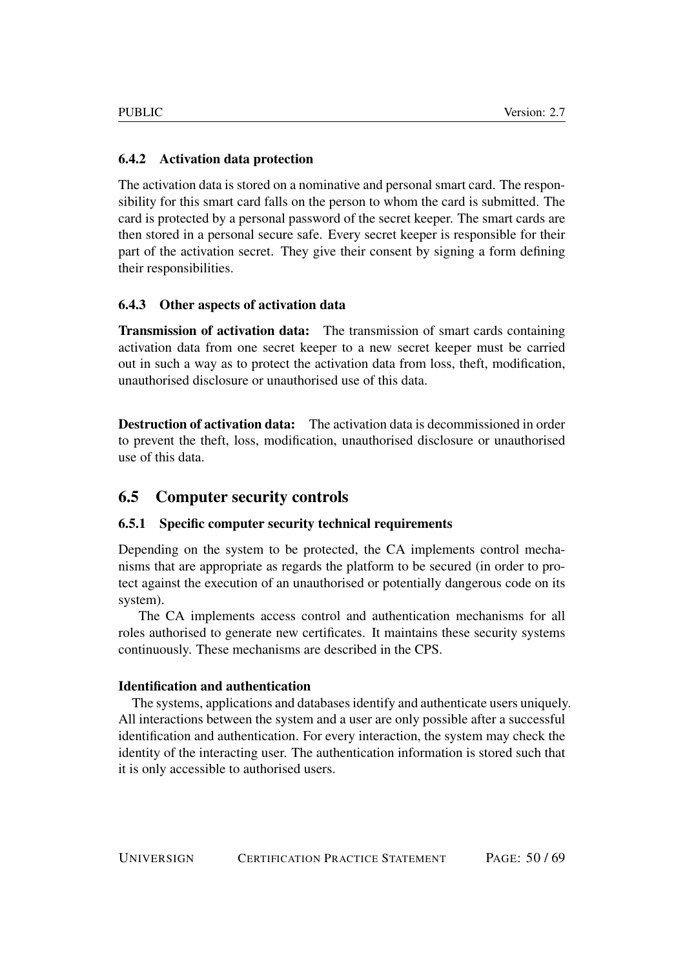## <span id="page-49-0"></span>6.4.2 Activation data protection

The activation data is stored on a nominative and personal smart card. The responsibility for this smart card falls on the person to whom the card is submitted. The card is protected by a personal password of the secret keeper. The smart cards are then stored in a personal secure safe. Every secret keeper is responsible for their part of the activation secret. They give their consent by signing a form defining their responsibilities.

## <span id="page-49-1"></span>6.4.3 Other aspects of activation data

Transmission of activation data: The transmission of smart cards containing activation data from one secret keeper to a new secret keeper must be carried out in such a way as to protect the activation data from loss, theft, modification, unauthorised disclosure or unauthorised use of this data.

Destruction of activation data: The activation data is decommissioned in order to prevent the theft, loss, modification, unauthorised disclosure or unauthorised use of this data.

## <span id="page-49-2"></span>6.5 Computer security controls

### <span id="page-49-3"></span>6.5.1 Specific computer security technical requirements

Depending on the system to be protected, the CA implements control mechanisms that are appropriate as regards the platform to be secured (in order to protect against the execution of an unauthorised or potentially dangerous code on its system).

The CA implements access control and authentication mechanisms for all roles authorised to generate new certificates. It maintains these security systems continuously. These mechanisms are described in the CPS.

### Identification and authentication

The systems, applications and databases identify and authenticate users uniquely. All interactions between the system and a user are only possible after a successful identification and authentication. For every interaction, the system may check the identity of the interacting user. The authentication information is stored such that it is only accessible to authorised users.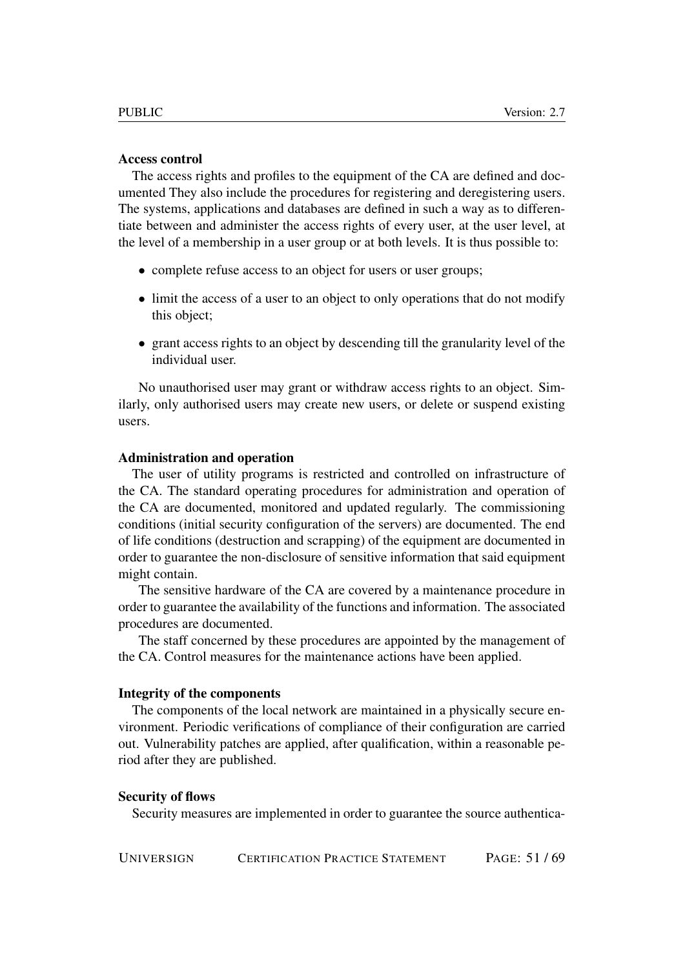#### Access control

The access rights and profiles to the equipment of the CA are defined and documented They also include the procedures for registering and deregistering users. The systems, applications and databases are defined in such a way as to differentiate between and administer the access rights of every user, at the user level, at the level of a membership in a user group or at both levels. It is thus possible to:

- complete refuse access to an object for users or user groups;
- limit the access of a user to an object to only operations that do not modify this object;
- grant access rights to an object by descending till the granularity level of the individual user.

No unauthorised user may grant or withdraw access rights to an object. Similarly, only authorised users may create new users, or delete or suspend existing users.

#### Administration and operation

The user of utility programs is restricted and controlled on infrastructure of the CA. The standard operating procedures for administration and operation of the CA are documented, monitored and updated regularly. The commissioning conditions (initial security configuration of the servers) are documented. The end of life conditions (destruction and scrapping) of the equipment are documented in order to guarantee the non-disclosure of sensitive information that said equipment might contain.

The sensitive hardware of the CA are covered by a maintenance procedure in order to guarantee the availability of the functions and information. The associated procedures are documented.

The staff concerned by these procedures are appointed by the management of the CA. Control measures for the maintenance actions have been applied.

#### Integrity of the components

The components of the local network are maintained in a physically secure environment. Periodic verifications of compliance of their configuration are carried out. Vulnerability patches are applied, after qualification, within a reasonable period after they are published.

#### Security of flows

Security measures are implemented in order to guarantee the source authentica-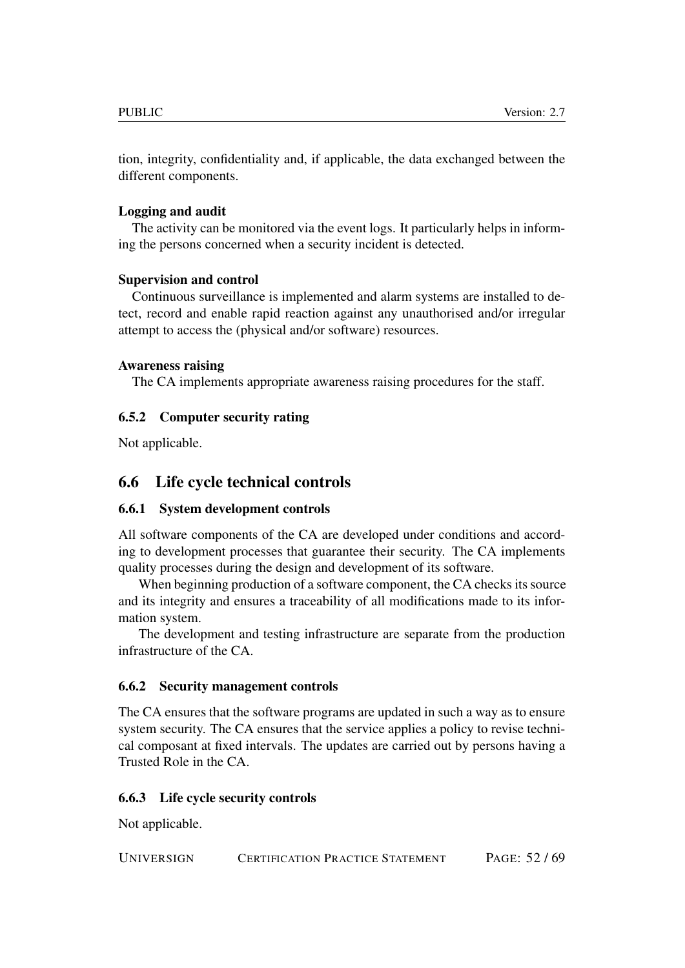tion, integrity, confidentiality and, if applicable, the data exchanged between the different components.

### Logging and audit

The activity can be monitored via the event logs. It particularly helps in informing the persons concerned when a security incident is detected.

### Supervision and control

Continuous surveillance is implemented and alarm systems are installed to detect, record and enable rapid reaction against any unauthorised and/or irregular attempt to access the (physical and/or software) resources.

#### Awareness raising

The CA implements appropriate awareness raising procedures for the staff.

### <span id="page-51-0"></span>6.5.2 Computer security rating

Not applicable.

## <span id="page-51-1"></span>6.6 Life cycle technical controls

### <span id="page-51-2"></span>6.6.1 System development controls

All software components of the CA are developed under conditions and according to development processes that guarantee their security. The CA implements quality processes during the design and development of its software.

When beginning production of a software component, the CA checks its source and its integrity and ensures a traceability of all modifications made to its information system.

The development and testing infrastructure are separate from the production infrastructure of the CA.

### <span id="page-51-3"></span>6.6.2 Security management controls

The CA ensures that the software programs are updated in such a way as to ensure system security. The CA ensures that the service applies a policy to revise technical composant at fixed intervals. The updates are carried out by persons having a Trusted Role in the CA.

### <span id="page-51-4"></span>6.6.3 Life cycle security controls

Not applicable.

UNIVERSIGN CERTIFICATION PRACTICE STATEMENT PAGE: 52 / 69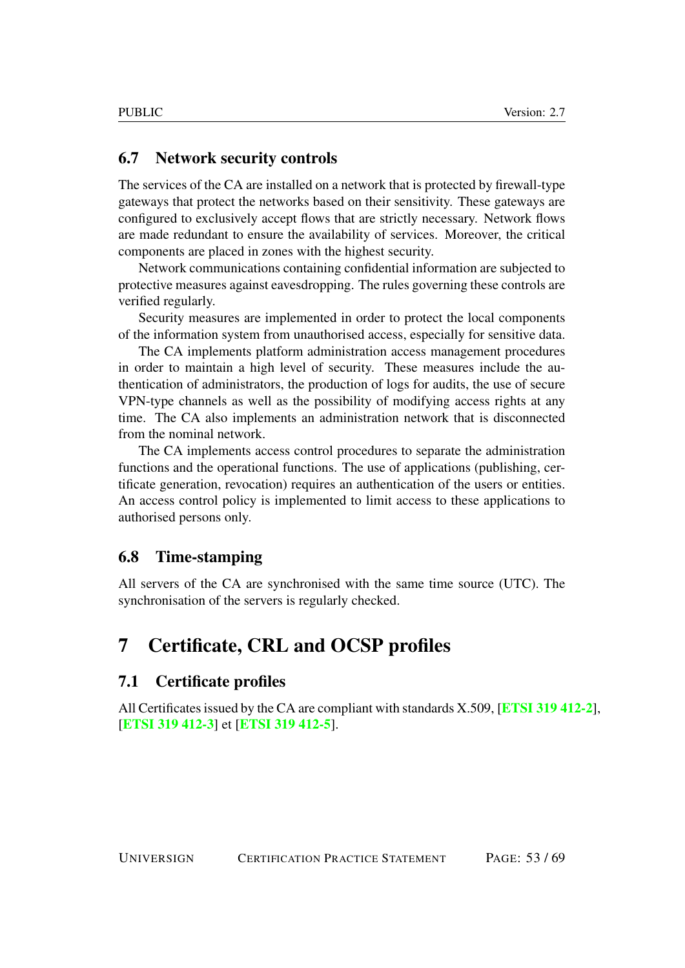## <span id="page-52-0"></span>6.7 Network security controls

The services of the CA are installed on a network that is protected by firewall-type gateways that protect the networks based on their sensitivity. These gateways are configured to exclusively accept flows that are strictly necessary. Network flows are made redundant to ensure the availability of services. Moreover, the critical components are placed in zones with the highest security.

Network communications containing confidential information are subjected to protective measures against eavesdropping. The rules governing these controls are verified regularly.

Security measures are implemented in order to protect the local components of the information system from unauthorised access, especially for sensitive data.

The CA implements platform administration access management procedures in order to maintain a high level of security. These measures include the authentication of administrators, the production of logs for audits, the use of secure VPN-type channels as well as the possibility of modifying access rights at any time. The CA also implements an administration network that is disconnected from the nominal network.

The CA implements access control procedures to separate the administration functions and the operational functions. The use of applications (publishing, certificate generation, revocation) requires an authentication of the users or entities. An access control policy is implemented to limit access to these applications to authorised persons only.

## <span id="page-52-1"></span>6.8 Time-stamping

All servers of the CA are synchronised with the same time source (UTC). The synchronisation of the servers is regularly checked.

## <span id="page-52-2"></span>7 Certificate, CRL and OCSP profiles

#### <span id="page-52-3"></span>7.1 Certificate profiles

All Certificates issued by the CA are compliant with standards X.509, [[ETSI 319 412-2](#page-68-0)], [[ETSI 319 412-3](#page-68-1)] et [[ETSI 319 412-5](#page-68-2)].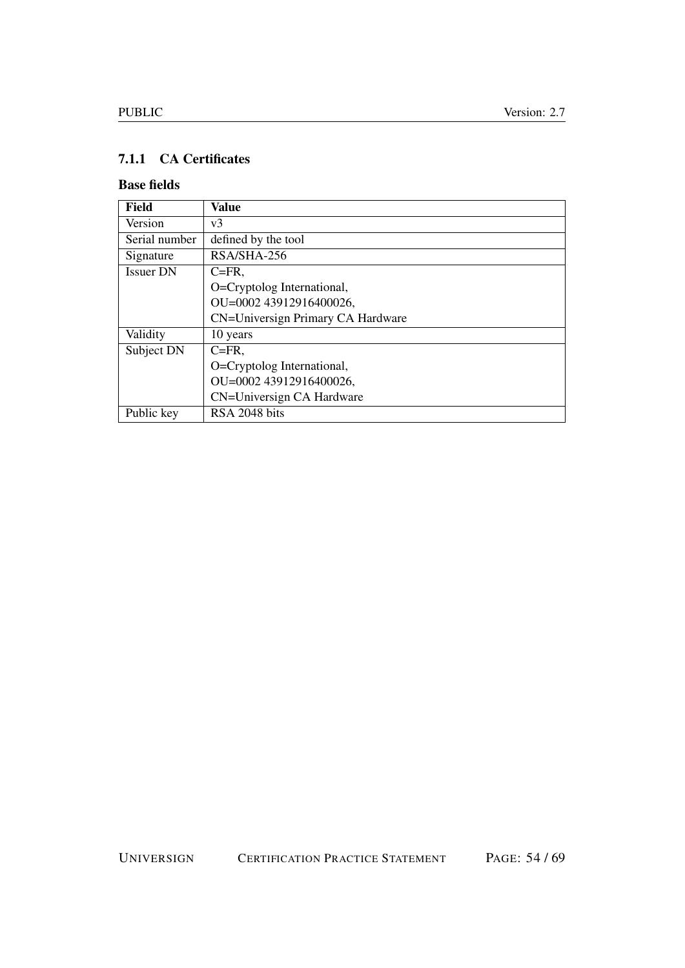## <span id="page-53-0"></span>7.1.1 CA Certificates

## Base fields

| Field            | Value                             |
|------------------|-----------------------------------|
| Version          | v <sub>3</sub>                    |
| Serial number    | defined by the tool               |
| Signature        | RSA/SHA-256                       |
| <b>Issuer DN</b> | $C = FR$ ,                        |
|                  | O=Cryptolog International,        |
|                  | OU=0002 43912916400026,           |
|                  | CN=Universign Primary CA Hardware |
| Validity         | 10 years                          |
| Subject DN       | $C = FR$ .                        |
|                  | O=Cryptolog International,        |
|                  | OU=0002 43912916400026,           |
|                  | CN=Universign CA Hardware         |
| Public key       | RSA 2048 bits                     |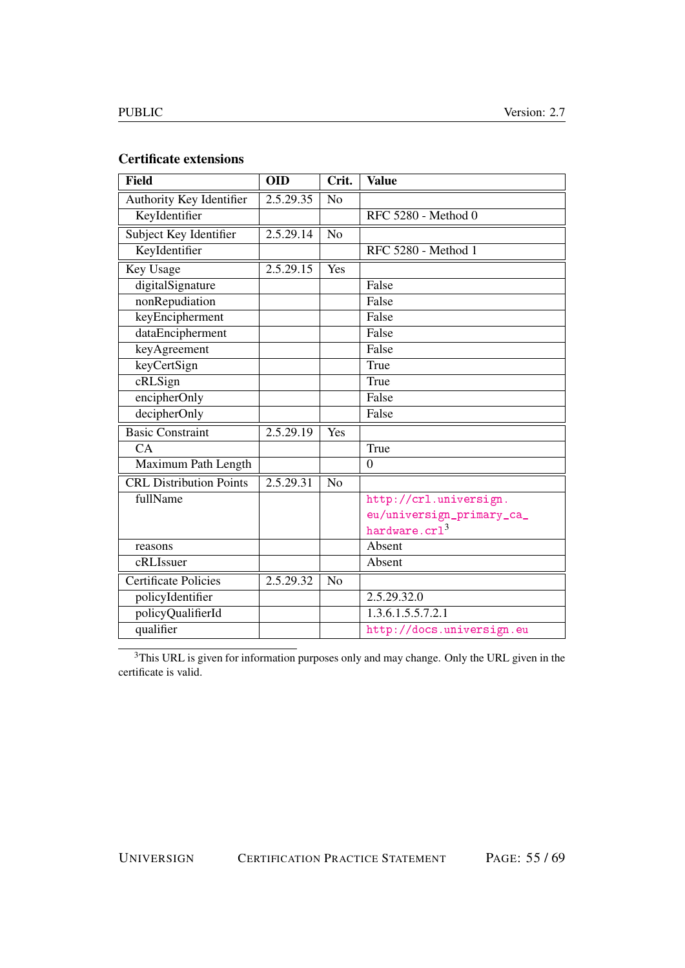## Certificate extensions

| <b>Field</b>                   | <b>OID</b> | Crit.          | <b>Value</b>              |
|--------------------------------|------------|----------------|---------------------------|
| Authority Key Identifier       | 2.5.29.35  | No             |                           |
| KeyIdentifier                  |            |                | RFC 5280 - Method 0       |
| Subject Key Identifier         | 2.5.29.14  | N <sub>o</sub> |                           |
| KeyIdentifier                  |            |                | RFC 5280 - Method 1       |
| Key Usage                      | 2.5.29.15  | Yes            |                           |
| digitalSignature               |            |                | False                     |
| nonRepudiation                 |            |                | False                     |
| keyEncipherment                |            |                | False                     |
| dataEncipherment               |            |                | False                     |
| keyAgreement                   |            |                | False                     |
| keyCertSign                    |            |                | True                      |
| cRLSign                        |            |                | True                      |
| encipherOnly                   |            |                | False                     |
| decipherOnly                   |            |                | False                     |
| <b>Basic Constraint</b>        | 2.5.29.19  | Yes            |                           |
| CA                             |            |                | True                      |
| Maximum Path Length            |            |                | $\overline{0}$            |
| <b>CRL Distribution Points</b> | 2.5.29.31  | N <sub>o</sub> |                           |
| fullName                       |            |                | http://crl.universign.    |
|                                |            |                | eu/universign_primary_ca_ |
|                                |            |                | hardware.crl <sup>3</sup> |
| reasons                        |            |                | Absent                    |
| cRLIssuer                      |            |                | Absent                    |
| <b>Certificate Policies</b>    | 2.5.29.32  | N <sub>o</sub> |                           |
| policyIdentifier               |            |                | 2.5.29.32.0               |
| policyQualifierId              |            |                | 1.3.6.1.5.5.7.2.1         |
| qualifier                      |            |                | http://docs.universign.eu |

<sup>3</sup>This URL is given for information purposes only and may change. Only the URL given in the certificate is valid.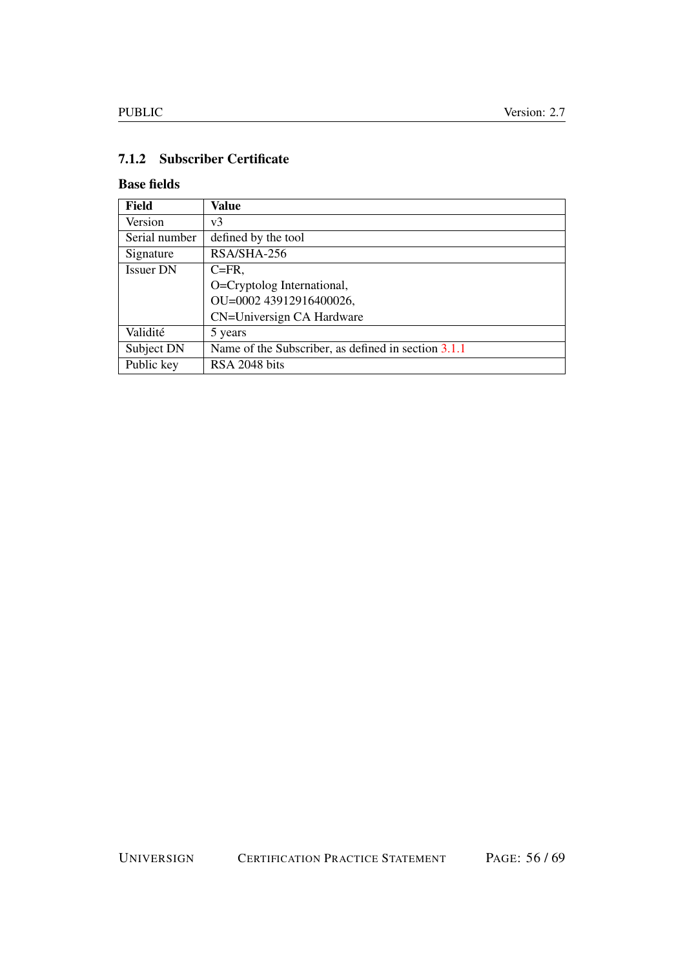## <span id="page-55-0"></span>7.1.2 Subscriber Certificate

## Base fields

| <b>Field</b>     | <b>Value</b>                                        |
|------------------|-----------------------------------------------------|
| Version          | v <sub>3</sub>                                      |
| Serial number    | defined by the tool                                 |
| Signature        | RSA/SHA-256                                         |
| <b>Issuer DN</b> | $C = FR$ .                                          |
|                  | O=Cryptolog International,                          |
|                  | OU=0002 43912916400026,                             |
|                  | CN=Universign CA Hardware                           |
| Validité         | 5 years                                             |
| Subject DN       | Name of the Subscriber, as defined in section 3.1.1 |
| Public key       | RSA 2048 bits                                       |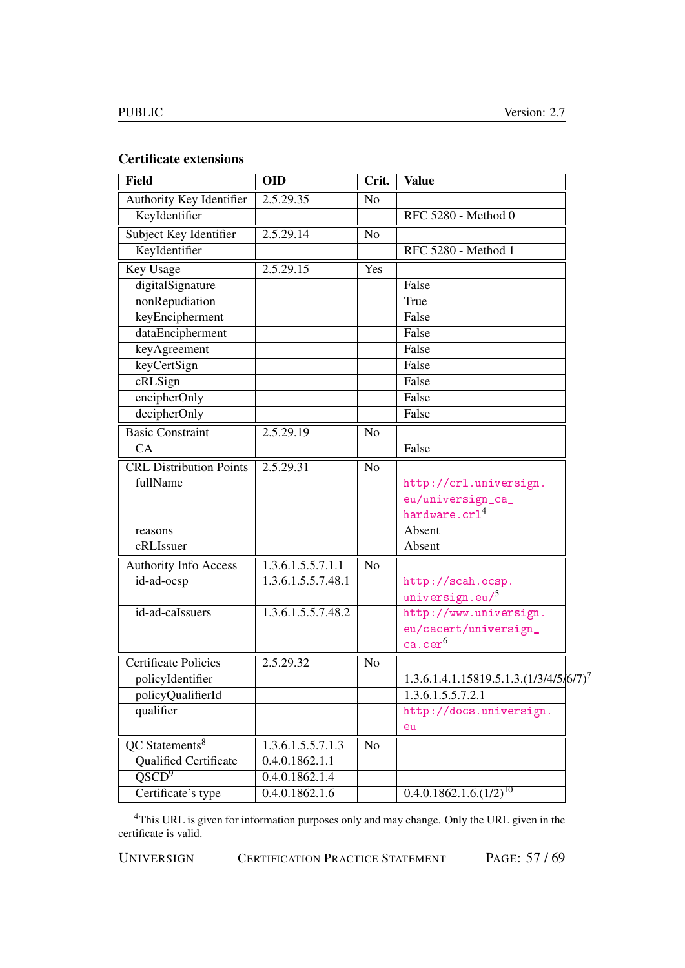## Certificate extensions

| <b>Field</b>                            | <b>OID</b>         | Crit.          | <b>Value</b>                              |
|-----------------------------------------|--------------------|----------------|-------------------------------------------|
| Authority Key Identifier                | 2.5.29.35          | N <sub>o</sub> |                                           |
| KeyIdentifier                           |                    |                | RFC 5280 - Method 0                       |
| Subject Key Identifier                  | 2.5.29.14          | N <sub>o</sub> |                                           |
| KeyIdentifier                           |                    |                | RFC 5280 - Method 1                       |
| Key Usage                               | 2.5.29.15          | Yes            |                                           |
| digitalSignature                        |                    |                | False                                     |
| nonRepudiation                          |                    |                | True                                      |
| keyEncipherment                         |                    |                | False                                     |
| dataEncipherment                        |                    |                | False                                     |
| keyAgreement                            |                    |                | False                                     |
| keyCertSign                             |                    |                | False                                     |
| cRLSign                                 |                    |                | False                                     |
| encipherOnly                            |                    |                | False                                     |
| decipherOnly                            |                    |                | False                                     |
| <b>Basic Constraint</b>                 | 2.5.29.19          | N <sub>o</sub> |                                           |
| CA                                      |                    |                | False                                     |
| <b>CRL Distribution Points</b>          | 2.5.29.31          | $\overline{N}$ |                                           |
| fullName                                |                    |                | http://crl.universign.                    |
|                                         |                    |                | eu/universign_ca_                         |
|                                         |                    |                | hardware.crl <sup>4</sup>                 |
| reasons                                 |                    |                | Absent                                    |
| cRLIssuer                               |                    |                | Absent                                    |
| <b>Authority Info Access</b>            | 1.3.6.1.5.5.7.1.1  | N <sub>o</sub> |                                           |
| id-ad-ocsp                              | 1.3.6.1.5.5.7.48.1 |                | http://scah.ocsp.                         |
|                                         |                    |                | universign.eu/5                           |
| id-ad-calssuers                         | 1.3.6.1.5.5.7.48.2 |                | http://www.universign.                    |
|                                         |                    |                | eu/cacert/universign_                     |
|                                         |                    |                | ca.ce $\rm r^6$                           |
| <b>Certificate Policies</b>             | 2.5.29.32          | No             |                                           |
| policyIdentifier                        |                    |                | $1.3.6.1.4.1.15819.5.1.3. (1/3/4/5/6/7)7$ |
| policyQualifierId                       |                    |                | 1.3.6.1.5.5.7.2.1                         |
| qualifier                               |                    |                | http://docs.universign.                   |
|                                         |                    |                | eu                                        |
| $\overline{OC}$ Statements <sup>8</sup> | 1.3.6.1.5.5.7.1.3  | N <sub>o</sub> |                                           |
| <b>Qualified Certificate</b>            | 0.4.0.1862.1.1     |                |                                           |
| QSCD <sup>9</sup>                       | 0.4.0.1862.1.4     |                |                                           |
| Certificate's type                      | 0.4.0.1862.1.6     |                | $0.4.0.1862.1.6.(1/2)^{10}$               |

<sup>4</sup>This URL is given for information purposes only and may change. Only the URL given in the certificate is valid.

UNIVERSIGN CERTIFICATION PRACTICE STATEMENT PAGE: 57 / 69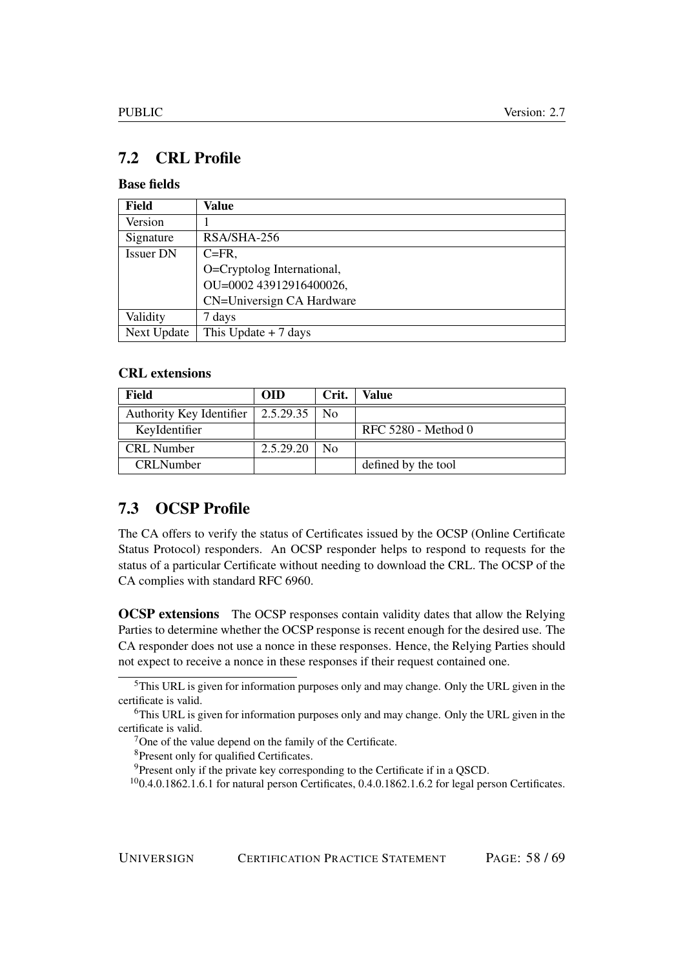## <span id="page-57-0"></span>7.2 CRL Profile

## Base fields

| Field            | Value                      |
|------------------|----------------------------|
| Version          |                            |
| Signature        | RSA/SHA-256                |
| <b>Issuer DN</b> | $C = FR$ ,                 |
|                  | O=Cryptolog International, |
|                  | OU=0002 43912916400026,    |
|                  | CN=Universign CA Hardware  |
| Validity         | 7 days                     |
| Next Update      | This Update $+ 7$ days     |

#### CRL extensions

| Field                    | <b>OID</b>  | Crit.          | Value               |
|--------------------------|-------------|----------------|---------------------|
| Authority Key Identifier | $2.5.29.35$ | N <sub>0</sub> |                     |
| KeyIdentifier            |             |                | RFC 5280 - Method 0 |
| <b>CRL</b> Number        | 2.5.29.20   | $\rm No$       |                     |
| <b>CRLNumber</b>         |             |                | defined by the tool |

## <span id="page-57-1"></span>7.3 OCSP Profile

The CA offers to verify the status of Certificates issued by the OCSP (Online Certificate Status Protocol) responders. An OCSP responder helps to respond to requests for the status of a particular Certificate without needing to download the CRL. The OCSP of the CA complies with standard RFC 6960.

**OCSP extensions** The OCSP responses contain validity dates that allow the Relying Parties to determine whether the OCSP response is recent enough for the desired use. The CA responder does not use a nonce in these responses. Hence, the Relying Parties should not expect to receive a nonce in these responses if their request contained one.

 $<sup>5</sup>$ This URL is given for information purposes only and may change. Only the URL given in the</sup> certificate is valid.

<sup>&</sup>lt;sup>6</sup>This URL is given for information purposes only and may change. Only the URL given in the certificate is valid.

<sup>7</sup>One of the value depend on the family of the Certificate.

<sup>8</sup>Present only for qualified Certificates.

<sup>&</sup>lt;sup>9</sup>Present only if the private key corresponding to the Certificate if in a QSCD.

 $100.4.0.1862.1.6.1$  for natural person Certificates,  $0.4.0.1862.1.6.2$  for legal person Certificates.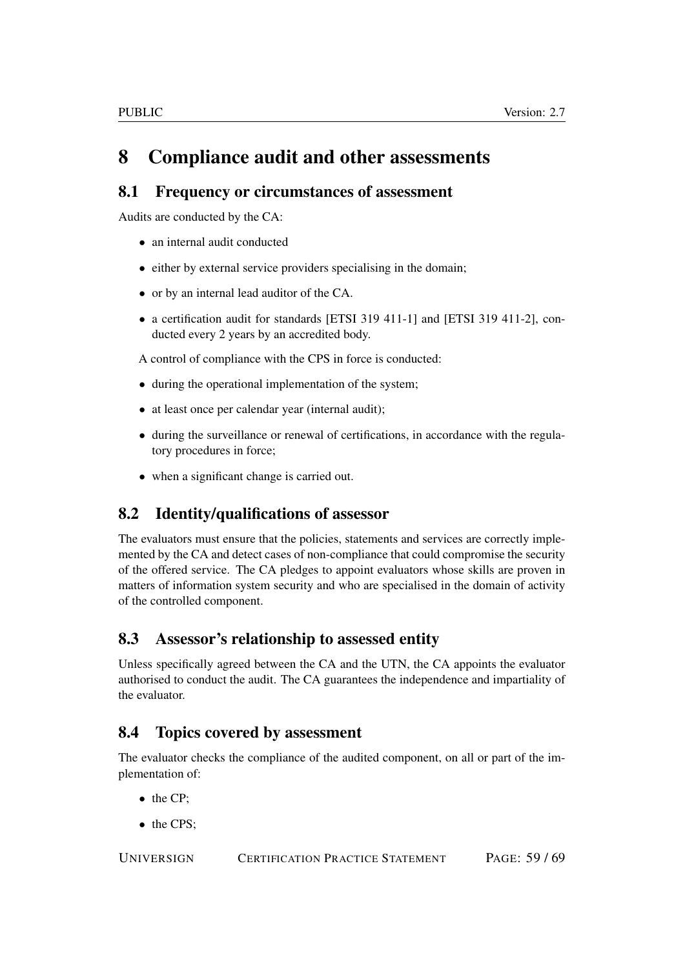# <span id="page-58-0"></span>8 Compliance audit and other assessments

## <span id="page-58-1"></span>8.1 Frequency or circumstances of assessment

Audits are conducted by the CA:

- an internal audit conducted
- either by external service providers specialising in the domain;
- or by an internal lead auditor of the CA.
- a certification audit for standards [ETSI 319 411-1] and [ETSI 319 411-2], conducted every 2 years by an accredited body.

A control of compliance with the CPS in force is conducted:

- during the operational implementation of the system;
- at least once per calendar year (internal audit);
- during the surveillance or renewal of certifications, in accordance with the regulatory procedures in force;
- when a significant change is carried out.

## <span id="page-58-2"></span>8.2 Identity/qualifications of assessor

The evaluators must ensure that the policies, statements and services are correctly implemented by the CA and detect cases of non-compliance that could compromise the security of the offered service. The CA pledges to appoint evaluators whose skills are proven in matters of information system security and who are specialised in the domain of activity of the controlled component.

## <span id="page-58-3"></span>8.3 Assessor's relationship to assessed entity

Unless specifically agreed between the CA and the UTN, the CA appoints the evaluator authorised to conduct the audit. The CA guarantees the independence and impartiality of the evaluator.

## <span id="page-58-4"></span>8.4 Topics covered by assessment

The evaluator checks the compliance of the audited component, on all or part of the implementation of:

- the CP;
- the CPS;

UNIVERSIGN CERTIFICATION PRACTICE STATEMENT PAGE: 59 / 69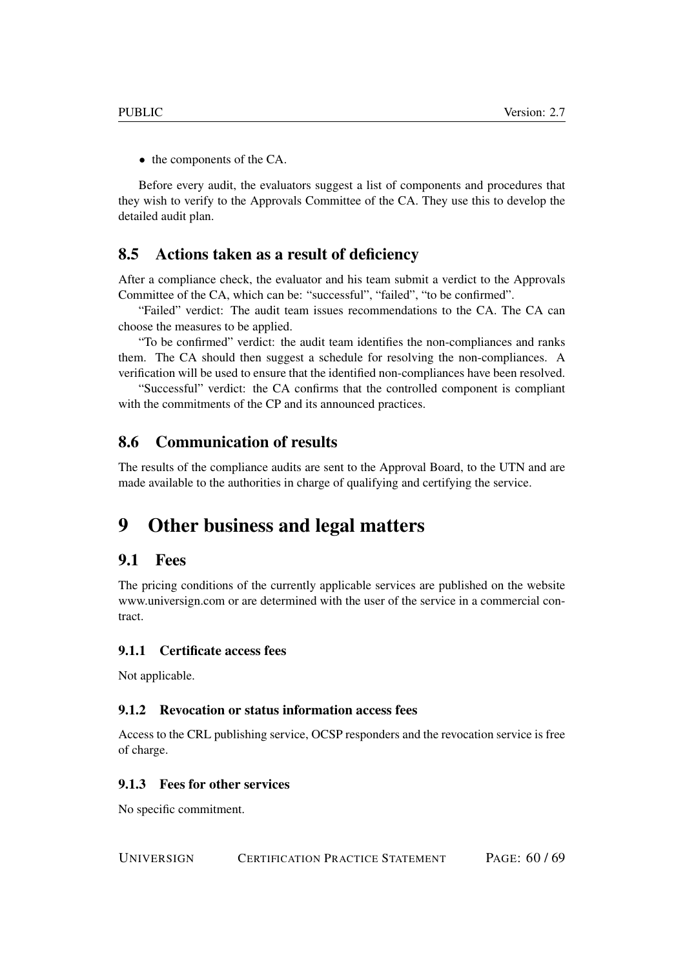• the components of the CA.

Before every audit, the evaluators suggest a list of components and procedures that they wish to verify to the Approvals Committee of the CA. They use this to develop the detailed audit plan.

## <span id="page-59-0"></span>8.5 Actions taken as a result of deficiency

After a compliance check, the evaluator and his team submit a verdict to the Approvals Committee of the CA, which can be: "successful", "failed", "to be confirmed".

"Failed" verdict: The audit team issues recommendations to the CA. The CA can choose the measures to be applied.

"To be confirmed" verdict: the audit team identifies the non-compliances and ranks them. The CA should then suggest a schedule for resolving the non-compliances. A verification will be used to ensure that the identified non-compliances have been resolved.

"Successful" verdict: the CA confirms that the controlled component is compliant with the commitments of the CP and its announced practices.

## <span id="page-59-1"></span>8.6 Communication of results

The results of the compliance audits are sent to the Approval Board, to the UTN and are made available to the authorities in charge of qualifying and certifying the service.

# <span id="page-59-2"></span>9 Other business and legal matters

## <span id="page-59-3"></span>9.1 Fees

The pricing conditions of the currently applicable services are published on the website www.universign.com or are determined with the user of the service in a commercial contract.

### <span id="page-59-4"></span>9.1.1 Certificate access fees

Not applicable.

#### <span id="page-59-5"></span>9.1.2 Revocation or status information access fees

Access to the CRL publishing service, OCSP responders and the revocation service is free of charge.

#### <span id="page-59-6"></span>9.1.3 Fees for other services

No specific commitment.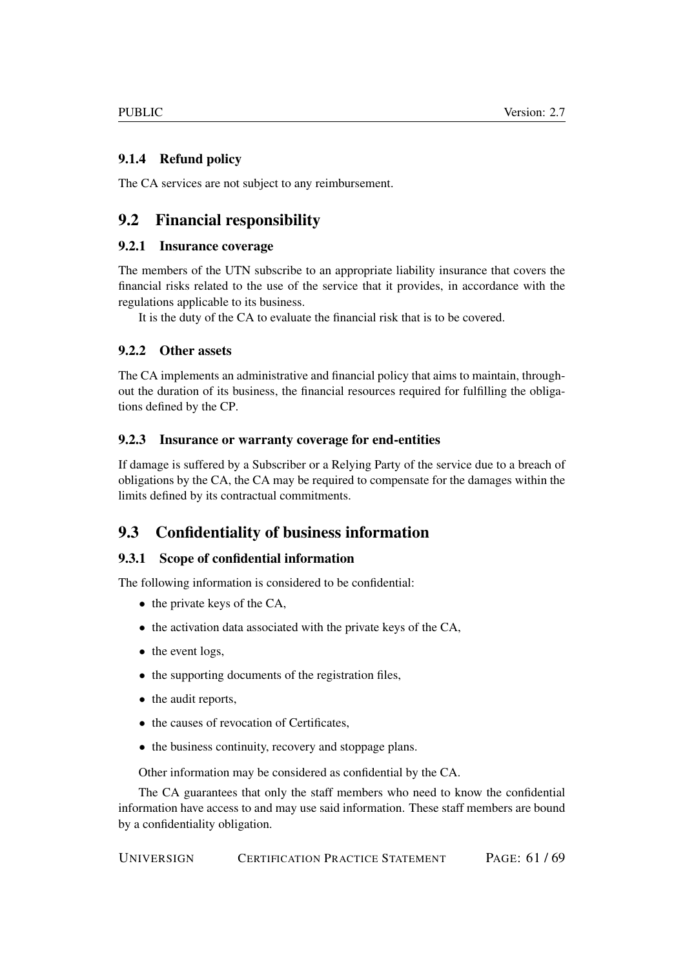## <span id="page-60-0"></span>9.1.4 Refund policy

The CA services are not subject to any reimbursement.

## <span id="page-60-1"></span>9.2 Financial responsibility

### <span id="page-60-2"></span>9.2.1 Insurance coverage

The members of the UTN subscribe to an appropriate liability insurance that covers the financial risks related to the use of the service that it provides, in accordance with the regulations applicable to its business.

It is the duty of the CA to evaluate the financial risk that is to be covered.

## <span id="page-60-3"></span>9.2.2 Other assets

The CA implements an administrative and financial policy that aims to maintain, throughout the duration of its business, the financial resources required for fulfilling the obligations defined by the CP.

## <span id="page-60-4"></span>9.2.3 Insurance or warranty coverage for end-entities

If damage is suffered by a Subscriber or a Relying Party of the service due to a breach of obligations by the CA, the CA may be required to compensate for the damages within the limits defined by its contractual commitments.

## <span id="page-60-5"></span>9.3 Confidentiality of business information

### <span id="page-60-6"></span>9.3.1 Scope of confidential information

The following information is considered to be confidential:

- the private keys of the CA,
- the activation data associated with the private keys of the CA,
- the event logs,
- the supporting documents of the registration files,
- the audit reports,
- the causes of revocation of Certificates,
- the business continuity, recovery and stoppage plans.

Other information may be considered as confidential by the CA.

The CA guarantees that only the staff members who need to know the confidential information have access to and may use said information. These staff members are bound by a confidentiality obligation.

UNIVERSIGN CERTIFICATION PRACTICE STATEMENT PAGE: 61 / 69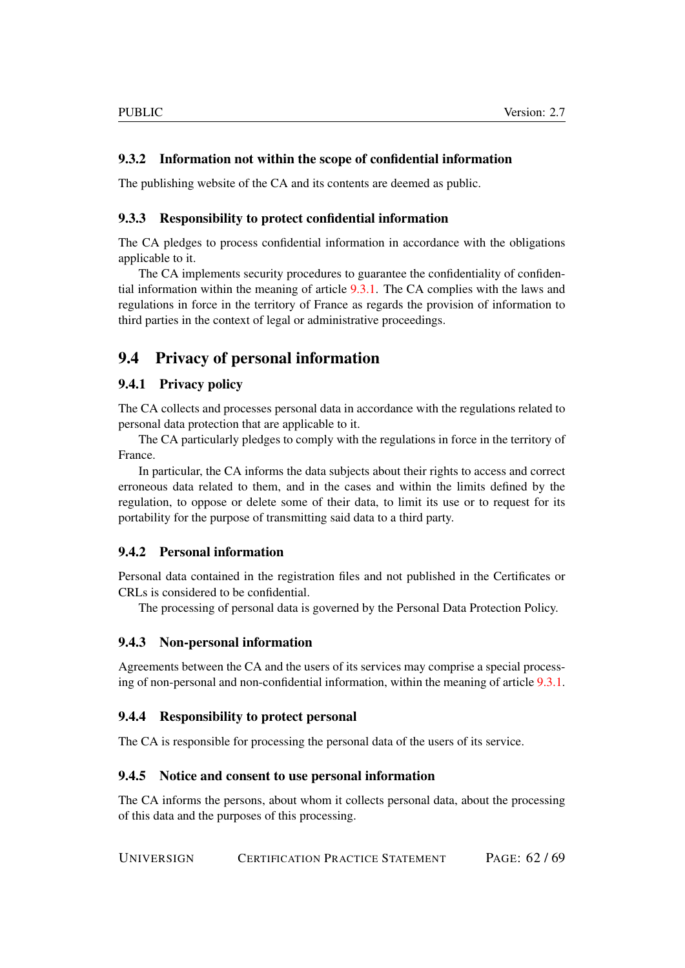#### <span id="page-61-0"></span>9.3.2 Information not within the scope of confidential information

The publishing website of the CA and its contents are deemed as public.

#### <span id="page-61-1"></span>9.3.3 Responsibility to protect confidential information

The CA pledges to process confidential information in accordance with the obligations applicable to it.

The CA implements security procedures to guarantee the confidentiality of confidential information within the meaning of article [9.3.1.](#page-60-6) The CA complies with the laws and regulations in force in the territory of France as regards the provision of information to third parties in the context of legal or administrative proceedings.

## <span id="page-61-2"></span>9.4 Privacy of personal information

#### <span id="page-61-3"></span>9.4.1 Privacy policy

The CA collects and processes personal data in accordance with the regulations related to personal data protection that are applicable to it.

The CA particularly pledges to comply with the regulations in force in the territory of France.

In particular, the CA informs the data subjects about their rights to access and correct erroneous data related to them, and in the cases and within the limits defined by the regulation, to oppose or delete some of their data, to limit its use or to request for its portability for the purpose of transmitting said data to a third party.

#### <span id="page-61-4"></span>9.4.2 Personal information

Personal data contained in the registration files and not published in the Certificates or CRLs is considered to be confidential.

The processing of personal data is governed by the Personal Data Protection Policy.

#### <span id="page-61-5"></span>9.4.3 Non-personal information

Agreements between the CA and the users of its services may comprise a special processing of non-personal and non-confidential information, within the meaning of article [9.3.1.](#page-60-6)

#### <span id="page-61-6"></span>9.4.4 Responsibility to protect personal

The CA is responsible for processing the personal data of the users of its service.

#### <span id="page-61-7"></span>9.4.5 Notice and consent to use personal information

The CA informs the persons, about whom it collects personal data, about the processing of this data and the purposes of this processing.

UNIVERSIGN CERTIFICATION PRACTICE STATEMENT PAGE: 62 / 69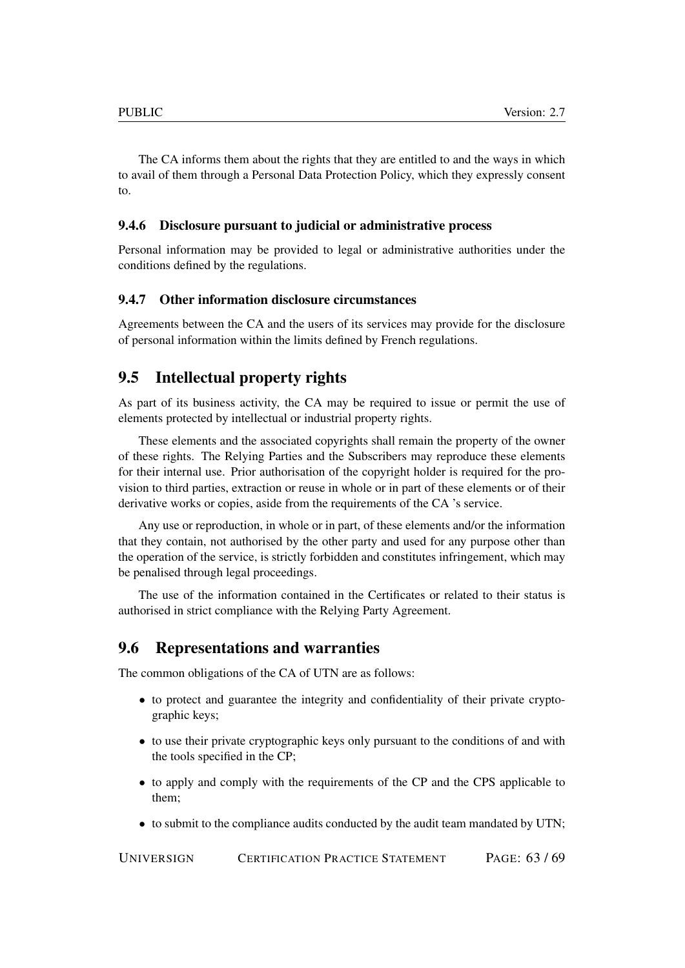The CA informs them about the rights that they are entitled to and the ways in which to avail of them through a Personal Data Protection Policy, which they expressly consent to.

#### <span id="page-62-0"></span>9.4.6 Disclosure pursuant to judicial or administrative process

Personal information may be provided to legal or administrative authorities under the conditions defined by the regulations.

#### <span id="page-62-1"></span>9.4.7 Other information disclosure circumstances

Agreements between the CA and the users of its services may provide for the disclosure of personal information within the limits defined by French regulations.

## <span id="page-62-2"></span>9.5 Intellectual property rights

As part of its business activity, the CA may be required to issue or permit the use of elements protected by intellectual or industrial property rights.

These elements and the associated copyrights shall remain the property of the owner of these rights. The Relying Parties and the Subscribers may reproduce these elements for their internal use. Prior authorisation of the copyright holder is required for the provision to third parties, extraction or reuse in whole or in part of these elements or of their derivative works or copies, aside from the requirements of the CA 's service.

Any use or reproduction, in whole or in part, of these elements and/or the information that they contain, not authorised by the other party and used for any purpose other than the operation of the service, is strictly forbidden and constitutes infringement, which may be penalised through legal proceedings.

The use of the information contained in the Certificates or related to their status is authorised in strict compliance with the Relying Party Agreement.

#### <span id="page-62-3"></span>9.6 Representations and warranties

The common obligations of the CA of UTN are as follows:

- to protect and guarantee the integrity and confidentiality of their private cryptographic keys;
- to use their private cryptographic keys only pursuant to the conditions of and with the tools specified in the CP;
- to apply and comply with the requirements of the CP and the CPS applicable to them;
- to submit to the compliance audits conducted by the audit team mandated by UTN;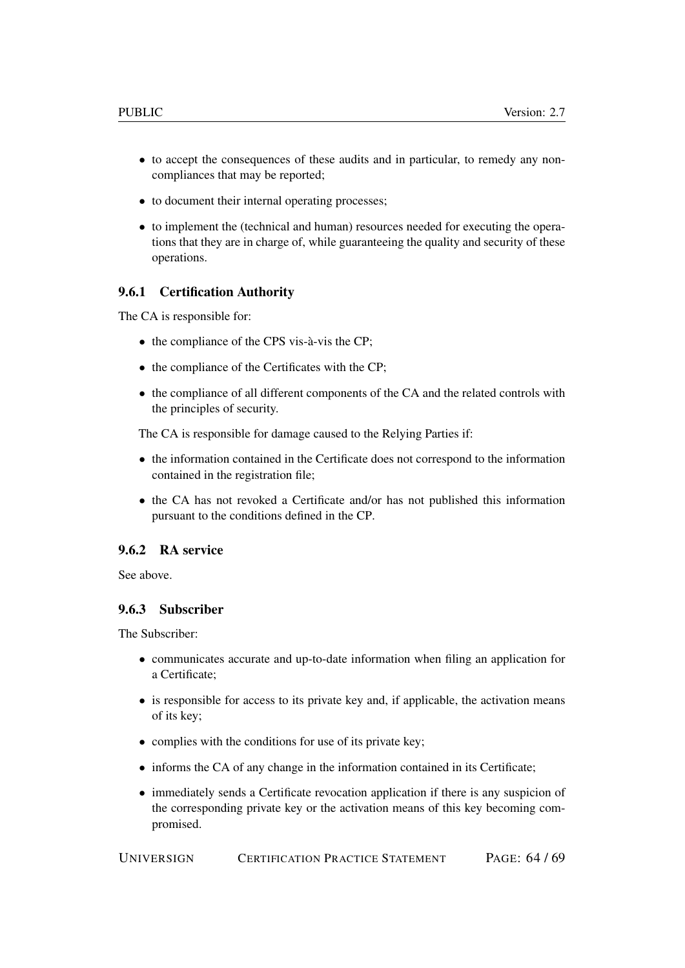- to accept the consequences of these audits and in particular, to remedy any noncompliances that may be reported;
- to document their internal operating processes;
- to implement the (technical and human) resources needed for executing the operations that they are in charge of, while guaranteeing the quality and security of these operations.

#### <span id="page-63-0"></span>9.6.1 Certification Authority

The CA is responsible for:

- the compliance of the CPS vis-à-vis the CP;
- the compliance of the Certificates with the CP;
- the compliance of all different components of the CA and the related controls with the principles of security.

The CA is responsible for damage caused to the Relying Parties if:

- the information contained in the Certificate does not correspond to the information contained in the registration file;
- the CA has not revoked a Certificate and/or has not published this information pursuant to the conditions defined in the CP.

### <span id="page-63-1"></span>9.6.2 RA service

See above.

#### <span id="page-63-2"></span>9.6.3 Subscriber

The Subscriber:

- communicates accurate and up-to-date information when filing an application for a Certificate;
- is responsible for access to its private key and, if applicable, the activation means of its key;
- complies with the conditions for use of its private key;
- informs the CA of any change in the information contained in its Certificate;
- immediately sends a Certificate revocation application if there is any suspicion of the corresponding private key or the activation means of this key becoming compromised.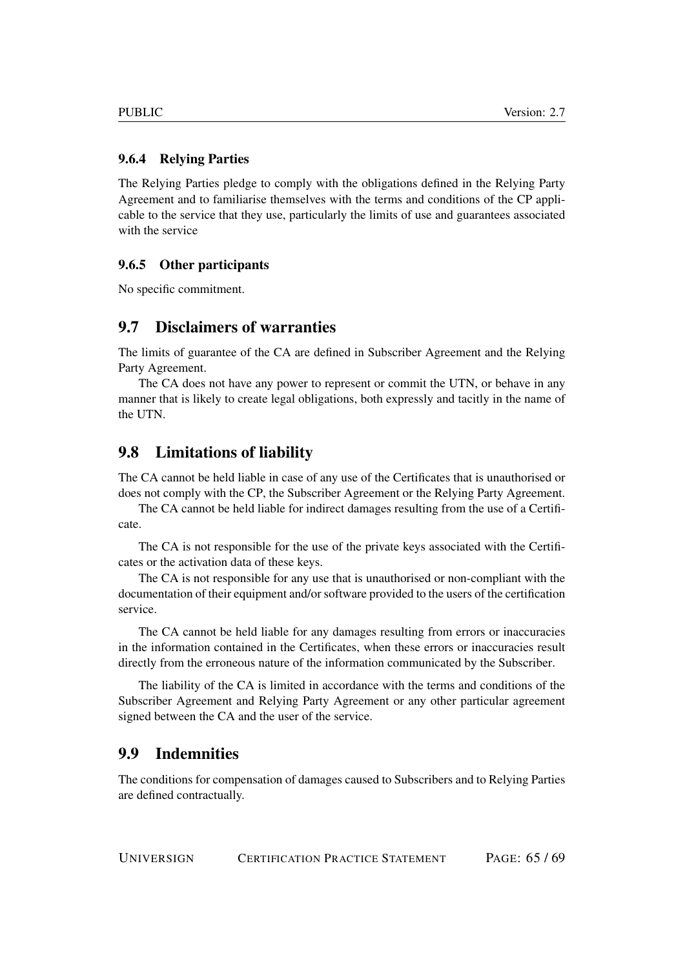#### <span id="page-64-0"></span>9.6.4 Relying Parties

The Relying Parties pledge to comply with the obligations defined in the Relying Party Agreement and to familiarise themselves with the terms and conditions of the CP applicable to the service that they use, particularly the limits of use and guarantees associated with the service

#### <span id="page-64-1"></span>9.6.5 Other participants

No specific commitment.

## <span id="page-64-2"></span>9.7 Disclaimers of warranties

The limits of guarantee of the CA are defined in Subscriber Agreement and the Relying Party Agreement.

The CA does not have any power to represent or commit the UTN, or behave in any manner that is likely to create legal obligations, both expressly and tacitly in the name of the UTN.

### <span id="page-64-3"></span>9.8 Limitations of liability

The CA cannot be held liable in case of any use of the Certificates that is unauthorised or does not comply with the CP, the Subscriber Agreement or the Relying Party Agreement.

The CA cannot be held liable for indirect damages resulting from the use of a Certificate.

The CA is not responsible for the use of the private keys associated with the Certificates or the activation data of these keys.

The CA is not responsible for any use that is unauthorised or non-compliant with the documentation of their equipment and/or software provided to the users of the certification service.

The CA cannot be held liable for any damages resulting from errors or inaccuracies in the information contained in the Certificates, when these errors or inaccuracies result directly from the erroneous nature of the information communicated by the Subscriber.

The liability of the CA is limited in accordance with the terms and conditions of the Subscriber Agreement and Relying Party Agreement or any other particular agreement signed between the CA and the user of the service.

## <span id="page-64-4"></span>9.9 Indemnities

The conditions for compensation of damages caused to Subscribers and to Relying Parties are defined contractually.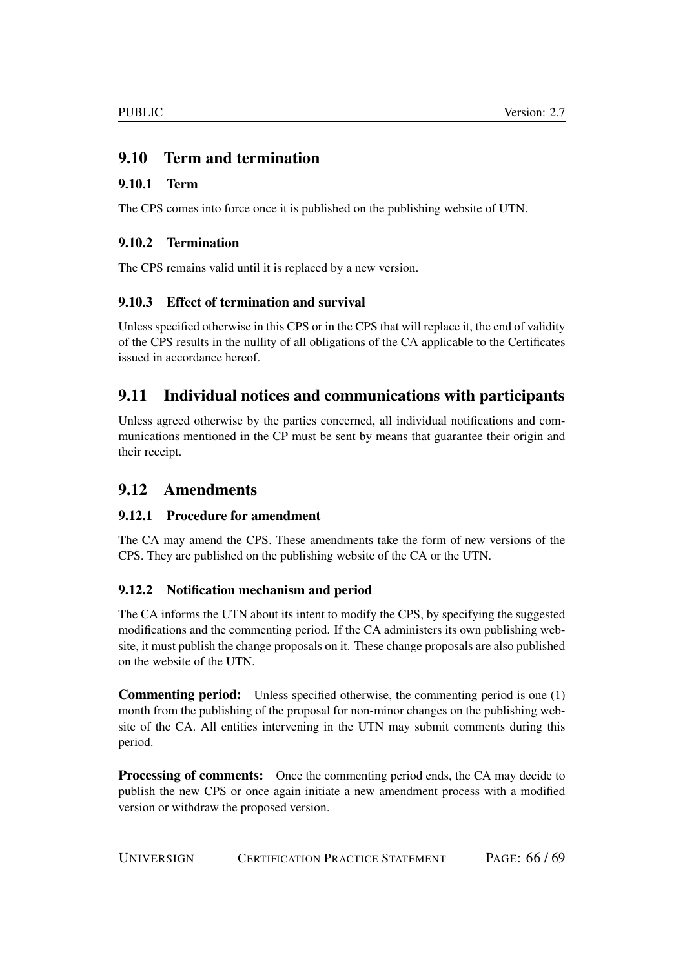## <span id="page-65-0"></span>9.10 Term and termination

## <span id="page-65-1"></span>9.10.1 Term

The CPS comes into force once it is published on the publishing website of UTN.

## <span id="page-65-2"></span>9.10.2 Termination

The CPS remains valid until it is replaced by a new version.

## <span id="page-65-3"></span>9.10.3 Effect of termination and survival

Unless specified otherwise in this CPS or in the CPS that will replace it, the end of validity of the CPS results in the nullity of all obligations of the CA applicable to the Certificates issued in accordance hereof.

## <span id="page-65-4"></span>9.11 Individual notices and communications with participants

Unless agreed otherwise by the parties concerned, all individual notifications and communications mentioned in the CP must be sent by means that guarantee their origin and their receipt.

## <span id="page-65-5"></span>9.12 Amendments

## <span id="page-65-6"></span>9.12.1 Procedure for amendment

The CA may amend the CPS. These amendments take the form of new versions of the CPS. They are published on the publishing website of the CA or the UTN.

## <span id="page-65-7"></span>9.12.2 Notification mechanism and period

The CA informs the UTN about its intent to modify the CPS, by specifying the suggested modifications and the commenting period. If the CA administers its own publishing website, it must publish the change proposals on it. These change proposals are also published on the website of the UTN.

Commenting period: Unless specified otherwise, the commenting period is one (1) month from the publishing of the proposal for non-minor changes on the publishing website of the CA. All entities intervening in the UTN may submit comments during this period.

**Processing of comments:** Once the commenting period ends, the CA may decide to publish the new CPS or once again initiate a new amendment process with a modified version or withdraw the proposed version.

UNIVERSIGN CERTIFICATION PRACTICE STATEMENT PAGE: 66 / 69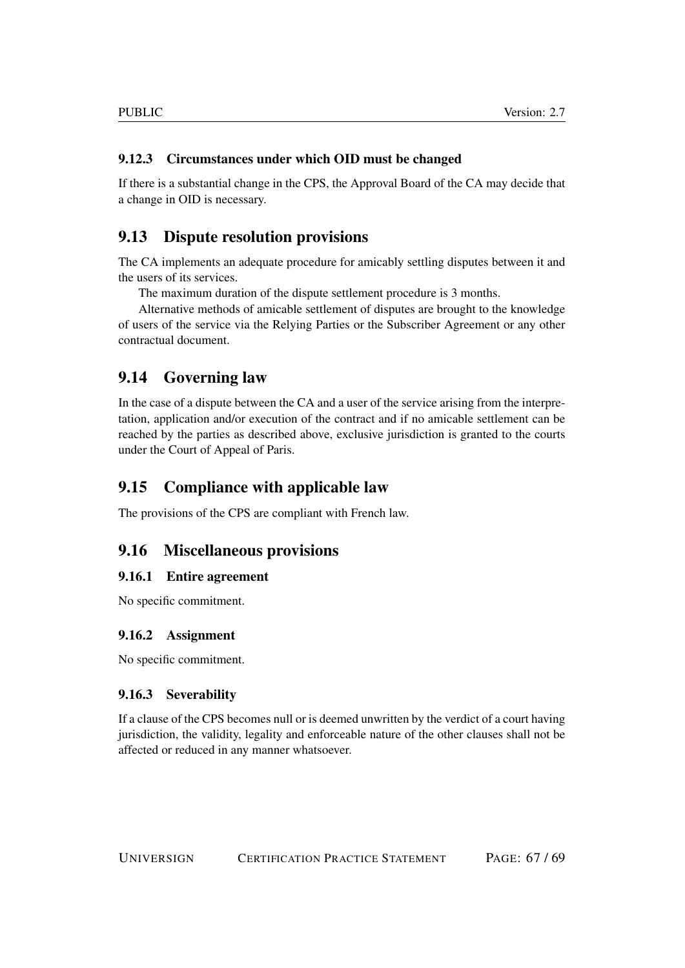## <span id="page-66-0"></span>9.12.3 Circumstances under which OID must be changed

If there is a substantial change in the CPS, the Approval Board of the CA may decide that a change in OID is necessary.

## <span id="page-66-1"></span>9.13 Dispute resolution provisions

The CA implements an adequate procedure for amicably settling disputes between it and the users of its services.

The maximum duration of the dispute settlement procedure is 3 months.

Alternative methods of amicable settlement of disputes are brought to the knowledge of users of the service via the Relying Parties or the Subscriber Agreement or any other contractual document.

## <span id="page-66-2"></span>9.14 Governing law

In the case of a dispute between the CA and a user of the service arising from the interpretation, application and/or execution of the contract and if no amicable settlement can be reached by the parties as described above, exclusive jurisdiction is granted to the courts under the Court of Appeal of Paris.

## <span id="page-66-3"></span>9.15 Compliance with applicable law

The provisions of the CPS are compliant with French law.

## <span id="page-66-4"></span>9.16 Miscellaneous provisions

#### <span id="page-66-5"></span>9.16.1 Entire agreement

No specific commitment.

### <span id="page-66-6"></span>9.16.2 Assignment

No specific commitment.

### <span id="page-66-7"></span>9.16.3 Severability

If a clause of the CPS becomes null or is deemed unwritten by the verdict of a court having jurisdiction, the validity, legality and enforceable nature of the other clauses shall not be affected or reduced in any manner whatsoever.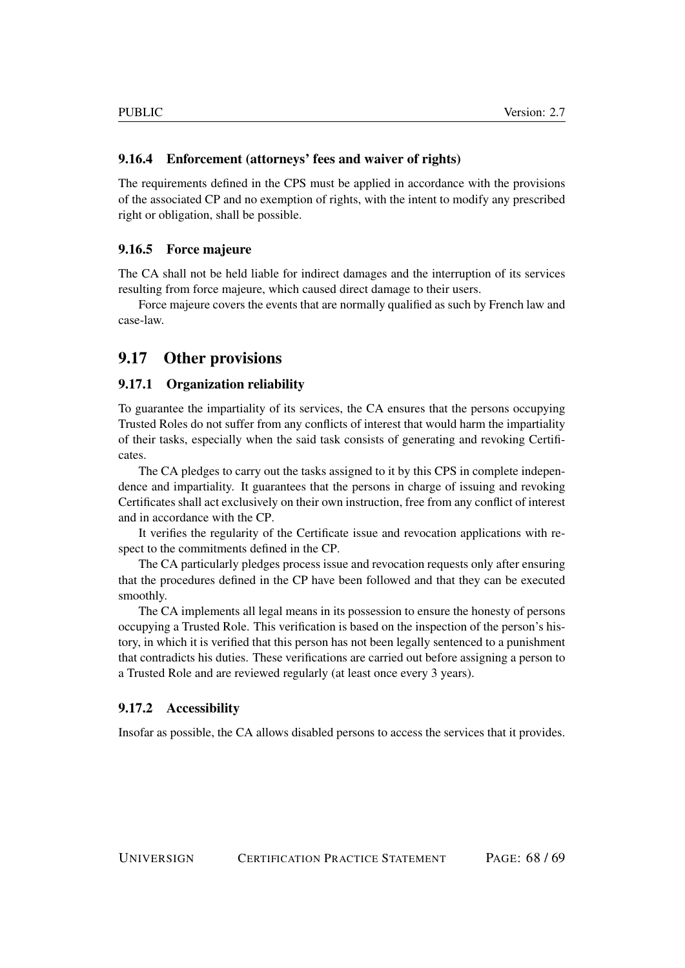### <span id="page-67-0"></span>9.16.4 Enforcement (attorneys' fees and waiver of rights)

The requirements defined in the CPS must be applied in accordance with the provisions of the associated CP and no exemption of rights, with the intent to modify any prescribed right or obligation, shall be possible.

#### <span id="page-67-1"></span>9.16.5 Force majeure

The CA shall not be held liable for indirect damages and the interruption of its services resulting from force majeure, which caused direct damage to their users.

Force majeure covers the events that are normally qualified as such by French law and case-law.

## <span id="page-67-2"></span>9.17 Other provisions

#### <span id="page-67-3"></span>9.17.1 Organization reliability

To guarantee the impartiality of its services, the CA ensures that the persons occupying Trusted Roles do not suffer from any conflicts of interest that would harm the impartiality of their tasks, especially when the said task consists of generating and revoking Certificates.

The CA pledges to carry out the tasks assigned to it by this CPS in complete independence and impartiality. It guarantees that the persons in charge of issuing and revoking Certificates shall act exclusively on their own instruction, free from any conflict of interest and in accordance with the CP.

It verifies the regularity of the Certificate issue and revocation applications with respect to the commitments defined in the CP.

The CA particularly pledges process issue and revocation requests only after ensuring that the procedures defined in the CP have been followed and that they can be executed smoothly.

The CA implements all legal means in its possession to ensure the honesty of persons occupying a Trusted Role. This verification is based on the inspection of the person's history, in which it is verified that this person has not been legally sentenced to a punishment that contradicts his duties. These verifications are carried out before assigning a person to a Trusted Role and are reviewed regularly (at least once every 3 years).

#### <span id="page-67-4"></span>9.17.2 Accessibility

Insofar as possible, the CA allows disabled persons to access the services that it provides.